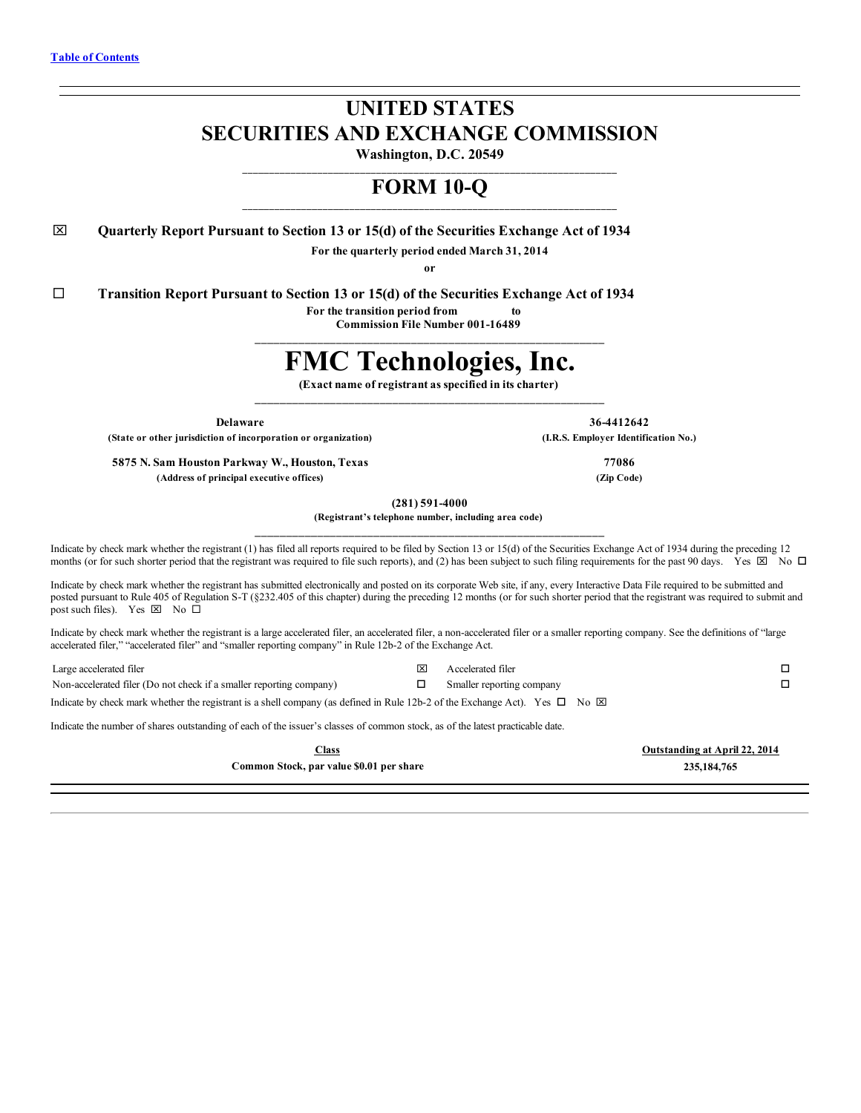# **UNITED STATES SECURITIES AND EXCHANGE COMMISSION**

**Washington, D.C. 20549 \_\_\_\_\_\_\_\_\_\_\_\_\_\_\_\_\_\_\_\_\_\_\_\_\_\_\_\_\_\_\_\_\_\_\_\_\_\_\_\_\_\_\_\_\_\_\_\_\_\_\_\_\_\_\_\_\_\_\_\_\_\_\_\_\_\_\_\_\_\_**

# **FORM 10-Q \_\_\_\_\_\_\_\_\_\_\_\_\_\_\_\_\_\_\_\_\_\_\_\_\_\_\_\_\_\_\_\_\_\_\_\_\_\_\_\_\_\_\_\_\_\_\_\_\_\_\_\_\_\_\_\_\_\_\_\_\_\_\_\_\_\_\_\_\_\_**

x **Quarterly Report Pursuant to Section 13 or 15(d) of the Securities Exchange Act of 1934**

**For the quarterly period ended March 31, 2014**

**or**

¨ **Transition Report Pursuant to Section 13 or 15(d) of the Securities Exchange Act of 1934**

**For the transition period from to Commission File Number 001-16489**

**\_\_\_\_\_\_\_\_\_\_\_\_\_\_\_\_\_\_\_\_\_\_\_\_\_\_\_\_\_\_\_\_\_\_\_\_\_\_\_\_\_\_\_\_\_\_\_\_\_\_\_\_\_\_\_\_**

# **FMC Technologies, Inc.**

**(Exact name of registrant as specified in its charter) \_\_\_\_\_\_\_\_\_\_\_\_\_\_\_\_\_\_\_\_\_\_\_\_\_\_\_\_\_\_\_\_\_\_\_\_\_\_\_\_\_\_\_\_\_\_\_\_\_\_\_\_\_\_\_\_**

**(State or other jurisdiction of incorporation or organization) (I.R.S. Employer Identification No.)**

**5875 N. Sam Houston Parkway W., Houston, Texas 77086 (Address of principal executive offices) (Zip Code)**

**(281) 591-4000**

**(Registrant's telephone number, including area code) \_\_\_\_\_\_\_\_\_\_\_\_\_\_\_\_\_\_\_\_\_\_\_\_\_\_\_\_\_\_\_\_\_\_\_\_\_\_\_\_\_\_\_\_\_\_\_\_\_\_\_\_\_\_\_\_**

Indicate by check mark whether the registrant (1) has filed all reports required to be filed by Section 13 or 15(d) of the Securities Exchange Act of 1934 during the preceding 12 months (or for such shorter period that the registrant was required to file such reports), and (2) has been subject to such filing requirements for the past 90 days. Yes  $\boxtimes$  No  $\Box$ 

Indicate by check mark whether the registrant has submitted electronically and posted on its corporate Web site, if any, every Interactive Data File required to be submitted and posted pursuant to Rule 405 of Regulation S-T (§232.405 of this chapter) during the preceding 12 months (or for such shorter period that the registrant was required to submit and post such files). Yes  $\boxtimes$  No  $\square$ 

Indicate by check mark whether the registrant is a large accelerated filer, an accelerated filer, a non-accelerated filer or a smaller reporting company. See the definitions of "large accelerated filer," "accelerated filer" and "smaller reporting company" in Rule 12b-2 of the Exchange Act.

Non-accelerated filer (Do not check if a smaller reporting company)  $\square$  Smaller reporting company  $\square$ 

Indicate by check mark whether the registrant is a shell company (as defined in Rule 12b-2 of the Exchange Act). Yes  $\Box$  No  $\boxtimes$ 

Indicate the number of shares outstanding of each of the issuer's classes of common stock, as of the latest practicable date.

| <b>Class</b>                             | Outstanding at April 22, 2014 |
|------------------------------------------|-------------------------------|
| Common Stock, par value \$0.01 per share | 235, 184, 765                 |

**Delaware 36-4412642**

Large accelerated filer  $\Box$  Accelerated filer  $\Box$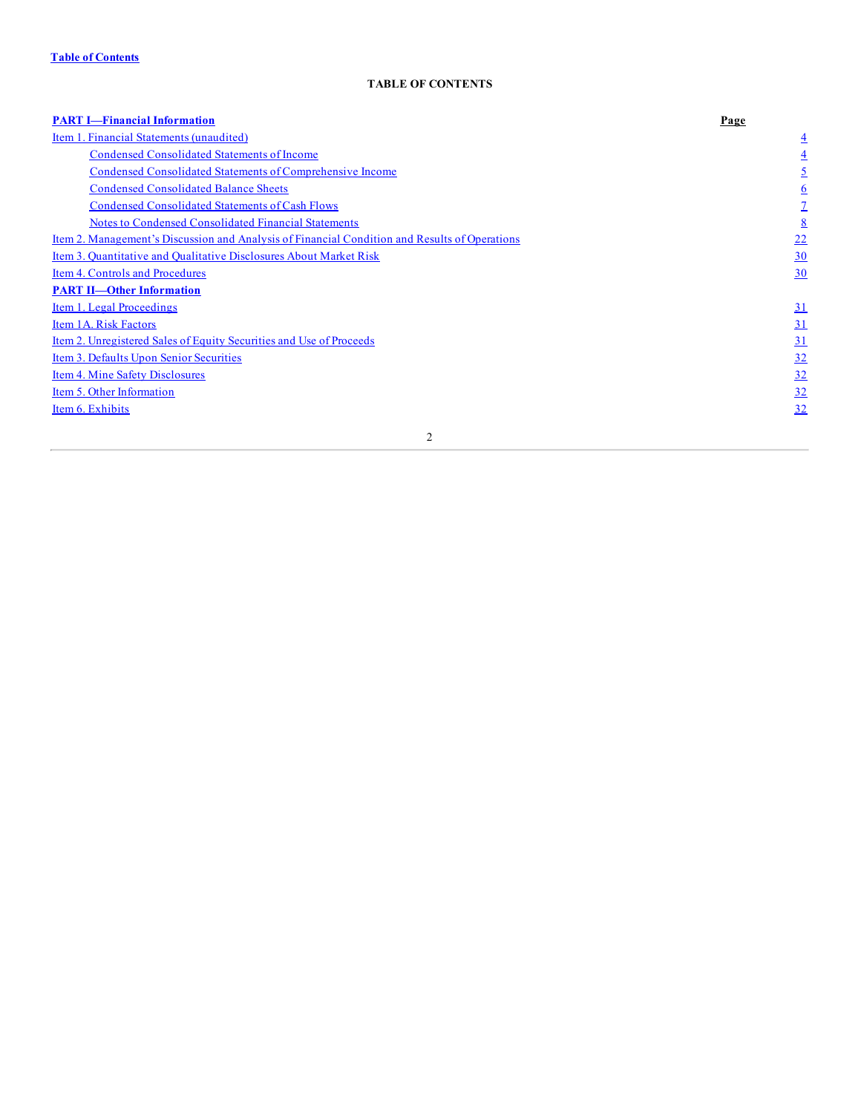# **TABLE OF CONTENTS**

<span id="page-1-0"></span>

| <b>PART I-Financial Information</b>                                                                  | Page            |
|------------------------------------------------------------------------------------------------------|-----------------|
| Item 1. Financial Statements (unaudited)                                                             | $\overline{4}$  |
| <b>Condensed Consolidated Statements of Income</b>                                                   | 4               |
| <b>Condensed Consolidated Statements of Comprehensive Income</b>                                     |                 |
| <b>Condensed Consolidated Balance Sheets</b>                                                         | <u>6</u>        |
| <b>Condensed Consolidated Statements of Cash Flows</b>                                               |                 |
| Notes to Condensed Consolidated Financial Statements                                                 | $\underline{8}$ |
| <u>Item 2. Management's Discussion and Analysis of Financial Condition and Results of Operations</u> | $\overline{22}$ |
| Item 3. Quantitative and Qualitative Disclosures About Market Risk                                   | 30              |
| Item 4. Controls and Procedures                                                                      | <u>30</u>       |
| <b>PART II-Other Information</b>                                                                     |                 |
| Item 1. Legal Proceedings                                                                            | <u>31</u>       |
| Item 1A. Risk Factors                                                                                | 31              |
| <u>Item 2. Unregistered Sales of Equity Securities and Use of Proceeds</u>                           | 31              |
| Item 3. Defaults Upon Senior Securities                                                              | 32              |
| <b>Item 4. Mine Safety Disclosures</b>                                                               | 32              |
| Item 5. Other Information                                                                            | 32              |
| Item 6. Exhibits                                                                                     | 32              |
| 2                                                                                                    |                 |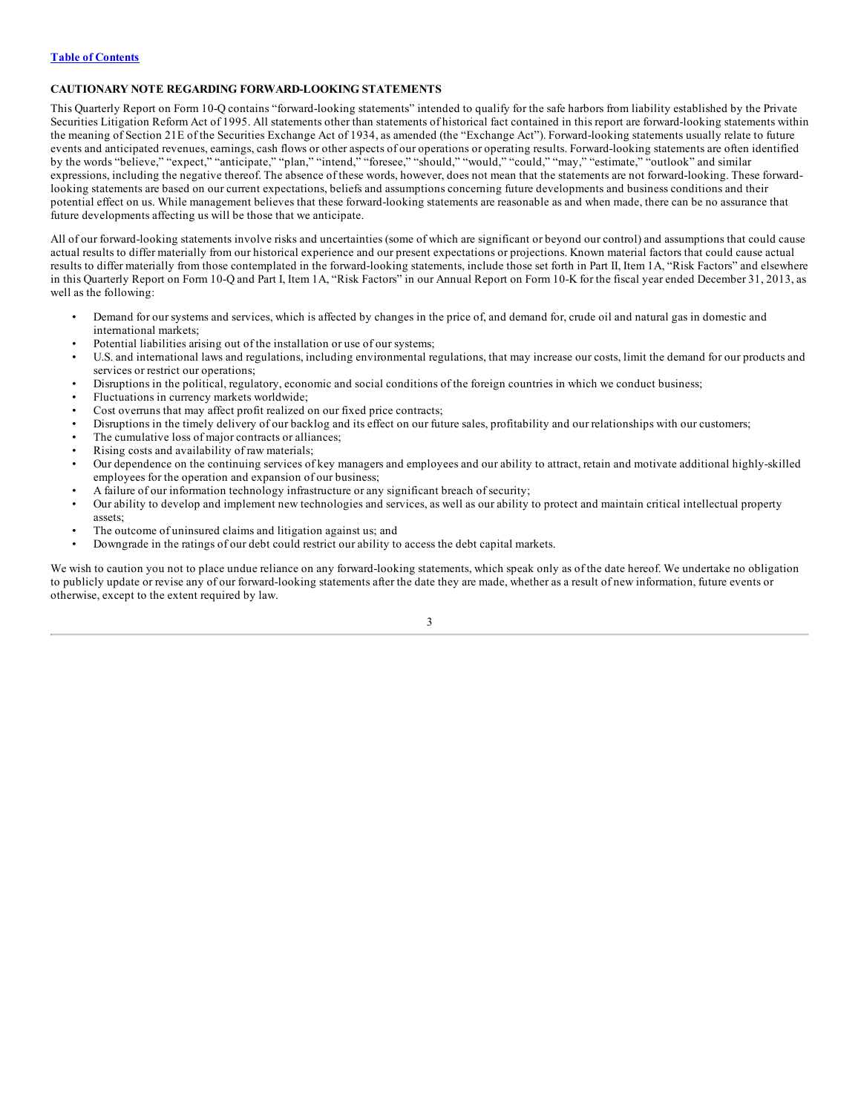#### **CAUTIONARY NOTE REGARDING FORWARD-LOOKING STATEMENTS**

This Quarterly Report on Form 10-Q contains "forward-looking statements" intended to qualify for the safe harbors from liability established by the Private Securities Litigation Reform Act of 1995. All statements other than statements of historical fact contained in this report are forward-looking statements within the meaning of Section 21E of the Securities Exchange Act of 1934, as amended (the "Exchange Act"). Forward-looking statements usually relate to future events and anticipated revenues, earnings, cash flows or other aspects of our operations or operating results. Forward-looking statements are often identified by the words "believe," "expect," "anticipate," "plan," "intend," "foresee," "should," "would," "would," "may," "estimate," "outlook" and similar expressions, including the negative thereof. The absence of these words, however, does not mean that the statements are not forward-looking. These forwardlooking statements are based on our current expectations, beliefs and assumptions concerning future developments and business conditions and their potential effect on us. While management believes that these forward-looking statements are reasonable as and when made, there can be no assurance that future developments affecting us will be those that we anticipate.

All of our forward-looking statements involve risks and uncertainties (some of which are significant or beyond our control) and assumptions that could cause actual results to differ materially from our historical experience and our present expectations or projections. Known material factors that could cause actual results to differ materially from those contemplated in the forward-looking statements, include those set forth in Part II, Item 1A, "Risk Factors" and elsewhere in this Quarterly Report on Form 10-Q and Part I, Item 1A, "Risk Factors" in our Annual Report on Form 10-K for the fiscal year ended December 31, 2013, as well as the following:

- Demand for our systems and services, which is affected by changes in the price of, and demand for, crude oil and natural gas in domestic and international markets;
- Potential liabilities arising out of the installation or use of our systems;
- U.S. and international laws and regulations, including environmental regulations, that may increase our costs, limit the demand for our products and services or restrict our operations;
- Disruptions in the political, regulatory, economic and social conditions of the foreign countries in which we conduct business;
- Fluctuations in currency markets worldwide;
- Cost overruns that may affect profit realized on our fixed price contracts;
- Disruptions in the timely delivery of our backlog and its effect on our future sales, profitability and our relationships with our customers;
- The cumulative loss of major contracts or alliances;
- Rising costs and availability of raw materials;
- Our dependence on the continuing services of key managers and employees and our ability to attract, retain and motivate additional highly-skilled employees for the operation and expansion of our business;
- A failure of our information technology infrastructure or any significant breach of security;
- Our ability to develop and implement new technologies and services, as well as our ability to protect and maintain critical intellectual property assets;
- The outcome of uninsured claims and litigation against us; and
- Downgrade in the ratings of our debt could restrict our ability to access the debt capital markets.

We wish to caution you not to place undue reliance on any forward-looking statements, which speak only as of the date hereof. We undertake no obligation to publicly update or revise any of our forward-looking statements after the date they are made, whether as a result of new information, future events or otherwise, except to the extent required by law.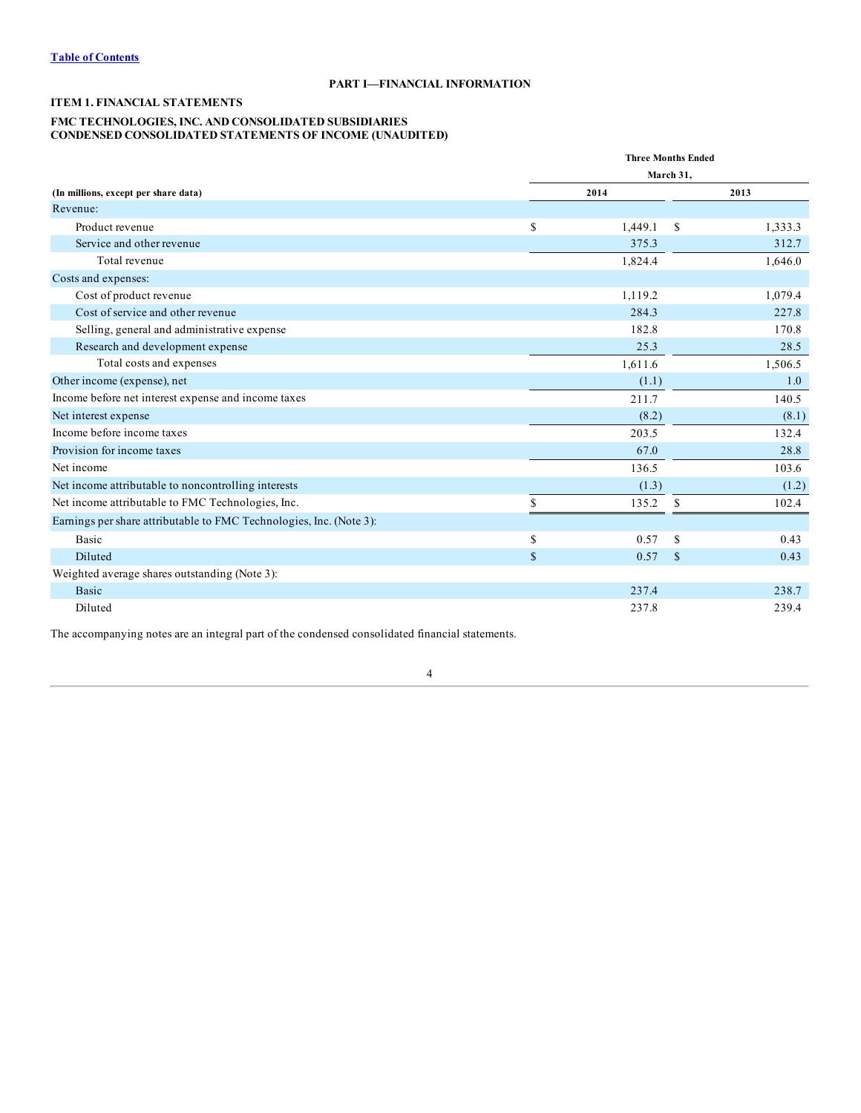# **PART I—FINANCIAL INFORMATION**

# <span id="page-3-0"></span>**ITEM 1. FINANCIAL STATEMENTS**

# **FMC TECHNOLOGIES, INC. AND CONSOLIDATED SUBSIDIARIES CONDENSED CONSOLIDATED STATEMENTS OF INCOME (UNAUDITED)**

|                                                                     |              | <b>Three Months Ended</b> |               |         |  |  |  |  |  |  |
|---------------------------------------------------------------------|--------------|---------------------------|---------------|---------|--|--|--|--|--|--|
|                                                                     |              |                           | March 31,     |         |  |  |  |  |  |  |
| (In millions, except per share data)                                |              | 2014                      |               | 2013    |  |  |  |  |  |  |
| Revenue:                                                            |              |                           |               |         |  |  |  |  |  |  |
| Product revenue                                                     | \$           | 1,449.1                   | <sup>\$</sup> | 1,333.3 |  |  |  |  |  |  |
| Service and other revenue                                           |              | 375.3                     |               | 312.7   |  |  |  |  |  |  |
| Total revenue                                                       |              | 1,824.4                   |               | 1,646.0 |  |  |  |  |  |  |
| Costs and expenses:                                                 |              |                           |               |         |  |  |  |  |  |  |
| Cost of product revenue                                             |              | 1,119.2                   |               | 1,079.4 |  |  |  |  |  |  |
| Cost of service and other revenue                                   |              | 284.3                     |               | 227.8   |  |  |  |  |  |  |
| Selling, general and administrative expense                         |              | 182.8                     |               | 170.8   |  |  |  |  |  |  |
| Research and development expense                                    |              | 25.3                      |               | 28.5    |  |  |  |  |  |  |
| Total costs and expenses                                            |              | 1,611.6                   |               | 1,506.5 |  |  |  |  |  |  |
| Other income (expense), net                                         |              | (1.1)                     |               | 1.0     |  |  |  |  |  |  |
| Income before net interest expense and income taxes                 |              | 211.7                     |               | 140.5   |  |  |  |  |  |  |
| Net interest expense                                                |              | (8.2)                     |               | (8.1)   |  |  |  |  |  |  |
| Income before income taxes                                          |              | 203.5                     |               | 132.4   |  |  |  |  |  |  |
| Provision for income taxes                                          |              | 67.0                      |               | 28.8    |  |  |  |  |  |  |
| Net income                                                          |              | 136.5                     |               | 103.6   |  |  |  |  |  |  |
| Net income attributable to noncontrolling interests                 |              | (1.3)                     |               | (1.2)   |  |  |  |  |  |  |
| Net income attributable to FMC Technologies, Inc.                   | \$           | 135.2                     | <sup>\$</sup> | 102.4   |  |  |  |  |  |  |
| Earnings per share attributable to FMC Technologies, Inc. (Note 3): |              |                           |               |         |  |  |  |  |  |  |
| Basic                                                               | \$           | 0.57                      | <sup>\$</sup> | 0.43    |  |  |  |  |  |  |
| Diluted                                                             | $\mathbb{S}$ | 0.57                      | $\mathcal{S}$ | 0.43    |  |  |  |  |  |  |
| Weighted average shares outstanding (Note 3):                       |              |                           |               |         |  |  |  |  |  |  |
| <b>Basic</b>                                                        |              | 237.4                     |               | 238.7   |  |  |  |  |  |  |
| Diluted                                                             |              | 237.8                     |               | 239.4   |  |  |  |  |  |  |

The accompanying notes are an integral part of the condensed consolidated financial statements.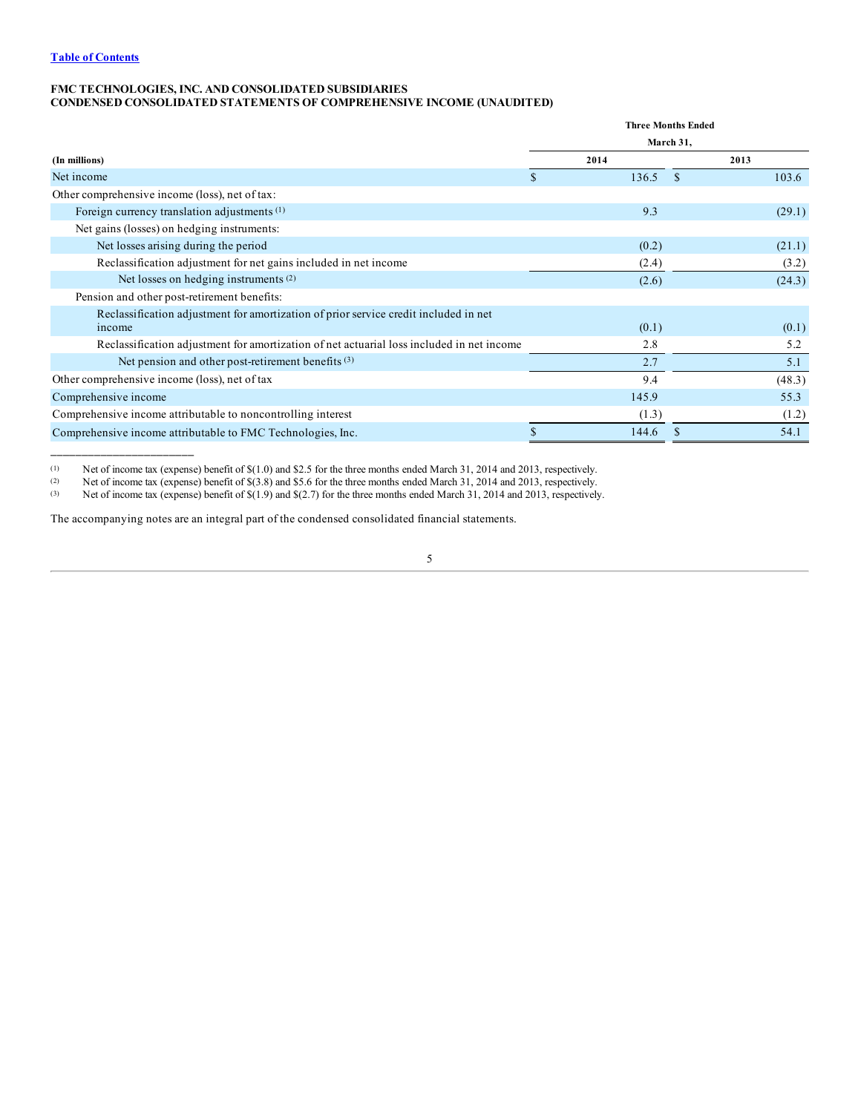**\_\_\_\_\_\_\_\_\_\_\_\_\_\_\_\_\_\_\_\_\_\_\_**

#### **FMC TECHNOLOGIES, INC. AND CONSOLIDATED SUBSIDIARIES CONDENSED CONSOLIDATED STATEMENTS OF COMPREHENSIVE INCOME (UNAUDITED)**

|                                                                                           | <b>Three Months Ended</b> |           |               |        |  |
|-------------------------------------------------------------------------------------------|---------------------------|-----------|---------------|--------|--|
|                                                                                           |                           | March 31, |               |        |  |
| (In millions)                                                                             |                           | 2014      |               | 2013   |  |
| Net income                                                                                | \$                        | 136.5     | <sup>\$</sup> | 103.6  |  |
| Other comprehensive income (loss), net of tax:                                            |                           |           |               |        |  |
| Foreign currency translation adjustments (1)                                              |                           | 9.3       |               | (29.1) |  |
| Net gains (losses) on hedging instruments:                                                |                           |           |               |        |  |
| Net losses arising during the period                                                      |                           | (0.2)     |               | (21.1) |  |
| Reclassification adjustment for net gains included in net income                          |                           | (2.4)     |               | (3.2)  |  |
| Net losses on hedging instruments (2)                                                     |                           | (2.6)     |               | (24.3) |  |
| Pension and other post-retirement benefits:                                               |                           |           |               |        |  |
| Reclassification adjustment for amortization of prior service credit included in net      |                           |           |               |        |  |
| income                                                                                    |                           | (0.1)     |               | (0.1)  |  |
| Reclassification adjustment for amortization of net actuarial loss included in net income |                           | 2.8       |               | 5.2    |  |
| Net pension and other post-retirement benefits (3)                                        |                           | 2.7       |               | 5.1    |  |
| Other comprehensive income (loss), net of tax                                             |                           | 9.4       |               | (48.3) |  |
| Comprehensive income                                                                      |                           | 145.9     |               | 55.3   |  |
| Comprehensive income attributable to noncontrolling interest                              |                           | (1.3)     |               | (1.2)  |  |
| Comprehensive income attributable to FMC Technologies, Inc.                               |                           | 144.6     |               | 54.1   |  |

(1) Net of income tax (expense) benefit of  $$(1.0)$  and  $$2.5$  for the three months ended March 31, 2014 and 2013, respectively.<br>(2) Net of income tax (expense) benefit of  $$(3.8)$  and  $$5.6$  for the three months ended Ma

(2) Net of income tax (expense) benefit of \$(3.8) and \$5.6 for the three months ended March 31, 2014 and 2013, respectively.<br>(3) Net of income tax (expense) benefit of \$(1.9) and \$(2.7) for the three months ended March 31

Net of income tax (expense) benefit of  $\$(1.9)$  and  $\$(2.7)$  for the three months ended March 31, 2014 and 2013, respectively.

The accompanying notes are an integral part of the condensed consolidated financial statements.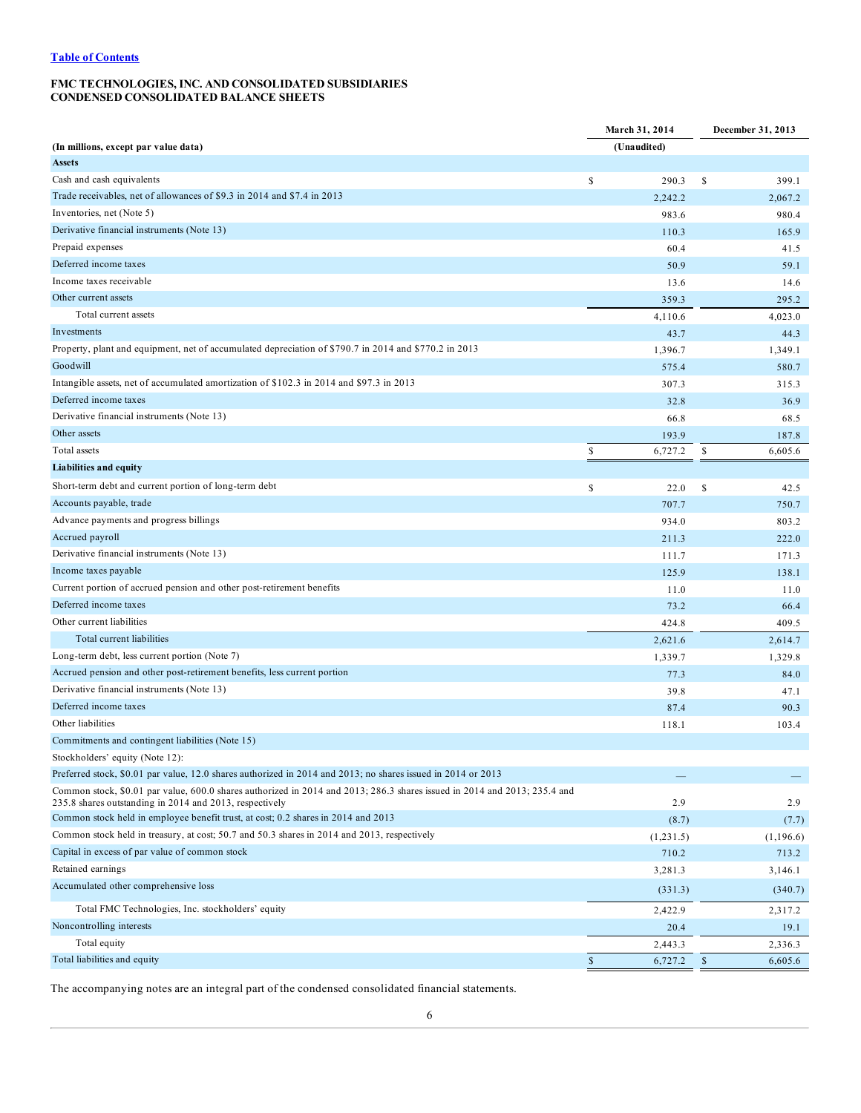# <span id="page-5-0"></span>**Table of [Contents](#page-1-0)**

#### **FMC TECHNOLOGIES, INC. AND CONSOLIDATED SUBSIDIARIES CONDENSED CONSOLIDATED BALANCE SHEETS**

|                                                                                                                                                                                      |    | March 31, 2014 |              | December 31, 2013 |  |  |
|--------------------------------------------------------------------------------------------------------------------------------------------------------------------------------------|----|----------------|--------------|-------------------|--|--|
| (In millions, except par value data)                                                                                                                                                 |    | (Unaudited)    |              |                   |  |  |
| <b>Assets</b>                                                                                                                                                                        |    |                |              |                   |  |  |
| Cash and cash equivalents                                                                                                                                                            | \$ | 290.3          | \$           | 399.1             |  |  |
| Trade receivables, net of allowances of \$9.3 in 2014 and \$7.4 in 2013                                                                                                              |    | 2,242.2        |              | 2,067.2           |  |  |
| Inventories, net (Note 5)                                                                                                                                                            |    | 983.6          |              | 980.4             |  |  |
| Derivative financial instruments (Note 13)                                                                                                                                           |    | 110.3          |              | 165.9             |  |  |
| Prepaid expenses                                                                                                                                                                     |    | 60.4           |              | 41.5              |  |  |
| Deferred income taxes                                                                                                                                                                |    | 50.9           |              | 59.1              |  |  |
| Income taxes receivable                                                                                                                                                              |    | 13.6           |              | 14.6              |  |  |
| Other current assets                                                                                                                                                                 |    | 359.3          |              | 295.2             |  |  |
| Total current assets                                                                                                                                                                 |    | 4,110.6        |              | 4,023.0           |  |  |
| Investments                                                                                                                                                                          |    | 43.7           |              | 44.3              |  |  |
| Property, plant and equipment, net of accumulated depreciation of \$790.7 in 2014 and \$770.2 in 2013                                                                                |    | 1,396.7        |              | 1,349.1           |  |  |
| Goodwill                                                                                                                                                                             |    | 575.4          |              | 580.7             |  |  |
| Intangible assets, net of accumulated amortization of \$102.3 in 2014 and \$97.3 in 2013                                                                                             |    | 307.3          |              | 315.3             |  |  |
| Deferred income taxes                                                                                                                                                                |    | 32.8           |              | 36.9              |  |  |
| Derivative financial instruments (Note 13)                                                                                                                                           |    | 66.8           |              | 68.5              |  |  |
| Other assets                                                                                                                                                                         |    | 193.9          |              | 187.8             |  |  |
| Total assets                                                                                                                                                                         | \$ | 6,727.2        | \$           | 6,605.6           |  |  |
| <b>Liabilities and equity</b>                                                                                                                                                        |    |                |              |                   |  |  |
| Short-term debt and current portion of long-term debt                                                                                                                                | \$ | 22.0           | \$           | 42.5              |  |  |
| Accounts payable, trade                                                                                                                                                              |    | 707.7          |              | 750.7             |  |  |
| Advance payments and progress billings                                                                                                                                               |    | 934.0          |              | 803.2             |  |  |
| Accrued payroll                                                                                                                                                                      |    | 211.3          |              | 222.0             |  |  |
| Derivative financial instruments (Note 13)                                                                                                                                           |    | 111.7          |              | 171.3             |  |  |
| Income taxes payable                                                                                                                                                                 |    | 125.9          |              | 138.1             |  |  |
| Current portion of accrued pension and other post-retirement benefits                                                                                                                |    | 11.0           |              | 11.0              |  |  |
| Deferred income taxes                                                                                                                                                                |    | 73.2           |              | 66.4              |  |  |
| Other current liabilities                                                                                                                                                            |    | 424.8          |              | 409.5             |  |  |
| Total current liabilities                                                                                                                                                            |    | 2,621.6        |              | 2,614.7           |  |  |
| Long-term debt, less current portion (Note 7)                                                                                                                                        |    | 1,339.7        |              | 1,329.8           |  |  |
| Accrued pension and other post-retirement benefits, less current portion                                                                                                             |    | 77.3           |              | 84.0              |  |  |
| Derivative financial instruments (Note 13)                                                                                                                                           |    | 39.8           |              | 47.1              |  |  |
| Deferred income taxes                                                                                                                                                                |    | 87.4           |              | 90.3              |  |  |
| Other liabilities                                                                                                                                                                    |    | 118.1          |              | 103.4             |  |  |
| Commitments and contingent liabilities (Note 15)                                                                                                                                     |    |                |              |                   |  |  |
| Stockholders' equity (Note 12):                                                                                                                                                      |    |                |              |                   |  |  |
| Preferred stock, \$0.01 par value, 12.0 shares authorized in 2014 and 2013; no shares issued in 2014 or 2013                                                                         |    |                |              |                   |  |  |
| Common stock, \$0.01 par value, 600.0 shares authorized in 2014 and 2013; 286.3 shares issued in 2014 and 2013; 235.4 and<br>235.8 shares outstanding in 2014 and 2013, respectively |    | 2.9            |              | 2.9               |  |  |
| Common stock held in employee benefit trust, at cost; 0.2 shares in 2014 and 2013                                                                                                    |    | (8.7)          |              | (7.7)             |  |  |
| Common stock held in treasury, at cost; 50.7 and 50.3 shares in 2014 and 2013, respectively                                                                                          |    | (1,231.5)      |              | (1,196.6)         |  |  |
| Capital in excess of par value of common stock                                                                                                                                       |    | 710.2          |              | 713.2             |  |  |
| Retained earnings                                                                                                                                                                    |    | 3,281.3        |              | 3,146.1           |  |  |
| Accumulated other comprehensive loss                                                                                                                                                 |    | (331.3)        |              | (340.7)           |  |  |
| Total FMC Technologies, Inc. stockholders' equity                                                                                                                                    |    | 2,422.9        |              | 2,317.2           |  |  |
| Noncontrolling interests                                                                                                                                                             |    | 20.4           |              | 19.1              |  |  |
| Total equity                                                                                                                                                                         |    | 2,443.3        |              | 2,336.3           |  |  |
| Total liabilities and equity                                                                                                                                                         | \$ | 6,727.2        | $\mathbb{S}$ | 6,605.6           |  |  |

The accompanying notes are an integral part of the condensed consolidated financial statements.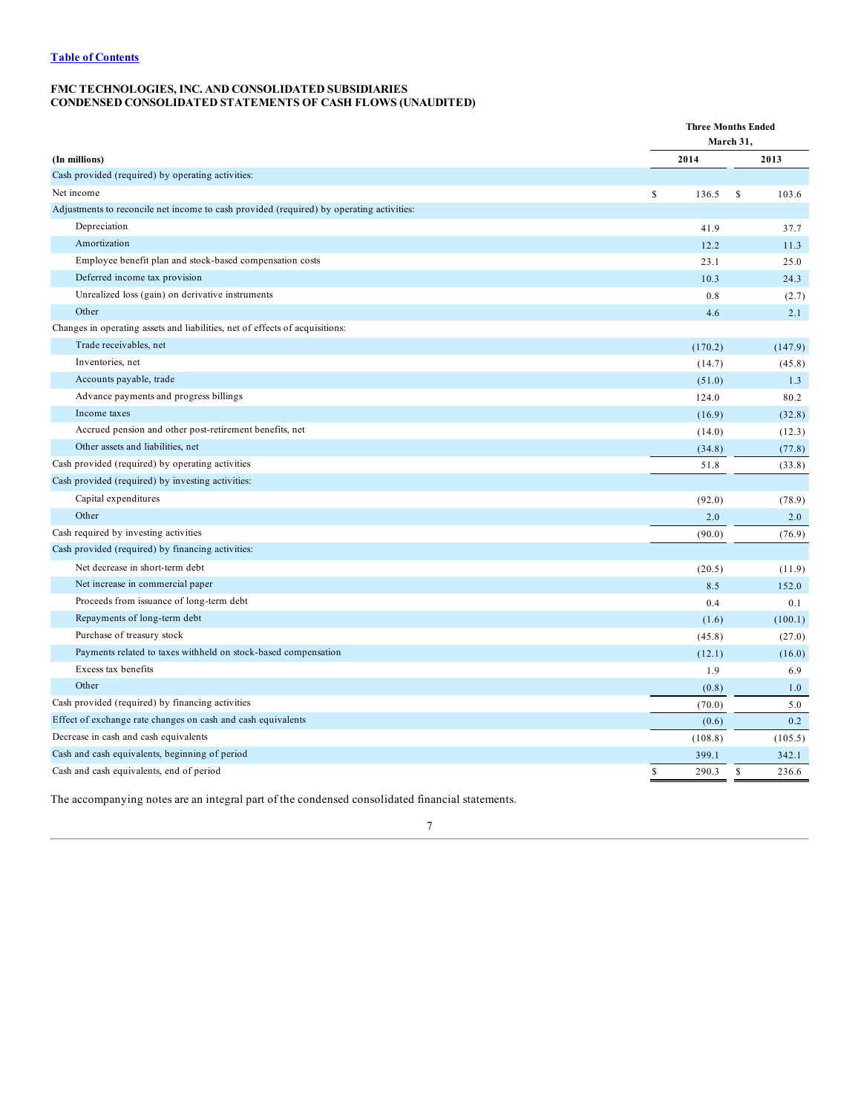#### <span id="page-6-0"></span>**FMC TECHNOLOGIES, INC. AND CONSOLIDATED SUBSIDIARIES CONDENSED CONSOLIDATED STATEMENTS OF CASH FLOWS (UNAUDITED)**

|                                                                                          |             | <b>Three Months Ended</b><br>March 31, |  |  |
|------------------------------------------------------------------------------------------|-------------|----------------------------------------|--|--|
| (In millions)                                                                            | 2014        | 2013                                   |  |  |
| Cash provided (required) by operating activities:                                        |             |                                        |  |  |
| Net income                                                                               | \$<br>136.5 | 103.6<br>\$                            |  |  |
| Adjustments to reconcile net income to cash provided (required) by operating activities: |             |                                        |  |  |
| Depreciation                                                                             | 41.9        | 37.7                                   |  |  |
| Amortization                                                                             | 12.2        | 11.3                                   |  |  |
| Employee benefit plan and stock-based compensation costs                                 | 23.1        | 25.0                                   |  |  |
| Deferred income tax provision                                                            | 10.3        | 24.3                                   |  |  |
| Unrealized loss (gain) on derivative instruments                                         | 0.8         | (2.7)                                  |  |  |
| Other                                                                                    | 4.6         | 2.1                                    |  |  |
| Changes in operating assets and liabilities, net of effects of acquisitions:             |             |                                        |  |  |
| Trade receivables, net                                                                   | (170.2)     | (147.9)                                |  |  |
| Inventories, net                                                                         | (14.7)      | (45.8)                                 |  |  |
| Accounts payable, trade                                                                  | (51.0)      | 1.3                                    |  |  |
| Advance payments and progress billings                                                   | 124.0       | 80.2                                   |  |  |
| Income taxes                                                                             | (16.9)      | (32.8)                                 |  |  |
| Accrued pension and other post-retirement benefits, net                                  | (14.0)      | (12.3)                                 |  |  |
| Other assets and liabilities, net                                                        | (34.8)      | (77.8)                                 |  |  |
| Cash provided (required) by operating activities                                         | 51.8        | (33.8)                                 |  |  |
| Cash provided (required) by investing activities:                                        |             |                                        |  |  |
| Capital expenditures                                                                     | (92.0)      | (78.9)                                 |  |  |
| Other                                                                                    | 2.0         | 2.0                                    |  |  |
| Cash required by investing activities                                                    | (90.0)      | (76.9)                                 |  |  |
| Cash provided (required) by financing activities:                                        |             |                                        |  |  |
| Net decrease in short-term debt                                                          | (20.5)      | (11.9)                                 |  |  |
| Net increase in commercial paper                                                         | 8.5         | 152.0                                  |  |  |
| Proceeds from issuance of long-term debt                                                 | 0.4         | 0.1                                    |  |  |
| Repayments of long-term debt                                                             | (1.6)       | (100.1)                                |  |  |
| Purchase of treasury stock                                                               | (45.8)      | (27.0)                                 |  |  |
| Payments related to taxes withheld on stock-based compensation                           | (12.1)      | (16.0)                                 |  |  |
| Excess tax benefits                                                                      | 1.9         | 6.9                                    |  |  |
| Other                                                                                    | (0.8)       | 1.0                                    |  |  |
| Cash provided (required) by financing activities                                         | (70.0)      | 5.0                                    |  |  |
| Effect of exchange rate changes on cash and cash equivalents                             | (0.6)       | 0.2                                    |  |  |
| Decrease in cash and cash equivalents                                                    | (108.8)     | (105.5)                                |  |  |
| Cash and cash equivalents, beginning of period                                           | 399.1       | 342.1                                  |  |  |
| Cash and cash equivalents, end of period                                                 | \$<br>290.3 | $\mathbb S$<br>236.6                   |  |  |

The accompanying notes are an integral part of the condensed consolidated financial statements.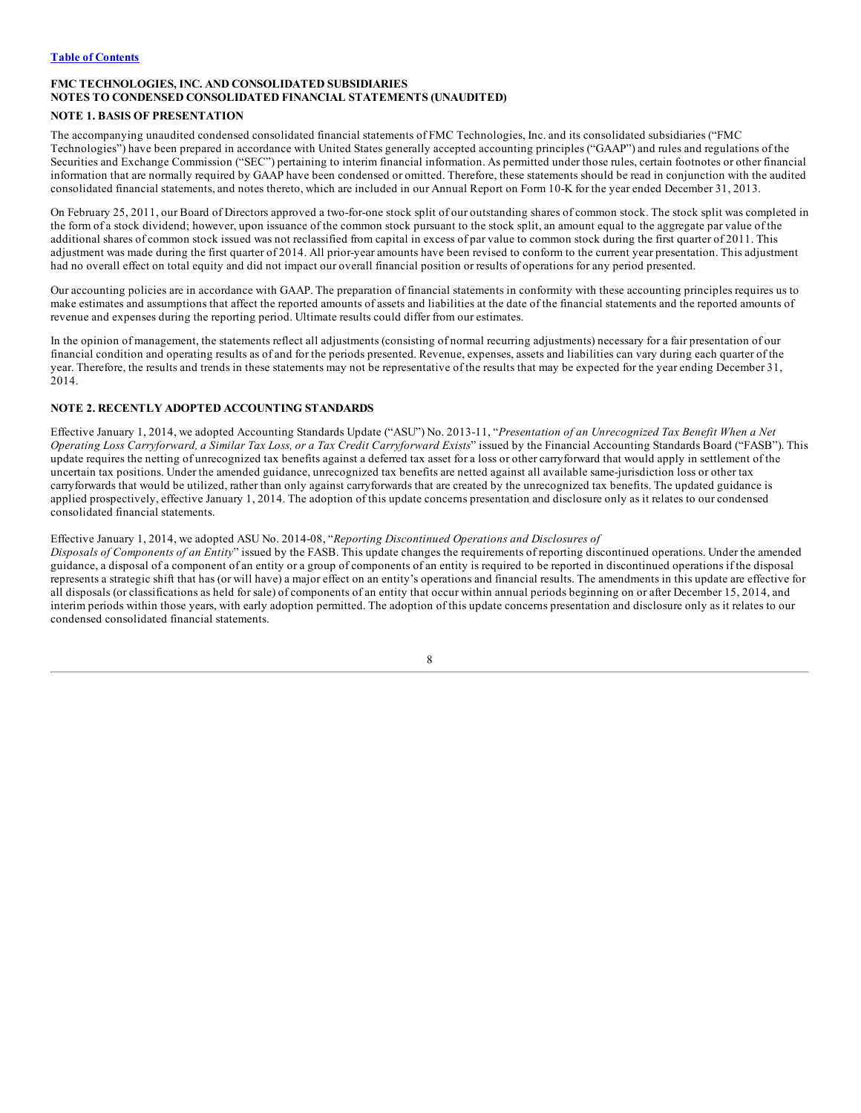# **FMC TECHNOLOGIES, INC. AND CONSOLIDATED SUBSIDIARIES NOTES TO CONDENSED CONSOLIDATED FINANCIAL STATEMENTS (UNAUDITED)**

# **NOTE 1. BASIS OF PRESENTATION**

The accompanying unaudited condensed consolidated financial statements of FMC Technologies, Inc. and its consolidated subsidiaries ("FMC Technologies") have been prepared in accordance with United States generally accepted accounting principles ("GAAP") and rules and regulations of the Securities and Exchange Commission ("SEC") pertaining to interim financial information. As permitted under those rules, certain footnotes or other financial information that are normally required by GAAP have been condensed or omitted. Therefore, these statements should be read in conjunction with the audited consolidated financial statements, and notes thereto, which are included in our Annual Report on Form 10-K for the year ended December 31, 2013.

On February 25, 2011, our Board of Directors approved a two-for-one stock split of our outstanding shares of common stock. The stock split was completed in the form of a stock dividend; however, upon issuance of the common stock pursuant to the stock split, an amount equal to the aggregate par value of the additional shares of common stock issued was not reclassified from capital in excess of par value to common stock during the first quarter of 2011. This adjustment was made during the first quarter of 2014. All prior-year amounts have been revised to conform to the current year presentation. This adjustment had no overall effect on total equity and did not impact our overall financial position or results of operations for any period presented.

Our accounting policies are in accordance with GAAP. The preparation of financial statements in conformity with these accounting principles requires us to make estimates and assumptions that affect the reported amounts of assets and liabilities at the date of the financial statements and the reported amounts of revenue and expenses during the reporting period. Ultimate results could differ from our estimates.

In the opinion of management, the statements reflect all adjustments (consisting of normal recurring adjustments) necessary for a fair presentation of our financial condition and operating results as of and for the periods presented. Revenue, expenses, assets and liabilities can vary during each quarter of the year. Therefore, the results and trends in these statements may not be representative of the results that may be expected for the year ending December 31, 2014.

#### **NOTE 2. RECENTLY ADOPTED ACCOUNTING STANDARDS**

Effective January 1, 2014, we adopted Accounting Standards Update ("ASU") No. 2013-11, "*Presentation of an Unrecognized Tax Benefit When a Net* Operating Loss Carryforward, a Similar Tax Loss, or a Tax Credit Carryforward Exists" issued by the Financial Accounting Standards Board ("FASB"). This update requires the netting of unrecognized tax benefits against a deferred tax asset for a loss or other carryforward that would apply in settlement of the uncertain tax positions. Under the amended guidance, unrecognized tax benefits are netted against all available same-jurisdiction loss or other tax carryforwards that would be utilized, rather than only against carryforwards that are created by the unrecognized tax benefits. The updated guidance is applied prospectively, effective January 1, 2014. The adoption of this update concerns presentation and disclosure only as it relates to our condensed consolidated financial statements.

#### Effective January 1, 2014, we adopted ASU No. 2014-08, "*Reporting Discontinued Operations and Disclosures of*

*Disposals of Components of an Entity*" issued by the FASB. This update changes the requirements of reporting discontinued operations. Under the amended guidance, a disposal of a component of an entity or a group of components of an entity is required to be reported in discontinued operations if the disposal represents a strategic shift that has (or will have) a major effect on an entity's operations and financial results. The amendments in this update are effective for all disposals (or classifications as held for sale) of components of an entity that occur within annual periods beginning on or after December 15, 2014, and interim periods within those years, with early adoption permitted. The adoption of this update concerns presentation and disclosure only as it relates to our condensed consolidated financial statements.

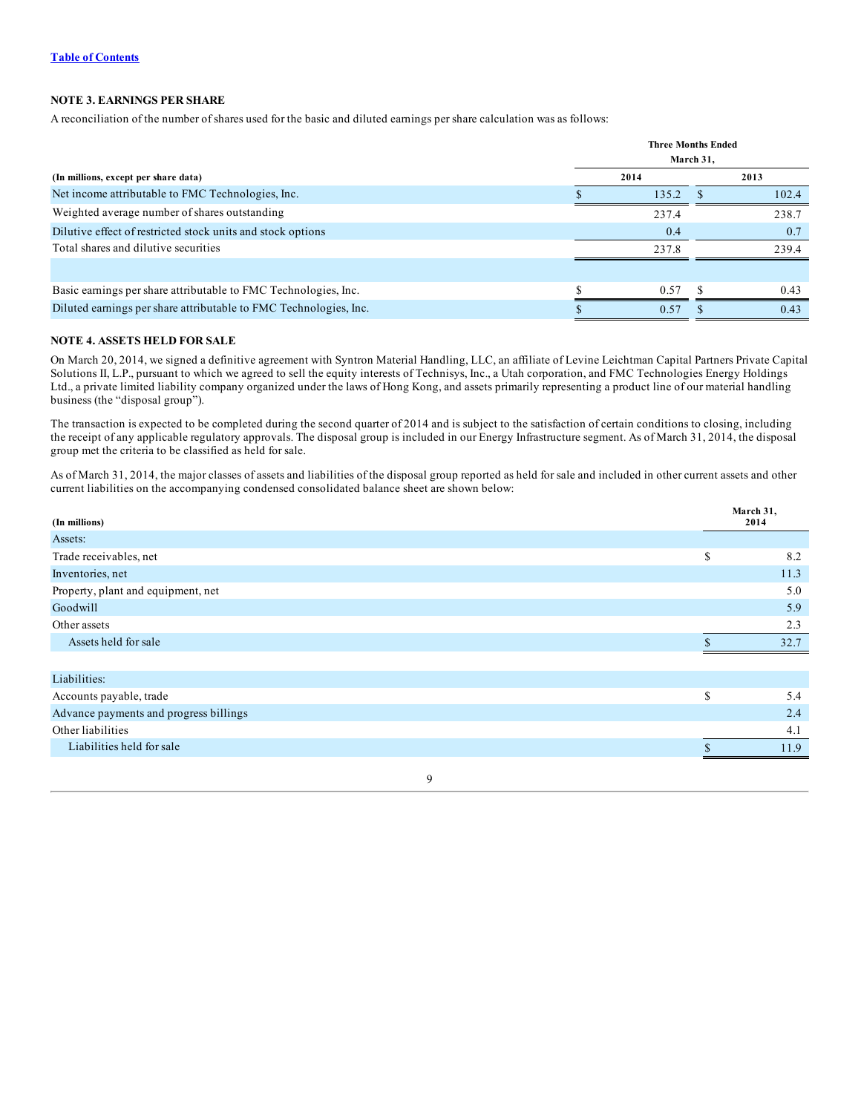#### **NOTE 3. EARNINGS PER SHARE**

A reconciliation of the number of shares used for the basic and diluted earnings per share calculation was as follows:

|                                                                   | <b>Three Months Ended</b> |       |  |       |  |  |  |
|-------------------------------------------------------------------|---------------------------|-------|--|-------|--|--|--|
|                                                                   | March 31,                 |       |  |       |  |  |  |
| (In millions, except per share data)                              |                           | 2014  |  | 2013  |  |  |  |
| Net income attributable to FMC Technologies, Inc.                 |                           | 135.2 |  | 102.4 |  |  |  |
| Weighted average number of shares outstanding                     |                           | 237.4 |  | 238.7 |  |  |  |
| Dilutive effect of restricted stock units and stock options       |                           | 0.4   |  | 0.7   |  |  |  |
| Total shares and dilutive securities                              |                           | 237.8 |  | 239.4 |  |  |  |
|                                                                   |                           |       |  |       |  |  |  |
| Basic earnings per share attributable to FMC Technologies, Inc.   |                           | 0.57  |  | 0.43  |  |  |  |
| Diluted earnings per share attributable to FMC Technologies, Inc. |                           | 0.57  |  | 0.43  |  |  |  |

# **NOTE 4. ASSETS HELD FOR SALE**

On March 20, 2014, we signed a definitive agreement with Syntron Material Handling, LLC, an affiliate of Levine Leichtman Capital Partners Private Capital Solutions II, L.P., pursuant to which we agreed to sell the equity interests of Technisys, Inc., a Utah corporation, and FMC Technologies Energy Holdings Ltd., a private limited liability company organized under the laws of Hong Kong, and assets primarily representing a product line of our material handling business (the "disposal group").

The transaction is expected to be completed during the second quarter of 2014 and is subject to the satisfaction of certain conditions to closing, including the receipt of any applicable regulatory approvals. The disposal group is included in our Energy Infrastructure segment. As of March 31, 2014, the disposal group met the criteria to be classified as held for sale.

As of March 31, 2014, the major classes of assets and liabilities of the disposal group reported as held for sale and included in other current assets and other current liabilities on the accompanying condensed consolidated balance sheet are shown below:

| (In millions)                          |    | March 31,<br>2014 |
|----------------------------------------|----|-------------------|
| Assets:                                |    |                   |
| Trade receivables, net                 | S  | 8.2               |
| Inventories, net                       |    | 11.3              |
| Property, plant and equipment, net     |    | 5.0               |
| Goodwill                               |    | 5.9               |
| Other assets                           |    | 2.3               |
| Assets held for sale                   |    | 32.7              |
|                                        |    |                   |
| Liabilities:                           |    |                   |
| Accounts payable, trade                | \$ | 5.4               |
| Advance payments and progress billings |    | 2.4               |
| Other liabilities                      |    | 4.1               |
| Liabilities held for sale              |    | 11.9              |

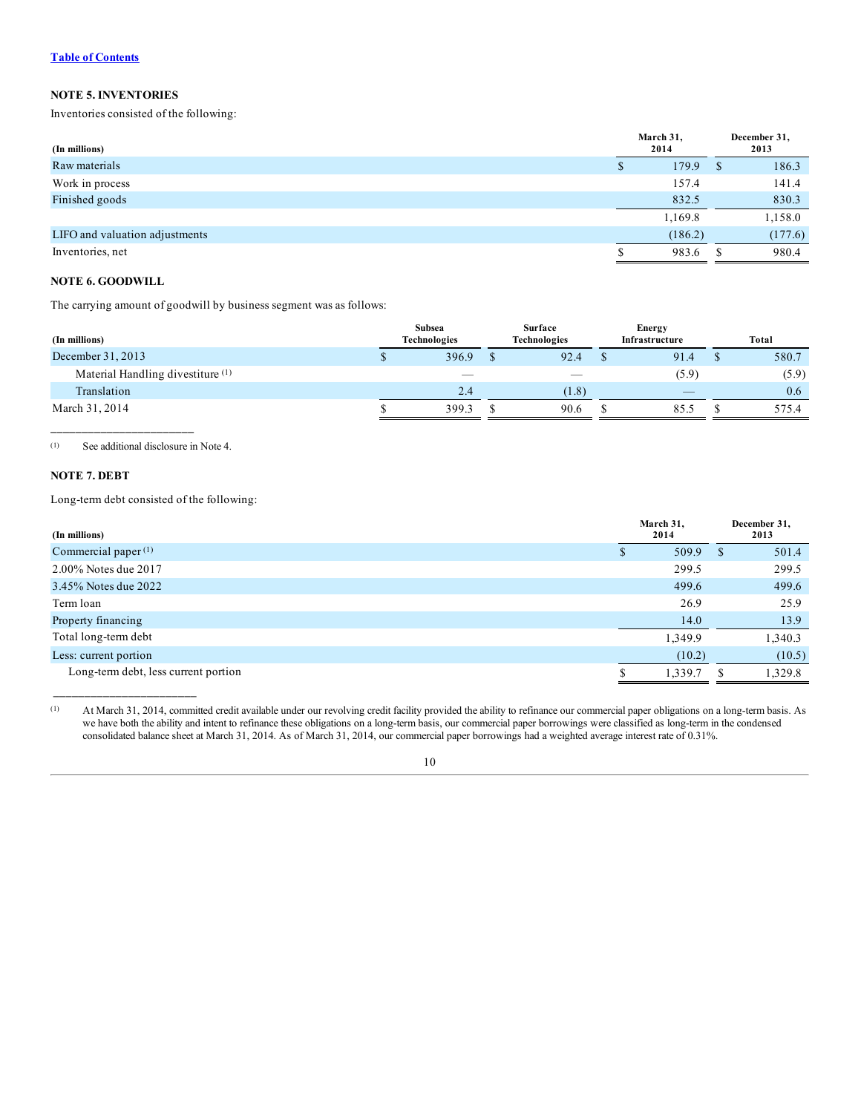# **NOTE 5. INVENTORIES**

Inventories consisted of the following:

| (In millions)                  | March 31,<br>2014 |         |      | December 31,<br>2013 |
|--------------------------------|-------------------|---------|------|----------------------|
| Raw materials                  | Ъ                 | 179.9   | - \$ | 186.3                |
| Work in process                |                   | 157.4   |      | 141.4                |
| Finished goods                 | 832.5             |         |      | 830.3                |
|                                | 1,169.8           |         |      | 1,158.0              |
| LIFO and valuation adjustments |                   | (186.2) |      | (177.6)              |
| Inventories, net               |                   | 983.6   | S    | 980.4                |

# **NOTE 6. GOODWILL**

The carrying amount of goodwill by business segment was as follows:

| (In millions)                     | <b>Subsea</b><br>Technologies |       | <b>Surface</b><br><b>Technologies</b> |       | <b>Energy</b><br>Infrastructure |       | <b>Total</b> |
|-----------------------------------|-------------------------------|-------|---------------------------------------|-------|---------------------------------|-------|--------------|
| December 31, 2013                 |                               | 396.9 |                                       | 92.4  |                                 | 91.4  | 580.7        |
| Material Handling divestiture (1) |                               | $-$   |                                       |       |                                 | (5.9) | (5.9)        |
| Translation                       |                               | 2.4   |                                       | (1.8) |                                 | __    | 0.6          |
| March 31, 2014                    |                               | 399.3 |                                       | 90.6  |                                 | 85.5  | 575.4        |

(1) See additional disclosure in Note 4.

**\_\_\_\_\_\_\_\_\_\_\_\_\_\_\_\_\_\_\_\_\_\_\_**

**\_\_\_\_\_\_\_\_\_\_\_\_\_\_\_\_\_\_\_\_\_\_\_**

## **NOTE 7. DEBT**

Long-term debt consisted of the following:

| (In millions)                        |   | March 31,<br>2014 |   | December 31,<br>2013 |
|--------------------------------------|---|-------------------|---|----------------------|
| Commercial paper $(1)$               | S | 509.9             | S | 501.4                |
| 2.00% Notes due 2017                 |   | 299.5             |   | 299.5                |
| 3.45% Notes due 2022                 |   | 499.6             |   | 499.6                |
| Term loan                            |   | 26.9              |   | 25.9                 |
| Property financing                   |   | 14.0              |   | 13.9                 |
| Total long-term debt                 |   | 1,349.9           |   | 1,340.3              |
| Less: current portion                |   | (10.2)            |   | (10.5)               |
| Long-term debt, less current portion |   | 1,339.7           |   | 1,329.8              |

(1) At March 31, 2014, committed credit available under our revolving credit facility provided the ability to refinance our commercial paper obligations on a long-term basis. As we have both the ability and intent to refinance these obligations on a long-term basis, our commercial paper borrowings were classified as long-term in the condensed consolidated balance sheet at March 31, 2014. As of March 31, 2014, our commercial paper borrowings had a weighted average interest rate of 0.31%.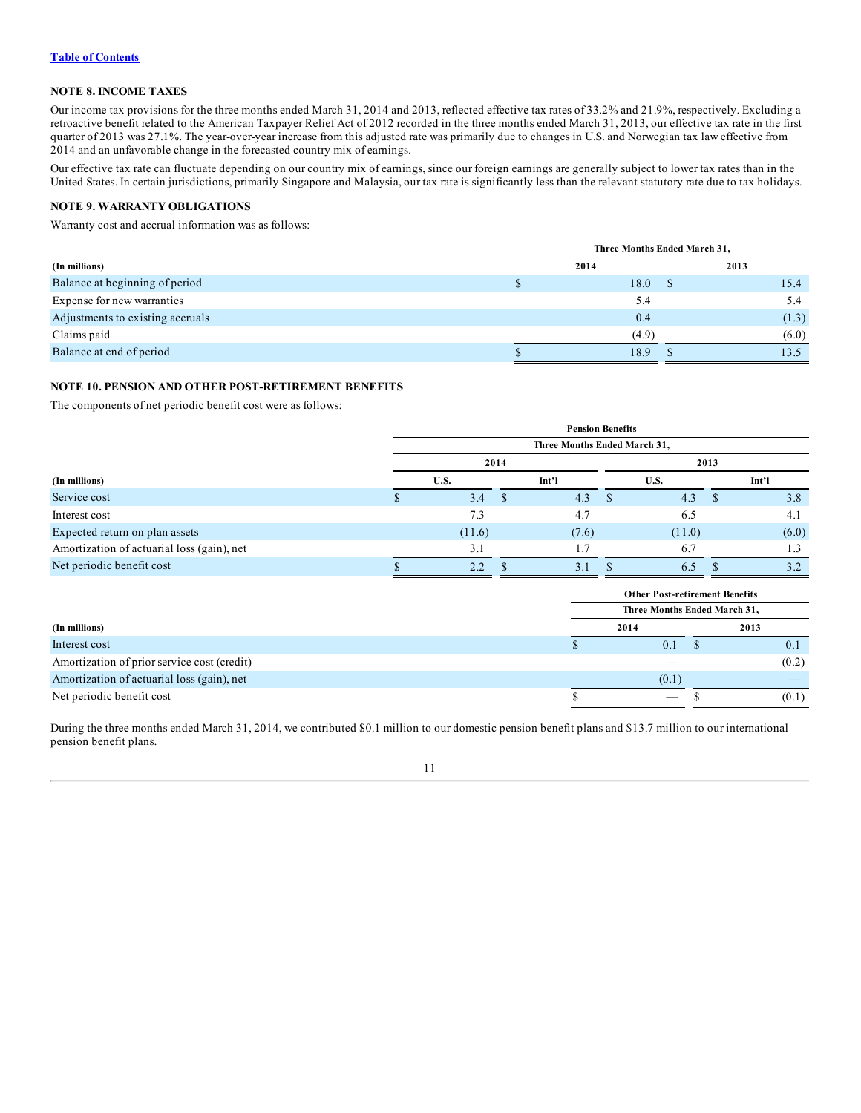# **NOTE 8. INCOME TAXES**

Our income tax provisions for the three months ended March 31, 2014 and 2013, reflected effective tax rates of 33.2% and 21.9%, respectively. Excluding a retroactive benefit related to the American Taxpayer Relief Act of 2012 recorded in the three months ended March 31, 2013, our effective tax rate in the first quarter of 2013 was 27.1%. The year-over-year increase from this adjusted rate was primarily due to changes in U.S. and Norwegian tax law effective from 2014 and an unfavorable change in the forecasted country mix of earnings.

Our effective tax rate can fluctuate depending on our country mix of earnings, since our foreign earnings are generally subject to lower tax rates than in the United States. In certain jurisdictions, primarily Singapore and Malaysia, our tax rate is significantly less than the relevant statutory rate due to tax holidays.

#### **NOTE 9. WARRANTY OBLIGATIONS**

Warranty cost and accrual information was as follows:

|                                  | Three Months Ended March 31, |       |  |       |  |  |  |  |
|----------------------------------|------------------------------|-------|--|-------|--|--|--|--|
| (In millions)                    |                              | 2014  |  | 2013  |  |  |  |  |
| Balance at beginning of period   |                              | 18.0  |  | 15.4  |  |  |  |  |
| Expense for new warranties       |                              | 5.4   |  | 5.4   |  |  |  |  |
| Adjustments to existing accruals |                              | 0.4   |  | (1.3) |  |  |  |  |
| Claims paid                      |                              | (4.9) |  | (6.0) |  |  |  |  |
| Balance at end of period         |                              | 18.9  |  |       |  |  |  |  |

#### **NOTE 10. PENSION AND OTHER POST-RETIREMENT BENEFITS**

The components of net periodic benefit cost were as follows:

|                                            | <b>Pension Benefits</b>      |        |  |       |              |        |      |       |  |  |  |
|--------------------------------------------|------------------------------|--------|--|-------|--------------|--------|------|-------|--|--|--|
|                                            | Three Months Ended March 31, |        |  |       |              |        |      |       |  |  |  |
|                                            |                              | 2014   |  |       |              |        | 2013 |       |  |  |  |
| (In millions)                              |                              | U.S.   |  | Int'l |              | U.S.   |      | Int'l |  |  |  |
| Service cost                               |                              | 3.4    |  | 4.3   | <sup>S</sup> | 4.3    |      | 3.8   |  |  |  |
| Interest cost                              |                              | 7.3    |  | 4.7   |              | 6.5    |      | 4.1   |  |  |  |
| Expected return on plan assets             |                              | (11.6) |  | (7.6) |              | (11.0) |      | (6.0) |  |  |  |
| Amortization of actuarial loss (gain), net |                              | 3.1    |  | 1.7   |              | 6.7    |      | 1.3   |  |  |  |
| Net periodic benefit cost                  |                              | 2.2    |  | 3.1   |              | 6.5    |      | 3.2   |  |  |  |

|                                             |  | <b>Other Post-retirement Benefits</b> |  |       |
|---------------------------------------------|--|---------------------------------------|--|-------|
|                                             |  | Three Months Ended March 31,          |  |       |
| (In millions)                               |  | 2014                                  |  | 2013  |
| Interest cost                               |  | 0.1                                   |  | 0.1   |
| Amortization of prior service cost (credit) |  |                                       |  | (0.2) |
| Amortization of actuarial loss (gain), net  |  | (0.1)                                 |  |       |
| Net periodic benefit cost                   |  |                                       |  | (0.1) |

During the three months ended March 31, 2014, we contributed \$0.1 million to our domestic pension benefit plans and \$13.7 million to our international pension benefit plans.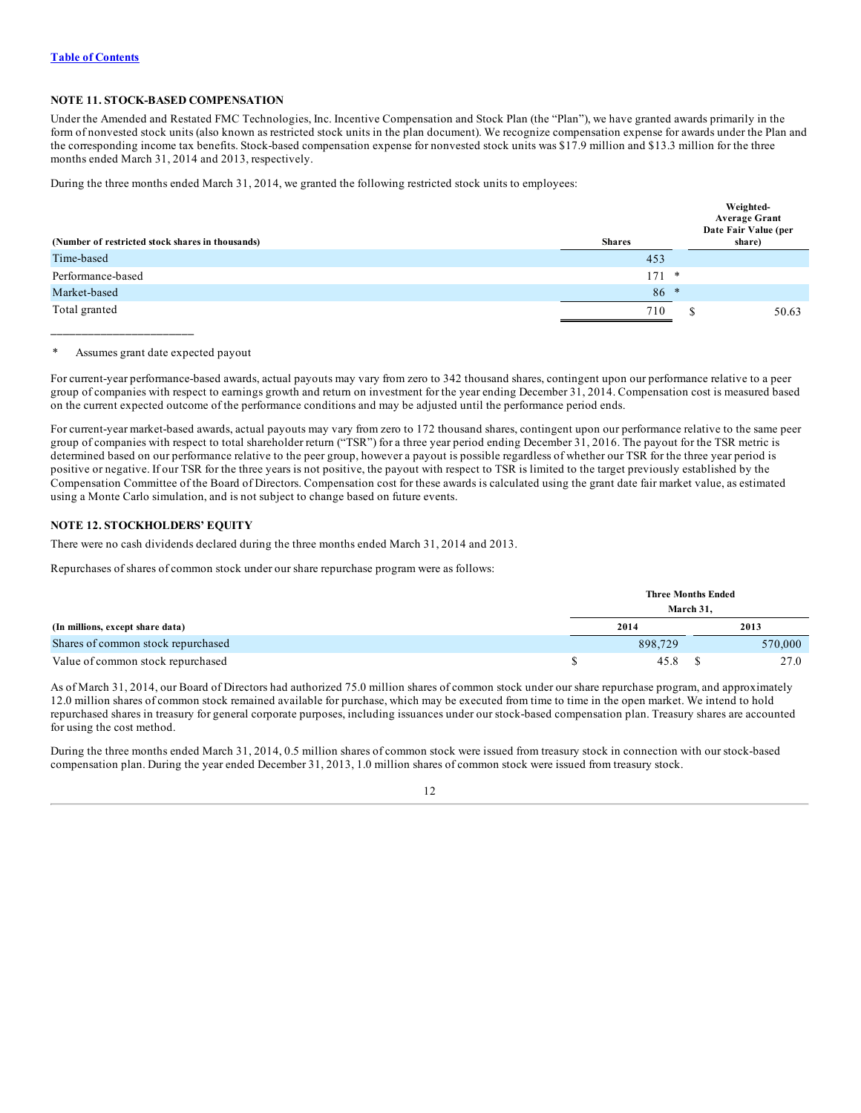## **NOTE 11. STOCK-BASED COMPENSATION**

Under the Amended and Restated FMC Technologies, Inc. Incentive Compensation and Stock Plan (the "Plan"), we have granted awards primarily in the form of nonvested stock units (also known as restricted stock units in the plan document). We recognize compensation expense for awards under the Plan and the corresponding income tax benefits. Stock-based compensation expense for nonvested stock units was \$17.9 million and \$13.3 million for the three months ended March 31, 2014 and 2013, respectively.

During the three months ended March 31, 2014, we granted the following restricted stock units to employees:

| (Number of restricted stock shares in thousands) | <b>Shares</b> | Weighted-<br><b>Average Grant</b><br>Date Fair Value (per<br>share) |
|--------------------------------------------------|---------------|---------------------------------------------------------------------|
| Time-based                                       | 453           |                                                                     |
| Performance-based                                | $171 *$       |                                                                     |
| Market-based                                     | $86*$         |                                                                     |
| Total granted                                    | 710           | 50.63<br>S                                                          |

Assumes grant date expected payout

For current-year performance-based awards, actual payouts may vary from zero to 342 thousand shares, contingent upon our performance relative to a peer group of companies with respect to earnings growth and return on investment for the year ending December 31, 2014. Compensation cost is measured based on the current expected outcome of the performance conditions and may be adjusted until the performance period ends.

For current-year market-based awards, actual payouts may vary from zero to 172 thousand shares, contingent upon our performance relative to the same peer group of companies with respect to total shareholder return ("TSR") for a three year period ending December 31, 2016. The payout for the TSR metric is determined based on our performance relative to the peer group, however a payout is possible regardless of whether our TSR for the three year period is positive or negative. If our TSR for the three years is not positive, the payout with respect to TSR is limited to the target previously established by the Compensation Committee of the Board of Directors. Compensation cost for these awards is calculated using the grant date fair market value, as estimated using a Monte Carlo simulation, and is not subject to change based on future events.

#### **NOTE 12. STOCKHOLDERS' EQUITY**

There were no cash dividends declared during the three months ended March 31, 2014 and 2013.

Repurchases of shares of common stock under our share repurchase program were as follows:

|                                    | <b>Three Months Ended</b> |         |  |         |  |  |
|------------------------------------|---------------------------|---------|--|---------|--|--|
|                                    | March 31.                 |         |  |         |  |  |
| (In millions, except share data)   |                           | 2014    |  | 2013    |  |  |
| Shares of common stock repurchased |                           | 898,729 |  | 570,000 |  |  |
| Value of common stock repurchased  |                           | 45.8    |  | 27.0    |  |  |

As of March 31, 2014, our Board of Directors had authorized 75.0 million shares of common stock under our share repurchase program, and approximately 12.0 million shares of common stock remained available for purchase, which may be executed from time to time in the open market. We intend to hold repurchased shares in treasury for general corporate purposes, including issuances under our stock-based compensation plan. Treasury shares are accounted for using the cost method.

During the three months ended March 31, 2014, 0.5 million shares of common stock were issued from treasury stock in connection with our stock-based compensation plan. During the year ended December 31, 2013, 1.0 million shares of common stock were issued from treasury stock.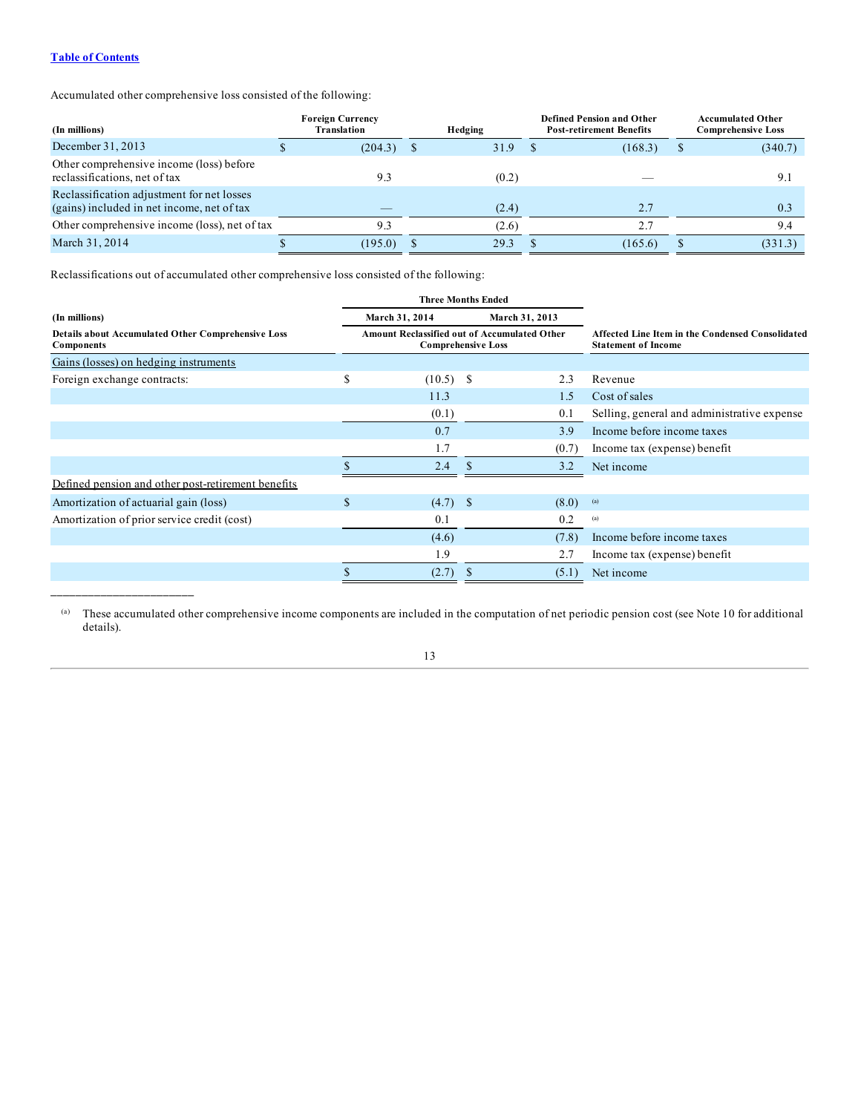# **Table of [Contents](#page-1-0)**

Accumulated other comprehensive loss consisted of the following:

| (In millions)                                                                            | <b>Foreign Currency</b><br>Translation |              | Hedging |       | <b>Defined Pension and Other</b><br><b>Post-retirement Benefits</b> |         |  | <b>Accumulated Other</b><br>Comprehensive Loss |  |  |
|------------------------------------------------------------------------------------------|----------------------------------------|--------------|---------|-------|---------------------------------------------------------------------|---------|--|------------------------------------------------|--|--|
| December 31, 2013                                                                        |                                        | $(204.3)$ \$ |         | 31.9  |                                                                     | (168.3) |  | (340.7)                                        |  |  |
| Other comprehensive income (loss) before<br>reclassifications, net of tax                |                                        | 9.3          |         | (0.2) |                                                                     |         |  | 9.1                                            |  |  |
| Reclassification adjustment for net losses<br>(gains) included in net income, net of tax |                                        | __           |         | (2.4) |                                                                     | 2.7     |  | 0.3                                            |  |  |
| Other comprehensive income (loss), net of tax                                            |                                        | 9.3          |         | (2.6) |                                                                     | 2.7     |  | 9.4                                            |  |  |
| March 31, 2014                                                                           |                                        | (195.0)      |         | 29.3  |                                                                     | (165.6) |  | (331.3)                                        |  |  |

Reclassifications out of accumulated other comprehensive loss consisted of the following:

|                                                                         | <b>Three Months Ended</b>                                                        |    |       |                                                                                       |
|-------------------------------------------------------------------------|----------------------------------------------------------------------------------|----|-------|---------------------------------------------------------------------------------------|
| (In millions)                                                           | March 31, 2014<br>March 31, 2013                                                 |    |       |                                                                                       |
| <b>Details about Accumulated Other Comprehensive Loss</b><br>Components | <b>Amount Reclassified out of Accumulated Other</b><br><b>Comprehensive Loss</b> |    |       | <b>Affected Line Item in the Condensed Consolidated</b><br><b>Statement of Income</b> |
| Gains (losses) on hedging instruments                                   |                                                                                  |    |       |                                                                                       |
| Foreign exchange contracts:                                             | \$<br>(10.5)                                                                     | S. | 2.3   | Revenue                                                                               |
|                                                                         | 11.3                                                                             |    | 1.5   | Cost of sales                                                                         |
|                                                                         | (0.1)                                                                            |    | 0.1   | Selling, general and administrative expense                                           |
|                                                                         | 0.7                                                                              |    | 3.9   | Income before income taxes                                                            |
|                                                                         | 1.7                                                                              |    | (0.7) | Income tax (expense) benefit                                                          |
|                                                                         | 2.4                                                                              |    | 3.2   | Net income                                                                            |
| Defined pension and other post-retirement benefits                      |                                                                                  |    |       |                                                                                       |
| Amortization of actuarial gain (loss)                                   | \$                                                                               |    | (8.0) | (a)                                                                                   |
| Amortization of prior service credit (cost)                             | 0.1                                                                              |    | 0.2   | (a)                                                                                   |
|                                                                         | (4.6)                                                                            |    | (7.8) | Income before income taxes                                                            |
|                                                                         | 1.9                                                                              |    | 2.7   | Income tax (expense) benefit                                                          |
|                                                                         | (2.7)                                                                            | \$ | (5.1) | Net income                                                                            |
|                                                                         |                                                                                  |    |       |                                                                                       |

(a) These accumulated other comprehensive income components are included in the computation of net periodic pension cost (see Note 10 for additional details).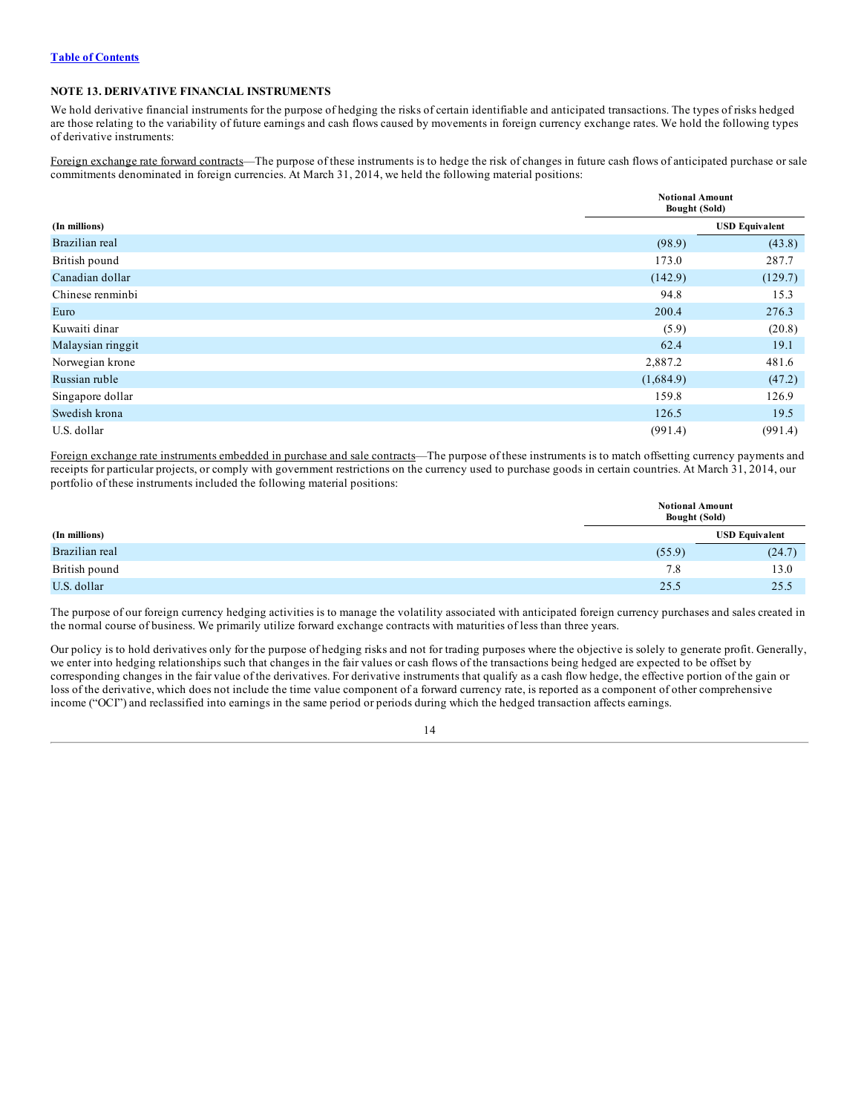#### **NOTE 13. DERIVATIVE FINANCIAL INSTRUMENTS**

We hold derivative financial instruments for the purpose of hedging the risks of certain identifiable and anticipated transactions. The types of risks hedged are those relating to the variability of future earnings and cash flows caused by movements in foreign currency exchange rates. We hold the following types of derivative instruments:

Foreign exchange rate forward contracts—The purpose of these instruments is to hedge the risk of changes in future cash flows of anticipated purchase or sale commitments denominated in foreign currencies. At March 31, 2014, we held the following material positions:

|                   |           | <b>Notional Amount</b><br>Bought (Sold) |  |  |  |
|-------------------|-----------|-----------------------------------------|--|--|--|
| (In millions)     |           | <b>USD Equivalent</b>                   |  |  |  |
| Brazilian real    | (98.9)    | (43.8)                                  |  |  |  |
| British pound     | 173.0     | 287.7                                   |  |  |  |
| Canadian dollar   | (142.9)   | (129.7)                                 |  |  |  |
| Chinese renminbi  | 94.8      | 15.3                                    |  |  |  |
| Euro              | 200.4     | 276.3                                   |  |  |  |
| Kuwaiti dinar     | (5.9)     | (20.8)                                  |  |  |  |
| Malaysian ringgit | 62.4      | 19.1                                    |  |  |  |
| Norwegian krone   | 2,887.2   | 481.6                                   |  |  |  |
| Russian ruble     | (1,684.9) | (47.2)                                  |  |  |  |
| Singapore dollar  | 159.8     | 126.9                                   |  |  |  |
| Swedish krona     | 126.5     | 19.5                                    |  |  |  |
| U.S. dollar       | (991.4)   | (991.4)                                 |  |  |  |

Foreign exchange rate instruments embedded in purchase and sale contracts—The purpose of these instruments is to match offsetting currency payments and receipts for particular projects, or comply with government restrictions on the currency used to purchase goods in certain countries. At March 31, 2014, our portfolio of these instruments included the following material positions:

|                | <b>Notional Amount</b><br>Bought (Sold) |                       |  |  |
|----------------|-----------------------------------------|-----------------------|--|--|
| (In millions)  |                                         | <b>USD Equivalent</b> |  |  |
| Brazilian real | (55.9)                                  | (24.7)                |  |  |
| British pound  | 7.8                                     | 13.0                  |  |  |
| U.S. dollar    | 25.5                                    | 25.5                  |  |  |

The purpose of our foreign currency hedging activities is to manage the volatility associated with anticipated foreign currency purchases and sales created in the normal course of business. We primarily utilize forward exchange contracts with maturities of less than three years.

Our policy is to hold derivatives only for the purpose of hedging risks and not for trading purposes where the objective is solely to generate profit. Generally, we enter into hedging relationships such that changes in the fair values or cash flows of the transactions being hedged are expected to be offset by corresponding changes in the fair value of the derivatives. For derivative instruments that qualify as a cash flow hedge, the effective portion of the gain or loss of the derivative, which does not include the time value component of a forward currency rate, is reported as a component of other comprehensive income ("OCI") and reclassified into earnings in the same period or periods during which the hedged transaction affects earnings.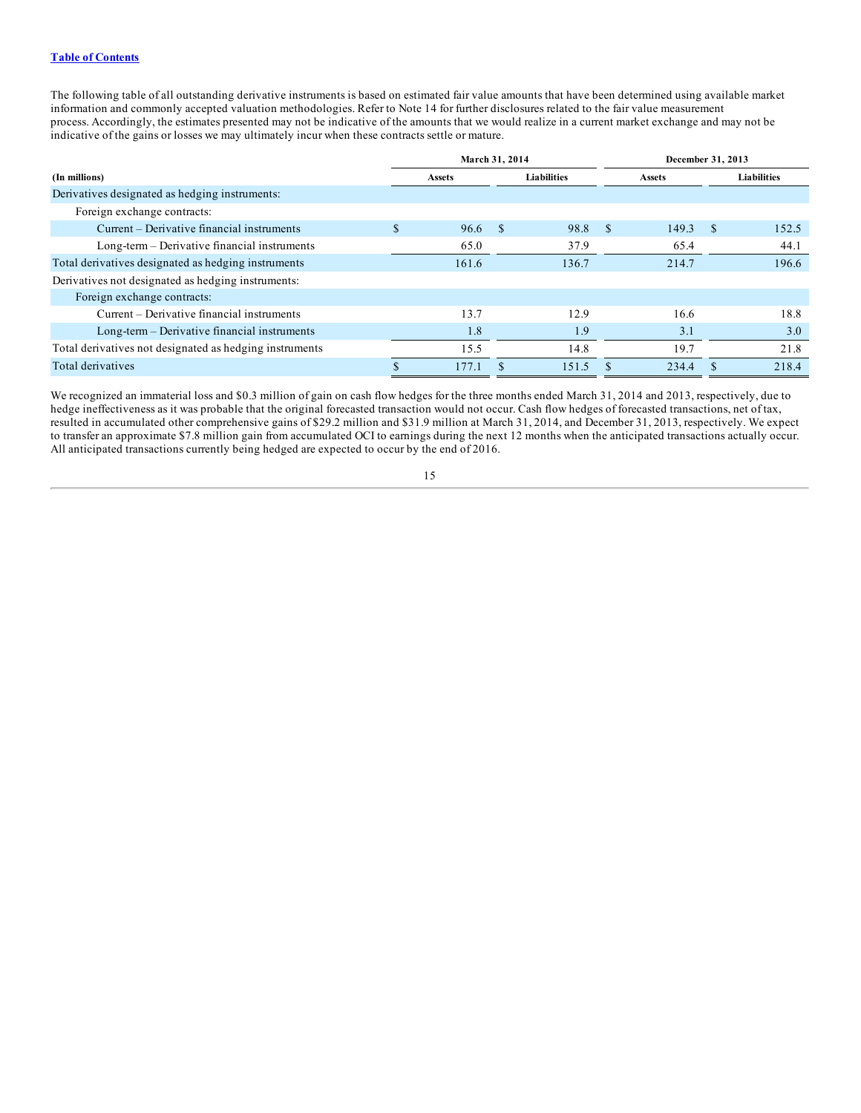# **Table of [Contents](#page-1-0)**

The following table of all outstanding derivative instruments is based on estimated fair value amounts that have been determined using available market information and commonly accepted valuation methodologies. Refer to Note 14 for further disclosures related to the fair value measurement process. Accordingly, the estimates presented may not be indicative of the amounts that we would realize in a current market exchange and may not be indicative of the gains or losses we may ultimately incur when these contracts settle or mature.

|                                                         | March 31, 2014 |        |    | December 31, 2013  |    |               |               |                    |
|---------------------------------------------------------|----------------|--------|----|--------------------|----|---------------|---------------|--------------------|
| (In millions)                                           |                | Assets |    | <b>Liabilities</b> |    | <b>Assets</b> |               | <b>Liabilities</b> |
| Derivatives designated as hedging instruments:          |                |        |    |                    |    |               |               |                    |
| Foreign exchange contracts:                             |                |        |    |                    |    |               |               |                    |
| Current – Derivative financial instruments              | $\mathbb{S}$   | 96.6   | -S | 98.8               | -S | 149.3         | <sup>\$</sup> | 152.5              |
| Long-term – Derivative financial instruments            |                | 65.0   |    | 37.9               |    | 65.4          |               | 44.1               |
| Total derivatives designated as hedging instruments     |                | 161.6  |    | 136.7              |    | 214.7         |               | 196.6              |
| Derivatives not designated as hedging instruments:      |                |        |    |                    |    |               |               |                    |
| Foreign exchange contracts:                             |                |        |    |                    |    |               |               |                    |
| Current – Derivative financial instruments              |                | 13.7   |    | 12.9               |    | 16.6          |               | 18.8               |
| Long-term – Derivative financial instruments            |                | 1.8    |    | 1.9                |    | 3.1           |               | 3.0                |
| Total derivatives not designated as hedging instruments |                | 15.5   |    | 14.8               |    | 19.7          |               | 21.8               |
| Total derivatives                                       | \$             | 177.1  |    | 151.5              |    | 234.4         |               | 218.4              |

We recognized an immaterial loss and \$0.3 million of gain on cash flow hedges for the three months ended March 31, 2014 and 2013, respectively, due to hedge ineffectiveness as it was probable that the original forecasted transaction would not occur. Cash flow hedges of forecasted transactions, net of tax, resulted in accumulated other comprehensive gains of \$29.2 million and \$31.9 million at March 31, 2014, and December 31, 2013, respectively. We expect to transfer an approximate \$7.8 million gain from accumulated OCI to earnings during the next 12 months when the anticipated transactions actually occur. All anticipated transactions currently being hedged are expected to occur by the end of 2016.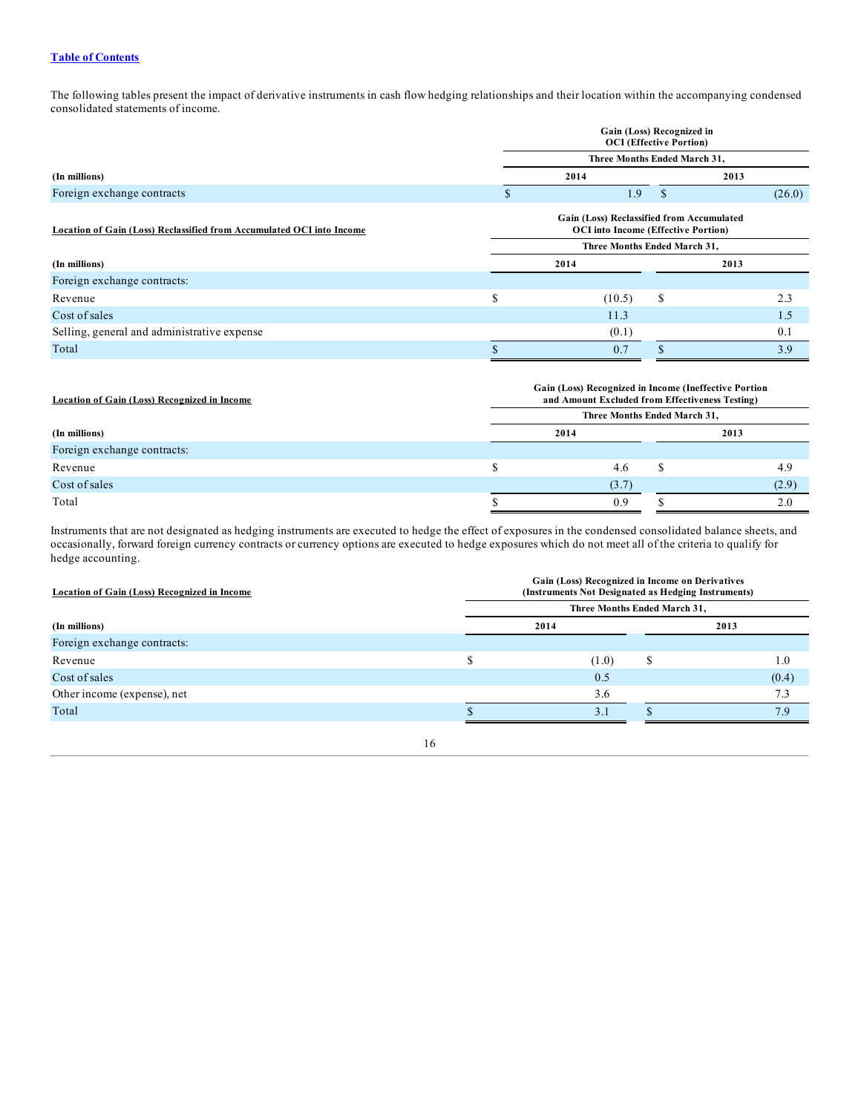# **Table of [Contents](#page-1-0)**

The following tables present the impact of derivative instruments in cash flow hedging relationships and their location within the accompanying condensed consolidated statements of income.

|                                                                       | Gain (Loss) Recognized in<br><b>OCI</b> (Effective Portion)<br>Three Months Ended March 31, |                                                                                                                                          |             |        |  |  |  |  |  |
|-----------------------------------------------------------------------|---------------------------------------------------------------------------------------------|------------------------------------------------------------------------------------------------------------------------------------------|-------------|--------|--|--|--|--|--|
|                                                                       |                                                                                             |                                                                                                                                          |             |        |  |  |  |  |  |
| (In millions)                                                         |                                                                                             | 2014                                                                                                                                     |             | 2013   |  |  |  |  |  |
| Foreign exchange contracts                                            | $\mathbb{S}$                                                                                | 1.9                                                                                                                                      | $\mathbf S$ | (26.0) |  |  |  |  |  |
| Location of Gain (Loss) Reclassified from Accumulated OCI into Income |                                                                                             | Gain (Loss) Reclassified from Accumulated<br><b>OCI</b> into Income (Effective Portion)                                                  |             |        |  |  |  |  |  |
|                                                                       | Three Months Ended March 31,                                                                |                                                                                                                                          |             |        |  |  |  |  |  |
| (In millions)                                                         |                                                                                             | 2014                                                                                                                                     |             | 2013   |  |  |  |  |  |
| Foreign exchange contracts:                                           |                                                                                             |                                                                                                                                          |             |        |  |  |  |  |  |
| Revenue                                                               | \$                                                                                          | (10.5)                                                                                                                                   | \$          | 2.3    |  |  |  |  |  |
| Cost of sales                                                         |                                                                                             | 11.3                                                                                                                                     |             | 1.5    |  |  |  |  |  |
| Selling, general and administrative expense                           |                                                                                             | (0.1)                                                                                                                                    |             | 0.1    |  |  |  |  |  |
| Total                                                                 | $\mathbf S$                                                                                 | 0.7                                                                                                                                      | $\mathbf S$ | 3.9    |  |  |  |  |  |
| <b>Location of Gain (Loss) Recognized in Income</b>                   |                                                                                             | Gain (Loss) Recognized in Income (Ineffective Portion<br>and Amount Excluded from Effectiveness Testing)<br>Three Months Ended March 31, |             |        |  |  |  |  |  |
|                                                                       |                                                                                             |                                                                                                                                          |             |        |  |  |  |  |  |

| (In millions)               | 2014 |       | 2013 |       |
|-----------------------------|------|-------|------|-------|
| Foreign exchange contracts: |      |       |      |       |
| Revenue                     |      | 4.6   |      | 4.9   |
| Cost of sales               |      | (3.7) |      | (2.9) |
| Total                       |      | 0.9   |      | 2.0   |

Instruments that are not designated as hedging instruments are executed to hedge the effect of exposures in the condensed consolidated balance sheets, and occasionally, forward foreign currency contracts or currency options are executed to hedge exposures which do not meet all of the criteria to qualify for hedge accounting.

| Location of Gain (Loss) Recognized in Income |    | Gain (Loss) Recognized in Income on Derivatives<br>(Instruments Not Designated as Hedging Instruments) |       |  |  |  |  |  |  |  |
|----------------------------------------------|----|--------------------------------------------------------------------------------------------------------|-------|--|--|--|--|--|--|--|
|                                              |    | Three Months Ended March 31,                                                                           |       |  |  |  |  |  |  |  |
| (In millions)                                |    | 2014                                                                                                   | 2013  |  |  |  |  |  |  |  |
| Foreign exchange contracts:                  |    |                                                                                                        |       |  |  |  |  |  |  |  |
| Revenue                                      |    | (1.0)<br>\$                                                                                            | 1.0   |  |  |  |  |  |  |  |
| Cost of sales                                |    | 0.5                                                                                                    | (0.4) |  |  |  |  |  |  |  |
| Other income (expense), net                  |    | 3.6                                                                                                    | 7.3   |  |  |  |  |  |  |  |
| Total                                        |    | 3.1                                                                                                    | 7.9   |  |  |  |  |  |  |  |
|                                              | 16 |                                                                                                        |       |  |  |  |  |  |  |  |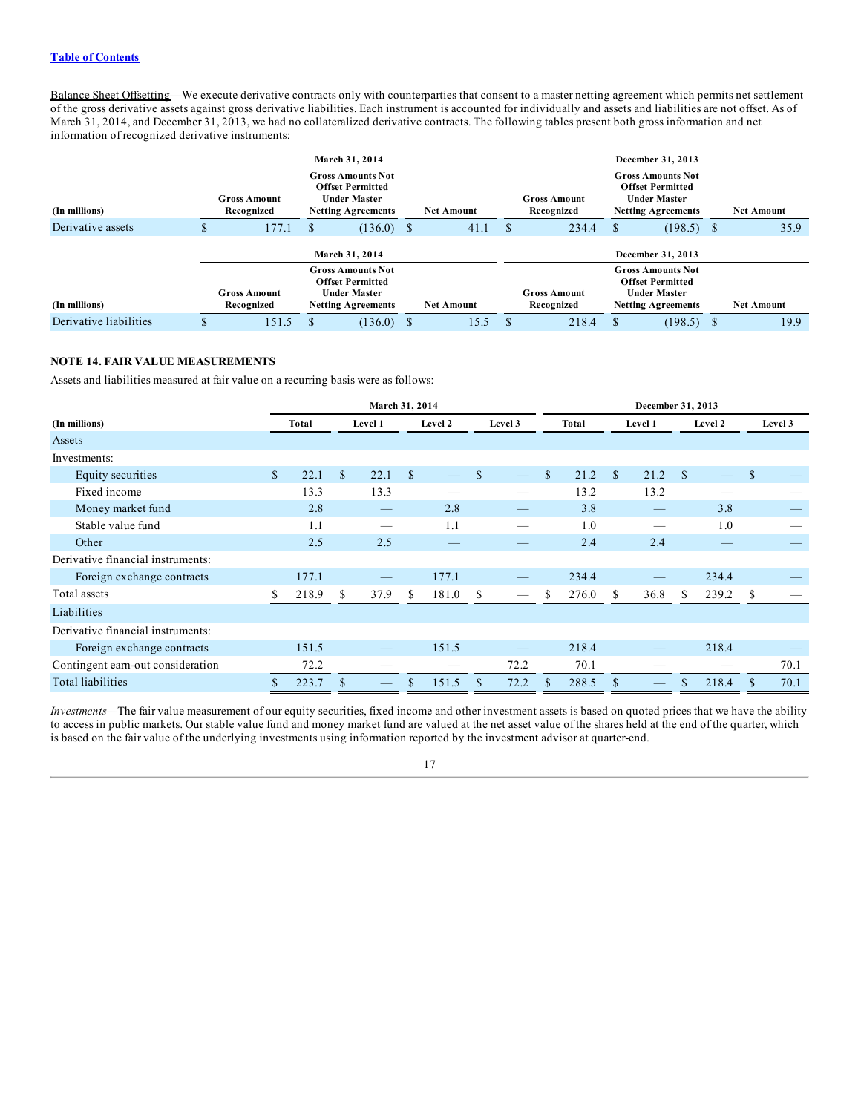Balance Sheet Offsetting—We execute derivative contracts only with counterparties that consent to a master netting agreement which permits net settlement of the gross derivative assets against gross derivative liabilities. Each instrument is accounted for individually and assets and liabilities are not offset. As of March 31, 2014, and December 31, 2013, we had no collateralized derivative contracts. The following tables present both gross information and net information of recognized derivative instruments:

|                        |        |                                   |  | March 31, 2014                                                                                          |      |                   |          |                                   |     | December 31, 2013                                                                                       |    |                   |
|------------------------|--------|-----------------------------------|--|---------------------------------------------------------------------------------------------------------|------|-------------------|----------|-----------------------------------|-----|---------------------------------------------------------------------------------------------------------|----|-------------------|
| (In millions)          |        | <b>Gross Amount</b><br>Recognized |  | <b>Gross Amounts Not</b><br><b>Offset Permitted</b><br><b>Under Master</b><br><b>Netting Agreements</b> |      | <b>Net Amount</b> |          | <b>Gross Amount</b><br>Recognized |     | <b>Gross Amounts Not</b><br><b>Offset Permitted</b><br><b>Under Master</b><br><b>Netting Agreements</b> |    | <b>Net Amount</b> |
| Derivative assets      | Ф      | 177.1                             |  | (136.0)                                                                                                 | - \$ | 41.1              | <b>S</b> | 234.4                             | S   | $(198.5)$ \$                                                                                            |    | 35.9              |
|                        |        |                                   |  | March 31, 2014                                                                                          |      |                   |          |                                   |     | December 31, 2013                                                                                       |    |                   |
| (In millions)          |        | <b>Gross Amount</b><br>Recognized |  | <b>Gross Amounts Not</b><br><b>Offset Permitted</b><br><b>Under Master</b><br><b>Netting Agreements</b> |      | <b>Net Amount</b> |          | <b>Gross Amount</b><br>Recognized |     | <b>Gross Amounts Not</b><br><b>Offset Permitted</b><br><b>Under Master</b><br><b>Netting Agreements</b> |    | <b>Net Amount</b> |
| Derivative liabilities | Φ<br>Ф | 151.5                             |  | (136.0)                                                                                                 | -S   | 15.5              |          | 218.4                             | \$. | (198.5)                                                                                                 | -S | 19.9              |

## **NOTE 14. FAIR VALUE MEASUREMENTS**

Assets and liabilities measured at fair value on a recurring basis were as follows:

|                                   | March 31, 2014<br>December 31, 2013 |       |              |         |               |         |               |         |              |       |               |         |               |         |               |         |
|-----------------------------------|-------------------------------------|-------|--------------|---------|---------------|---------|---------------|---------|--------------|-------|---------------|---------|---------------|---------|---------------|---------|
| (In millions)                     |                                     | Total |              | Level 1 |               | Level 2 |               | Level 3 |              | Total |               | Level 1 |               | Level 2 |               | Level 3 |
| Assets                            |                                     |       |              |         |               |         |               |         |              |       |               |         |               |         |               |         |
| Investments:                      |                                     |       |              |         |               |         |               |         |              |       |               |         |               |         |               |         |
| Equity securities                 | $\mathbb{S}$                        | 22.1  | $\mathbb{S}$ | 22.1    | <sup>\$</sup> |         | <sup>\$</sup> |         | $\mathbf{s}$ | 21.2  | $\mathcal{S}$ | 21.2    | $\mathcal{S}$ |         | <sup>\$</sup> |         |
| Fixed income                      |                                     | 13.3  |              | 13.3    |               |         |               |         |              | 13.2  |               | 13.2    |               |         |               |         |
| Money market fund                 |                                     | 2.8   |              |         |               | 2.8     |               |         |              | 3.8   |               |         |               | 3.8     |               |         |
| Stable value fund                 |                                     | 1.1   |              |         |               | 1.1     |               |         |              | 1.0   |               |         |               | 1.0     |               |         |
| Other                             |                                     | 2.5   |              | 2.5     |               |         |               |         |              | 2.4   |               | 2.4     |               |         |               |         |
| Derivative financial instruments: |                                     |       |              |         |               |         |               |         |              |       |               |         |               |         |               |         |
| Foreign exchange contracts        |                                     | 177.1 |              |         |               | 177.1   |               |         |              | 234.4 |               |         |               | 234.4   |               |         |
| Total assets                      |                                     | 218.9 | S            | 37.9    | S             | 181.0   | £.            |         | S            | 276.0 | <sup>\$</sup> | 36.8    | \$.           | 239.2   |               |         |
| Liabilities                       |                                     |       |              |         |               |         |               |         |              |       |               |         |               |         |               |         |
| Derivative financial instruments: |                                     |       |              |         |               |         |               |         |              |       |               |         |               |         |               |         |
| Foreign exchange contracts        |                                     | 151.5 |              |         |               | 151.5   |               |         |              | 218.4 |               |         |               | 218.4   |               |         |
| Contingent earn-out consideration |                                     | 72.2  |              |         |               |         |               | 72.2    |              | 70.1  |               |         |               |         |               | 70.1    |
| Total liabilities                 | S.                                  | 223.7 |              |         |               | 151.5   | \$.           | 72.2    | \$           | 288.5 | <sup>\$</sup> |         |               | 218.4   |               | 70.1    |

*Investments—*The fair value measurement of our equity securities, fixed income and other investment assets is based on quoted prices that we have the ability to access in public markets. Our stable value fund and money market fund are valued at the net asset value of the shares held at the end of the quarter, which is based on the fair value of the underlying investments using information reported by the investment advisor at quarter-end.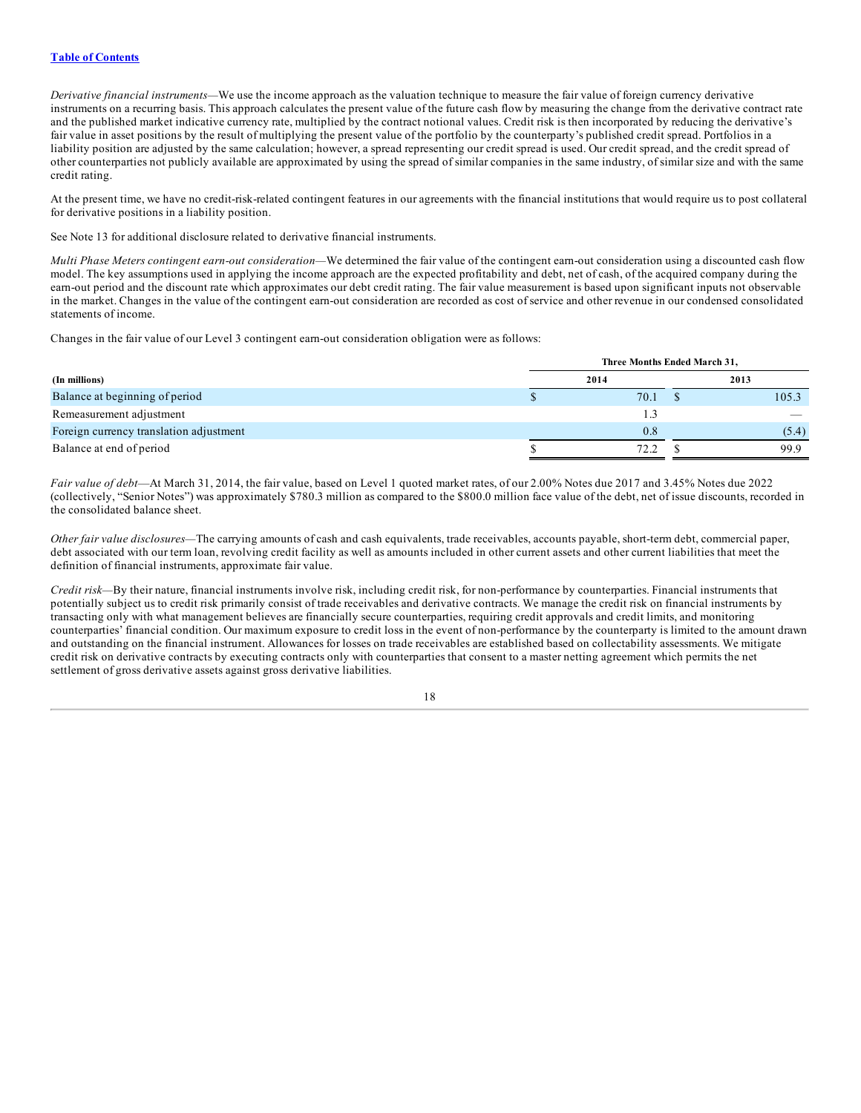*Derivative financial instruments—*We use the income approach as the valuation technique to measure the fair value of foreign currency derivative instruments on a recurring basis. This approach calculates the present value of the future cash flow by measuring the change from the derivative contract rate and the published market indicative currency rate, multiplied by the contract notional values. Credit risk is then incorporated by reducing the derivative's fair value in asset positions by the result of multiplying the present value of the portfolio by the counterparty's published credit spread. Portfolios in a liability position are adjusted by the same calculation; however, a spread representing our credit spread is used. Our credit spread, and the credit spread of other counterparties not publicly available are approximated by using the spread of similar companies in the same industry, of similar size and with the same credit rating.

At the present time, we have no credit-risk-related contingent features in our agreements with the financial institutions that would require us to post collateral for derivative positions in a liability position.

See Note 13 for additional disclosure related to derivative financial instruments.

*Multi Phase Meters contingent earn-out consideration—*We determined the fair value of the contingent earn-out consideration using a discounted cash flow model. The key assumptions used in applying the income approach are the expected profitability and debt, net of cash, of the acquired company during the earn-out period and the discount rate which approximates our debt credit rating. The fair value measurement is based upon significant inputs not observable in the market. Changes in the value of the contingent earn-out consideration are recorded as cost of service and other revenue in our condensed consolidated statements of income.

Changes in the fair value of our Level 3 contingent earn-out consideration obligation were as follows:

|                                         | Three Months Ended March 31, |      |  |       |  |  |  |  |  |
|-----------------------------------------|------------------------------|------|--|-------|--|--|--|--|--|
| (In millions)                           | 2014                         |      |  | 2013  |  |  |  |  |  |
| Balance at beginning of period          |                              | 70.1 |  | 105.3 |  |  |  |  |  |
| Remeasurement adjustment                |                              | 1.3  |  | $-$   |  |  |  |  |  |
| Foreign currency translation adjustment |                              | 0.8  |  | (5.4) |  |  |  |  |  |
| Balance at end of period                |                              | 72.2 |  | 99.9  |  |  |  |  |  |

*Fair value of debt*—At March 31, 2014, the fair value, based on Level 1 quoted market rates, of our 2.00% Notes due 2017 and 3.45% Notes due 2022 (collectively, "Senior Notes") was approximately \$780.3 million as compared to the \$800.0 million face value of the debt, net of issue discounts, recorded in the consolidated balance sheet.

*Other fair value disclosures—*The carrying amounts of cash and cash equivalents, trade receivables, accounts payable, short-term debt, commercial paper, debt associated with our term loan, revolving credit facility as well as amounts included in other current assets and other current liabilities that meet the definition of financial instruments, approximate fair value.

*Credit risk—*By their nature, financial instruments involve risk, including credit risk, for non-performance by counterparties. Financial instruments that potentially subject us to credit risk primarily consist of trade receivables and derivative contracts. We manage the credit risk on financial instruments by transacting only with what management believes are financially secure counterparties, requiring credit approvals and credit limits, and monitoring counterparties' financial condition. Our maximum exposure to credit loss in the event of non-performance by the counterparty is limited to the amount drawn and outstanding on the financial instrument. Allowances for losses on trade receivables are established based on collectability assessments. We mitigate credit risk on derivative contracts by executing contracts only with counterparties that consent to a master netting agreement which permits the net settlement of gross derivative assets against gross derivative liabilities.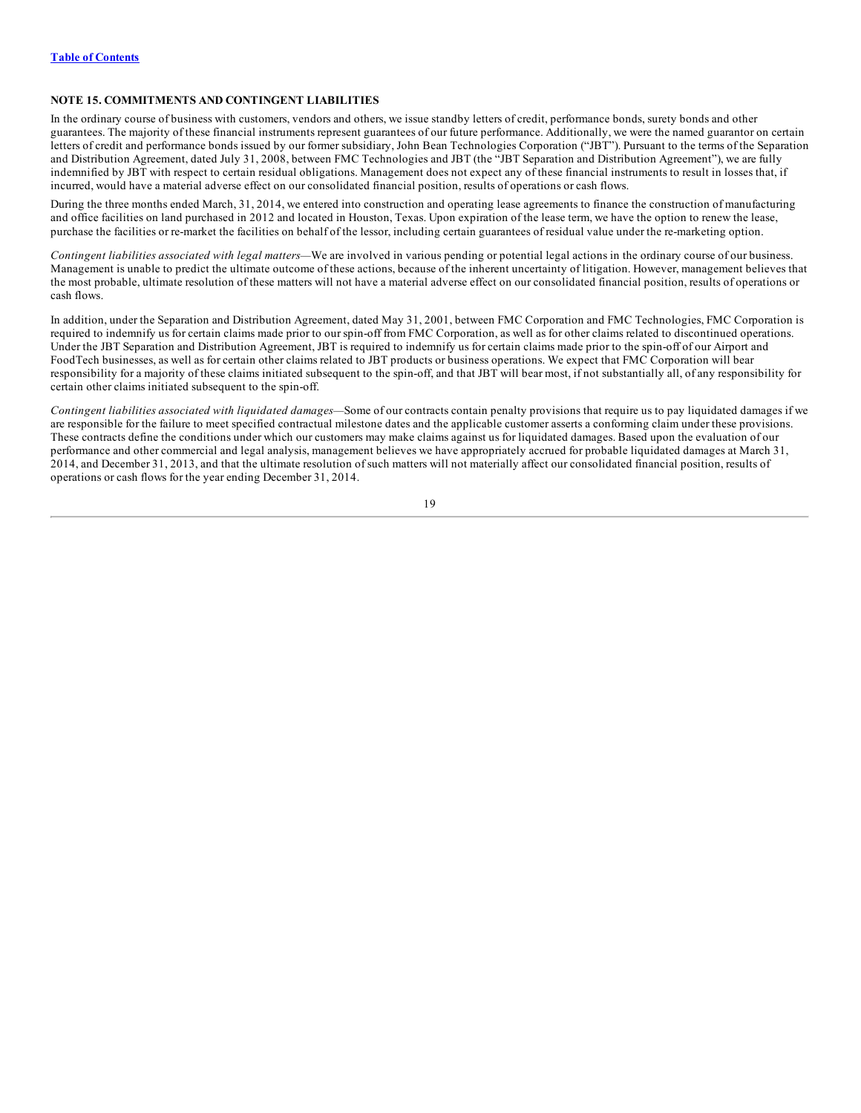#### **NOTE 15. COMMITMENTS AND CONTINGENT LIABILITIES**

In the ordinary course of business with customers, vendors and others, we issue standby letters of credit, performance bonds, surety bonds and other guarantees. The majority of these financial instruments represent guarantees of our future performance. Additionally, we were the named guarantor on certain letters of credit and performance bonds issued by our former subsidiary, John Bean Technologies Corporation ("JBT"). Pursuant to the terms of the Separation and Distribution Agreement, dated July 31, 2008, between FMC Technologies and JBT (the "JBT Separation and Distribution Agreement"), we are fully indemnified by JBT with respect to certain residual obligations. Management does not expect any of these financial instruments to result in losses that, if incurred, would have a material adverse effect on our consolidated financial position, results of operations or cash flows.

During the three months ended March, 31, 2014, we entered into construction and operating lease agreements to finance the construction of manufacturing and office facilities on land purchased in 2012 and located in Houston, Texas. Upon expiration of the lease term, we have the option to renew the lease, purchase the facilities or re-market the facilities on behalf of the lessor, including certain guarantees of residual value under the re-marketing option.

*Contingent liabilities associated with legal matters—*We are involved in various pending or potential legal actions in the ordinary course of our business. Management is unable to predict the ultimate outcome of these actions, because of the inherent uncertainty of litigation. However, management believes that the most probable, ultimate resolution of these matters will not have a material adverse effect on our consolidated financial position, results of operations or cash flows.

In addition, under the Separation and Distribution Agreement, dated May 31, 2001, between FMC Corporation and FMC Technologies, FMC Corporation is required to indemnify us for certain claims made prior to our spin-off from FMC Corporation, as well as for other claims related to discontinued operations. Under the JBT Separation and Distribution Agreement, JBT is required to indemnify us for certain claims made prior to the spin-off of our Airport and FoodTech businesses, as well as for certain other claims related to JBT products or business operations. We expect that FMC Corporation will bear responsibility for a majority of these claims initiated subsequent to the spin-off, and that JBT will bear most, if not substantially all, of any responsibility for certain other claims initiated subsequent to the spin-off.

*Contingent liabilities associated with liquidated damages—*Some of our contracts contain penalty provisions that require us to pay liquidated damages if we are responsible for the failure to meet specified contractual milestone dates and the applicable customer asserts a conforming claim under these provisions. These contracts define the conditions under which our customers may make claims against us for liquidated damages. Based upon the evaluation of our performance and other commercial and legal analysis, management believes we have appropriately accrued for probable liquidated damages at March 31, 2014, and December 31, 2013, and that the ultimate resolution of such matters will not materially affect our consolidated financial position, results of operations or cash flows for the year ending December 31, 2014.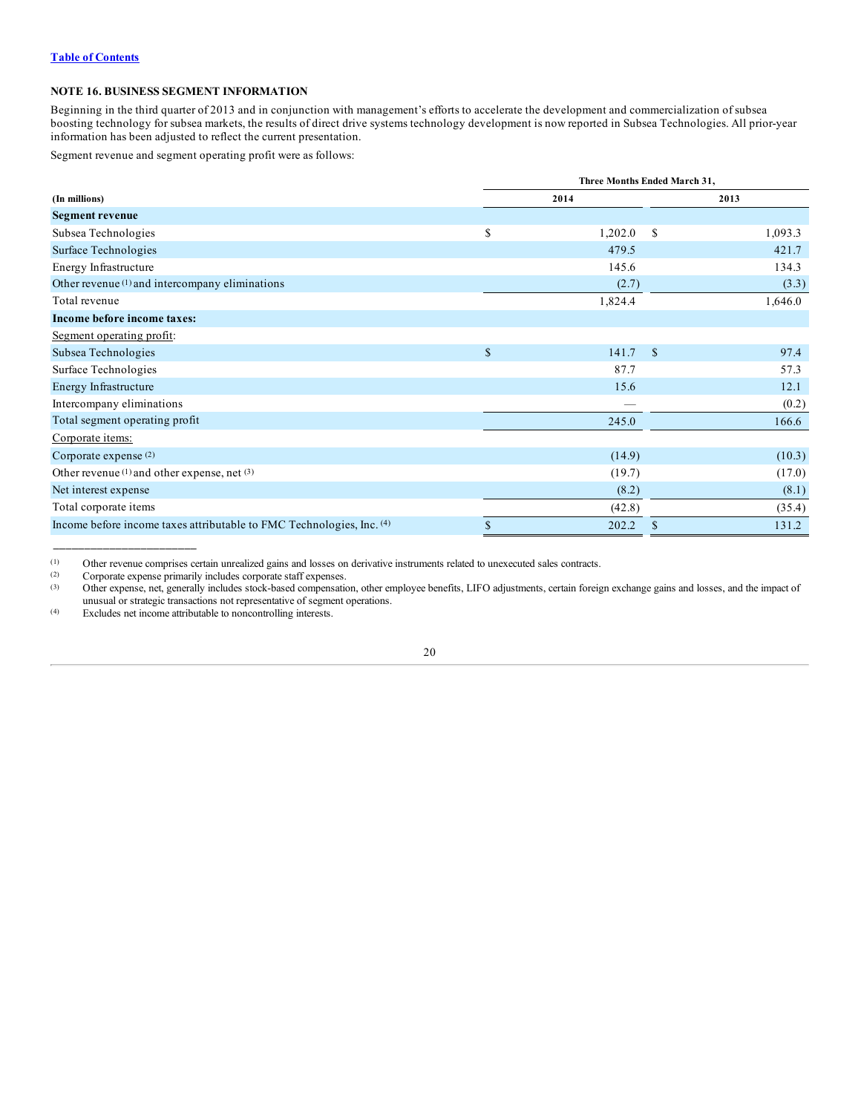#### **NOTE 16. BUSINESS SEGMENT INFORMATION**

Beginning in the third quarter of 2013 and in conjunction with management's efforts to accelerate the development and commercialization of subsea boosting technology for subsea markets, the results of direct drive systems technology development is now reported in Subsea Technologies. All prior-year information has been adjusted to reflect the current presentation.

Segment revenue and segment operating profit were as follows:

|                                                                       | Three Months Ended March 31, |         |               |         |  |  |  |  |  |
|-----------------------------------------------------------------------|------------------------------|---------|---------------|---------|--|--|--|--|--|
| (In millions)                                                         |                              | 2014    |               | 2013    |  |  |  |  |  |
| <b>Segment revenue</b>                                                |                              |         |               |         |  |  |  |  |  |
| Subsea Technologies                                                   | \$                           | 1,202.0 | S             | 1,093.3 |  |  |  |  |  |
| Surface Technologies                                                  |                              | 479.5   |               | 421.7   |  |  |  |  |  |
| Energy Infrastructure                                                 |                              | 145.6   |               | 134.3   |  |  |  |  |  |
| Other revenue <sup>(1)</sup> and intercompany eliminations            |                              | (2.7)   |               | (3.3)   |  |  |  |  |  |
| Total revenue                                                         |                              | 1,824.4 |               | 1,646.0 |  |  |  |  |  |
| Income before income taxes:                                           |                              |         |               |         |  |  |  |  |  |
| Segment operating profit:                                             |                              |         |               |         |  |  |  |  |  |
| Subsea Technologies                                                   | \$                           | 141.7   | <sup>\$</sup> | 97.4    |  |  |  |  |  |
| Surface Technologies                                                  |                              | 87.7    |               | 57.3    |  |  |  |  |  |
| Energy Infrastructure                                                 |                              | 15.6    |               | 12.1    |  |  |  |  |  |
| Intercompany eliminations                                             |                              |         |               | (0.2)   |  |  |  |  |  |
| Total segment operating profit                                        |                              | 245.0   |               | 166.6   |  |  |  |  |  |
| Corporate items:                                                      |                              |         |               |         |  |  |  |  |  |
| Corporate expense $(2)$                                               |                              | (14.9)  |               | (10.3)  |  |  |  |  |  |
| Other revenue <sup>(1)</sup> and other expense, net <sup>(3)</sup>    |                              | (19.7)  |               | (17.0)  |  |  |  |  |  |
| Net interest expense                                                  |                              | (8.2)   |               | (8.1)   |  |  |  |  |  |
| Total corporate items                                                 |                              | (42.8)  |               | (35.4)  |  |  |  |  |  |
| Income before income taxes attributable to FMC Technologies, Inc. (4) | \$                           | 202.2   | <sup>\$</sup> | 131.2   |  |  |  |  |  |

(1) Other revenue comprises certain unrealized gains and losses on derivative instruments related to unexecuted sales contracts.<br>Corporate expense primarily includes corporate staff expenses.

(2) Corporate expense primarily includes corporate staff expenses.

**\_\_\_\_\_\_\_\_\_\_\_\_\_\_\_\_\_\_\_\_\_\_\_**

(3) Other expense, net, generally includes stock-based compensation, other employee benefits, LIFO adjustments, certain foreign exchange gains and losses, and the impact of unusual or strategic transactions not representative of segment operations.

(4) Excludes net income attributable to noncontrolling interests.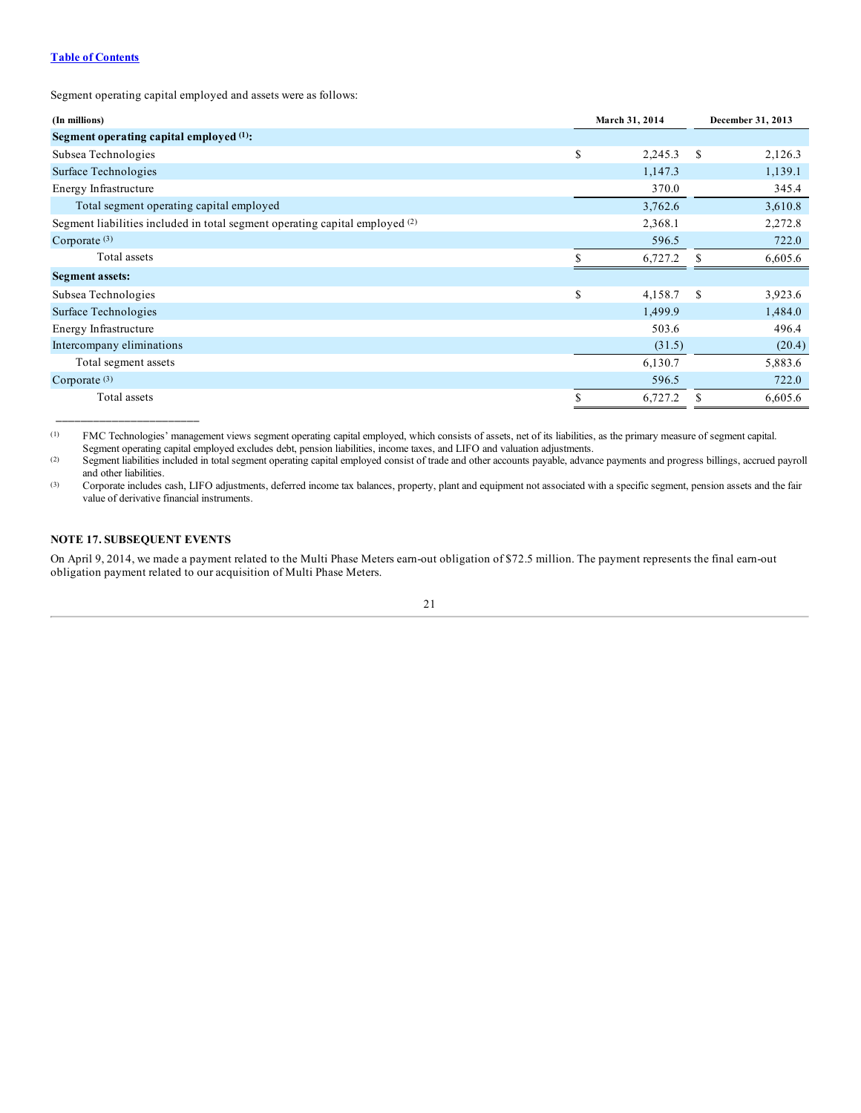# **Table of [Contents](#page-1-0)**

Segment operating capital employed and assets were as follows:

| (In millions)                                                                | March 31, 2014 |     | December 31, 2013 |
|------------------------------------------------------------------------------|----------------|-----|-------------------|
| Segment operating capital employed (1):                                      |                |     |                   |
| Subsea Technologies                                                          | \$<br>2,245.3  | \$. | 2,126.3           |
| Surface Technologies                                                         | 1,147.3        |     | 1,139.1           |
| Energy Infrastructure                                                        | 370.0          |     | 345.4             |
| Total segment operating capital employed                                     | 3,762.6        |     | 3,610.8           |
| Segment liabilities included in total segment operating capital employed (2) | 2,368.1        |     | 2,272.8           |
| Corporate $(3)$                                                              | 596.5          |     | 722.0             |
| Total assets                                                                 | 6,727.2        | S   | 6,605.6           |
| <b>Segment assets:</b>                                                       |                |     |                   |
| Subsea Technologies                                                          | \$<br>4,158.7  | \$. | 3,923.6           |
| Surface Technologies                                                         | 1,499.9        |     | 1,484.0           |
| Energy Infrastructure                                                        | 503.6          |     | 496.4             |
| Intercompany eliminations                                                    | (31.5)         |     | (20.4)            |
| Total segment assets                                                         | 6,130.7        |     | 5,883.6           |
| Corporate $(3)$                                                              | 596.5          |     | 722.0             |
| Total assets                                                                 | 6,727.2        |     | 6,605.6           |

(1) FMC Technologies' management views segment operating capital employed, which consists of assets, net of its liabilities, as the primary measure of segment capital.

Segment operating capital employed excludes debt, pension liabilities, income taxes, and LIFO and valuation adjustments.

(2) Segment liabilities included in total segment operating capital employed consist of trade and other accounts payable, advance payments and progress billings, accrued payroll and other liabilities.

(3) Corporate includes cash, LIFO adjustments, deferred income tax balances, property, plant and equipment not associated with a specific segment, pension assets and the fair value of derivative financial instruments.

# **NOTE 17. SUBSEQUENT EVENTS**

**\_\_\_\_\_\_\_\_\_\_\_\_\_\_\_\_\_\_\_\_\_\_\_**

On April 9, 2014, we made a payment related to the Multi Phase Meters earn-out obligation of \$72.5 million. The payment represents the final earn-out obligation payment related to our acquisition of Multi Phase Meters.

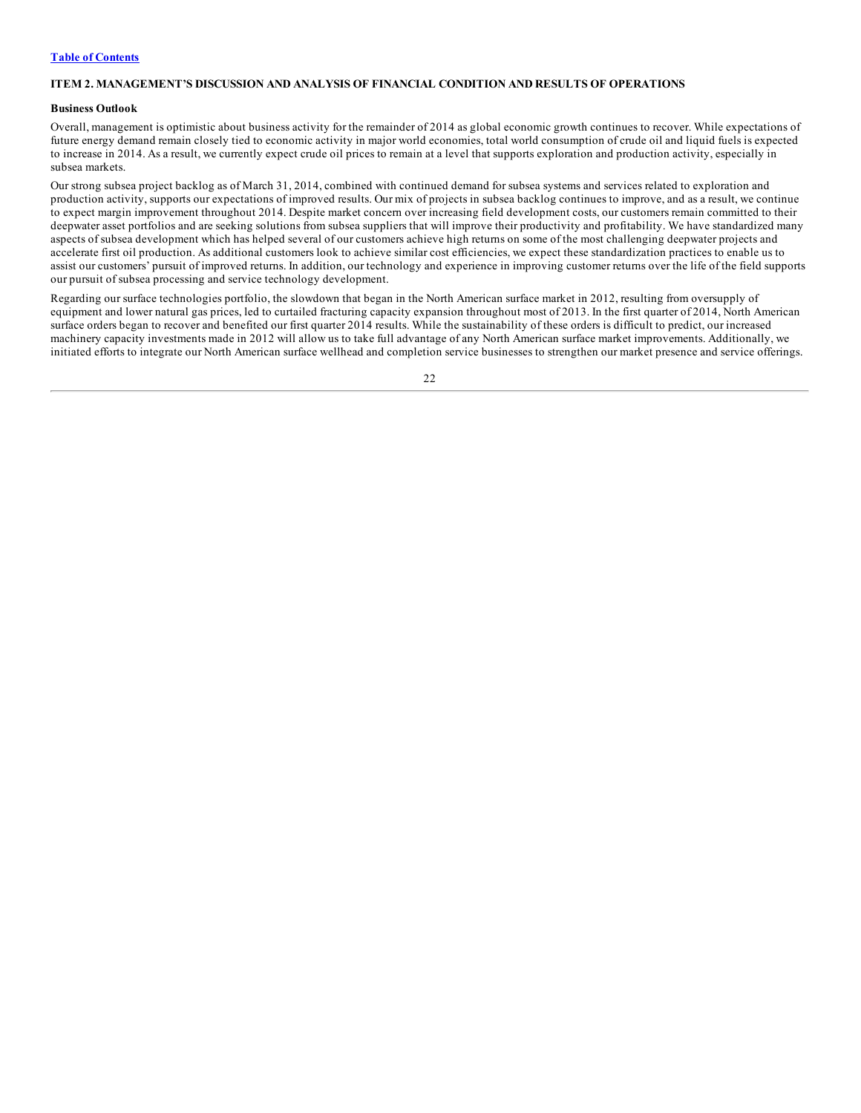#### <span id="page-21-0"></span>**Table of [Contents](#page-1-0)**

#### **ITEM 2. MANAGEMENT'S DISCUSSION AND ANALYSIS OF FINANCIAL CONDITION AND RESULTS OF OPERATIONS**

#### **Business Outlook**

Overall, management is optimistic about business activity for the remainder of 2014 as global economic growth continues to recover. While expectations of future energy demand remain closely tied to economic activity in major world economies, total world consumption of crude oil and liquid fuels is expected to increase in 2014. As a result, we currently expect crude oil prices to remain at a level that supports exploration and production activity, especially in subsea markets.

Our strong subsea project backlog as of March 31, 2014, combined with continued demand for subsea systems and services related to exploration and production activity, supports our expectations of improved results. Our mix of projects in subsea backlog continues to improve, and as a result, we continue to expect margin improvement throughout 2014. Despite market concern over increasing field development costs, our customers remain committed to their deepwater asset portfolios and are seeking solutions from subsea suppliers that will improve their productivity and profitability. We have standardized many aspects of subsea development which has helped several of our customers achieve high returns on some of the most challenging deepwater projects and accelerate first oil production. As additional customers look to achieve similar cost efficiencies, we expect these standardization practices to enable us to assist our customers' pursuit of improved returns. In addition, our technology and experience in improving customer returns over the life of the field supports our pursuit of subsea processing and service technology development.

Regarding our surface technologies portfolio, the slowdown that began in the North American surface market in 2012, resulting from oversupply of equipment and lower natural gas prices, led to curtailed fracturing capacity expansion throughout most of 2013. In the first quarter of 2014, North American surface orders began to recover and benefited our first quarter 2014 results. While the sustainability of these orders is difficult to predict, our increased machinery capacity investments made in 2012 will allow us to take full advantage of any North American surface market improvements. Additionally, we initiated efforts to integrate our North American surface wellhead and completion service businesses to strengthen our market presence and service offerings.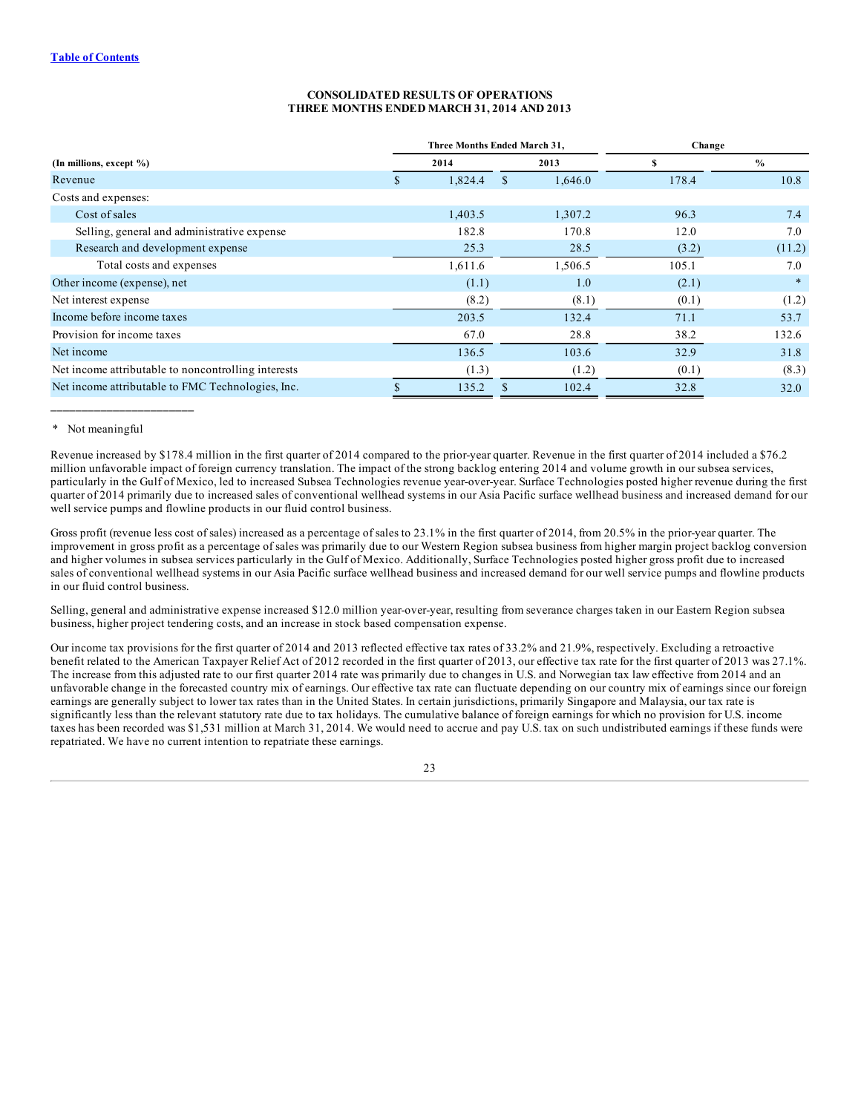#### **CONSOLIDATED RESULTS OF OPERATIONS THREE MONTHS ENDED MARCH 31, 2014 AND 2013**

|                                                     |   | Three Months Ended March 31, |   |         | Change |        |  |  |
|-----------------------------------------------------|---|------------------------------|---|---------|--------|--------|--|--|
| (In millions, except %)                             |   | 2014                         |   | 2013    | \$     | $\%$   |  |  |
| Revenue                                             |   | 1,824.4                      | S | 1,646.0 | 178.4  | 10.8   |  |  |
| Costs and expenses:                                 |   |                              |   |         |        |        |  |  |
| Cost of sales                                       |   | 1,403.5                      |   | 1,307.2 | 96.3   | 7.4    |  |  |
| Selling, general and administrative expense         |   | 182.8                        |   | 170.8   | 12.0   | 7.0    |  |  |
| Research and development expense                    |   | 25.3                         |   | 28.5    | (3.2)  | (11.2) |  |  |
| Total costs and expenses                            |   | 1,611.6                      |   | 1,506.5 | 105.1  | 7.0    |  |  |
| Other income (expense), net                         |   | (1.1)                        |   | 1.0     | (2.1)  | $\ast$ |  |  |
| Net interest expense                                |   | (8.2)                        |   | (8.1)   | (0.1)  | (1.2)  |  |  |
| Income before income taxes                          |   | 203.5                        |   | 132.4   | 71.1   | 53.7   |  |  |
| Provision for income taxes                          |   | 67.0                         |   | 28.8    | 38.2   | 132.6  |  |  |
| Net income                                          |   | 136.5                        |   | 103.6   | 32.9   | 31.8   |  |  |
| Net income attributable to noncontrolling interests |   | (1.3)                        |   | (1.2)   | (0.1)  | (8.3)  |  |  |
| Net income attributable to FMC Technologies, Inc.   | S | 135.2                        |   | 102.4   | 32.8   | 32.0   |  |  |

#### \* Not meaningful

**\_\_\_\_\_\_\_\_\_\_\_\_\_\_\_\_\_\_\_\_\_\_\_**

Revenue increased by \$178.4 million in the first quarter of 2014 compared to the prior-year quarter. Revenue in the first quarter of 2014 included a \$76.2 million unfavorable impact of foreign currency translation. The impact of the strong backlog entering 2014 and volume growth in our subsea services, particularly in the Gulf of Mexico, led to increased Subsea Technologies revenue year-over-year. Surface Technologies posted higher revenue during the first quarter of 2014 primarily due to increased sales of conventional wellhead systems in our Asia Pacific surface wellhead business and increased demand for our well service pumps and flowline products in our fluid control business.

Gross profit (revenue less cost of sales) increased as a percentage of sales to 23.1% in the first quarter of 2014, from 20.5% in the prior-year quarter. The improvement in gross profit as a percentage of sales was primarily due to our Western Region subsea business from higher margin project backlog conversion and higher volumes in subsea services particularly in the Gulf of Mexico. Additionally, Surface Technologies posted higher gross profit due to increased sales of conventional wellhead systems in our Asia Pacific surface wellhead business and increased demand for our well service pumps and flowline products in our fluid control business.

Selling, general and administrative expense increased \$12.0 million year-over-year, resulting from severance charges taken in our Eastern Region subsea business, higher project tendering costs, and an increase in stock based compensation expense.

Our income tax provisions for the first quarter of 2014 and 2013 reflected effective tax rates of 33.2% and 21.9%, respectively. Excluding a retroactive benefit related to the American Taxpayer Relief Act of 2012 recorded in the first quarter of 2013, our effective tax rate for the first quarter of 2013 was 27.1%. The increase from this adjusted rate to our first quarter 2014 rate was primarily due to changes in U.S. and Norwegian tax law effective from 2014 and an unfavorable change in the forecasted country mix of earnings. Our effective tax rate can fluctuate depending on our country mix of earnings since our foreign earnings are generally subject to lower tax rates than in the United States. In certain jurisdictions, primarily Singapore and Malaysia, our tax rate is significantly less than the relevant statutory rate due to tax holidays. The cumulative balance of foreign earnings for which no provision for U.S. income taxes has been recorded was \$1,531 million at March 31, 2014. We would need to accrue and pay U.S. tax on such undistributed earnings if these funds were repatriated. We have no current intention to repatriate these earnings.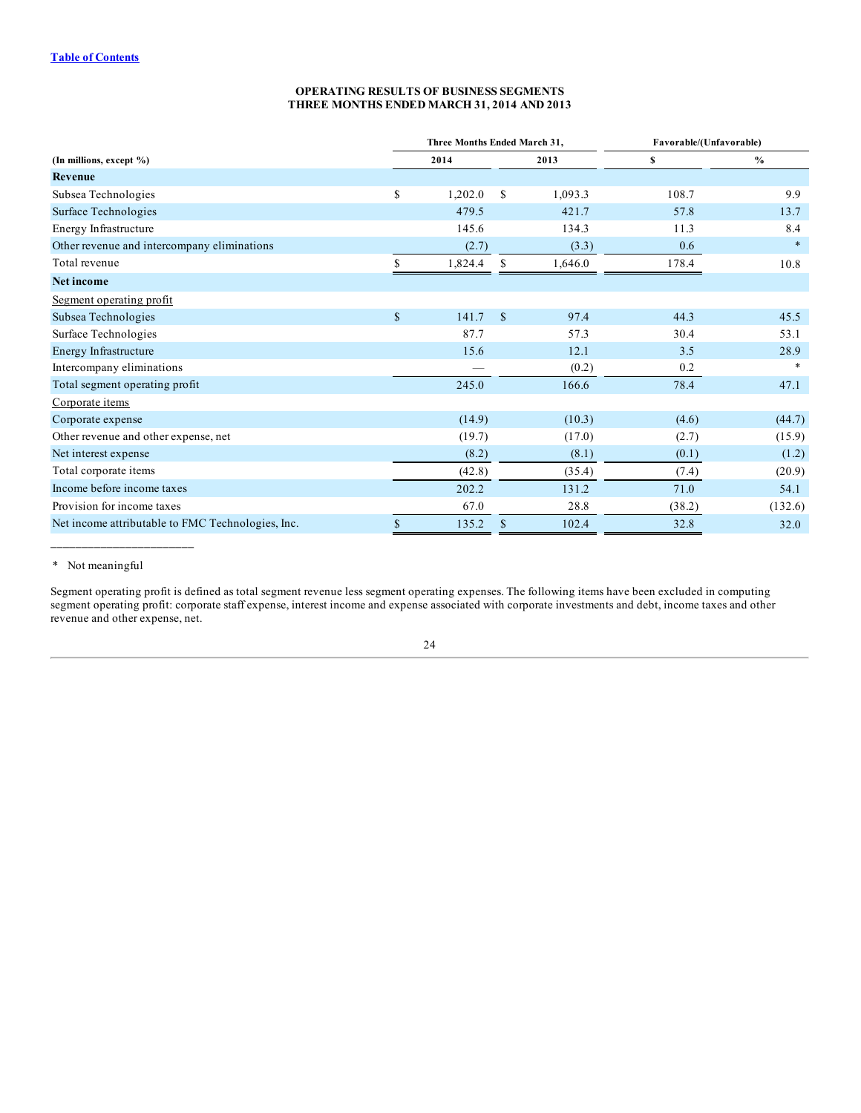# **OPERATING RESULTS OF BUSINESS SEGMENTS THREE MONTHS ENDED MARCH 31, 2014 AND 2013**

|                                                   |              | Three Months Ended March 31, |               | Favorable/(Unfavorable) |              |         |  |
|---------------------------------------------------|--------------|------------------------------|---------------|-------------------------|--------------|---------|--|
| (In millions, except $\%$ )                       |              | 2014                         |               | 2013                    | $\mathbf{s}$ | $\%$    |  |
| Revenue                                           |              |                              |               |                         |              |         |  |
| Subsea Technologies                               | \$           | 1,202.0                      | <sup>\$</sup> | 1,093.3                 | 108.7        | 9.9     |  |
| Surface Technologies                              |              | 479.5                        |               | 421.7                   | 57.8         | 13.7    |  |
| Energy Infrastructure                             |              | 145.6                        |               | 134.3                   | 11.3         | 8.4     |  |
| Other revenue and intercompany eliminations       |              | (2.7)                        |               | (3.3)                   | 0.6          | $\ast$  |  |
| Total revenue                                     | \$           | 1,824.4                      | <sup>\$</sup> | 1,646.0                 | 178.4        | 10.8    |  |
| Net income                                        |              |                              |               |                         |              |         |  |
| Segment operating profit                          |              |                              |               |                         |              |         |  |
| Subsea Technologies                               | $\mathbb{S}$ | 141.7                        | <sup>\$</sup> | 97.4                    | 44.3         | 45.5    |  |
| Surface Technologies                              |              | 87.7                         |               | 57.3                    | 30.4         | 53.1    |  |
| Energy Infrastructure                             |              | 15.6                         |               | 12.1                    | 3.5          | 28.9    |  |
| Intercompany eliminations                         |              |                              |               | (0.2)                   | 0.2          | $\ast$  |  |
| Total segment operating profit                    |              | 245.0                        |               | 166.6                   | 78.4         | 47.1    |  |
| Corporate items                                   |              |                              |               |                         |              |         |  |
| Corporate expense                                 |              | (14.9)                       |               | (10.3)                  | (4.6)        | (44.7)  |  |
| Other revenue and other expense, net              |              | (19.7)                       |               | (17.0)                  | (2.7)        | (15.9)  |  |
| Net interest expense                              |              | (8.2)                        |               | (8.1)                   | (0.1)        | (1.2)   |  |
| Total corporate items                             |              | (42.8)                       |               | (35.4)                  | (7.4)        | (20.9)  |  |
| Income before income taxes                        |              | 202.2                        |               | 131.2                   | 71.0         | 54.1    |  |
| Provision for income taxes                        |              | 67.0                         |               | 28.8                    | (38.2)       | (132.6) |  |
| Net income attributable to FMC Technologies, Inc. | \$           | 135.2                        | $\mathbf S$   | 102.4                   | 32.8         | 32.0    |  |

\* Not meaningful

**\_\_\_\_\_\_\_\_\_\_\_\_\_\_\_\_\_\_\_\_\_\_\_**

Segment operating profit is defined as total segment revenue less segment operating expenses. The following items have been excluded in computing segment operating profit: corporate staff expense, interest income and expense associated with corporate investments and debt, income taxes and other revenue and other expense, net.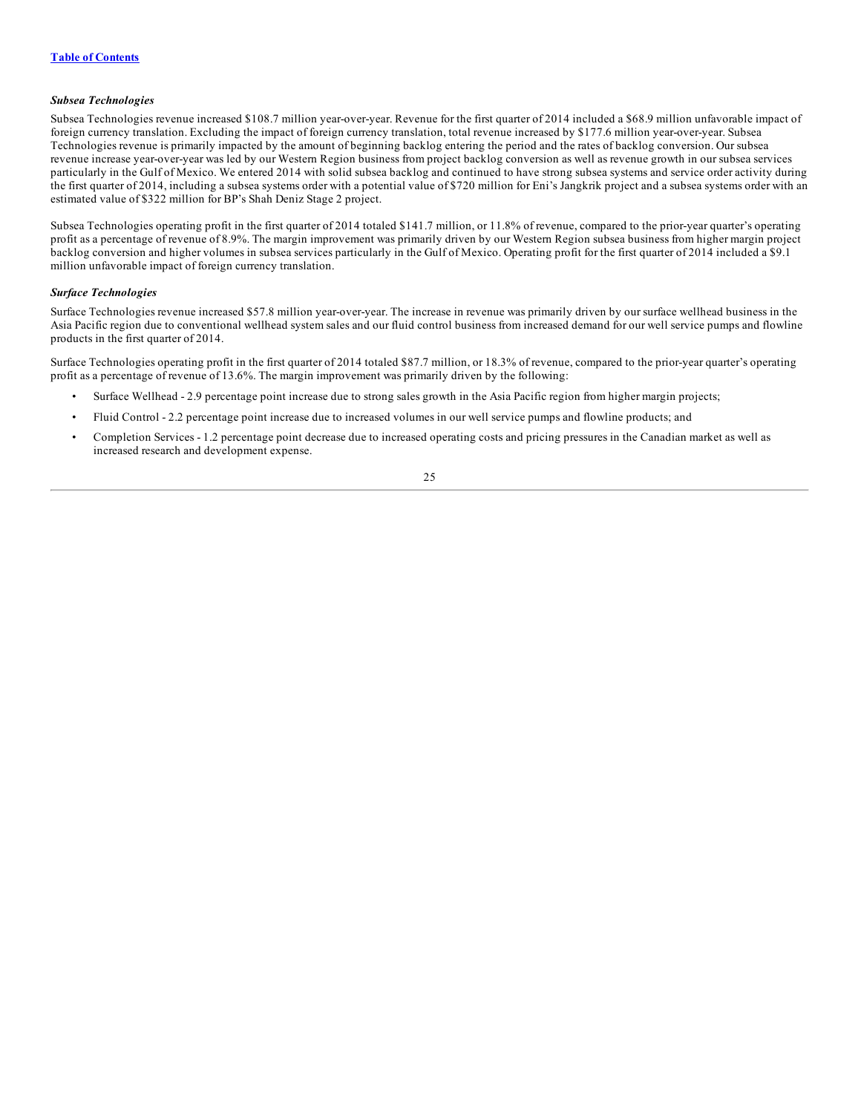#### *Subsea Technologies*

Subsea Technologies revenue increased \$108.7 million year-over-year. Revenue for the first quarter of 2014 included a \$68.9 million unfavorable impact of foreign currency translation. Excluding the impact of foreign currency translation, total revenue increased by \$177.6 million year-over-year. Subsea Technologies revenue is primarily impacted by the amount of beginning backlog entering the period and the rates of backlog conversion. Our subsea revenue increase year-over-year was led by our Western Region business from project backlog conversion as well as revenue growth in our subsea services particularly in the Gulf of Mexico. We entered 2014 with solid subsea backlog and continued to have strong subsea systems and service order activity during the first quarter of 2014, including a subsea systems order with a potential value of \$720 million for Eni's Jangkrik project and a subsea systems order with an estimated value of \$322 million for BP's Shah Deniz Stage 2 project.

Subsea Technologies operating profit in the first quarter of 2014 totaled \$141.7 million, or 11.8% of revenue, compared to the prior-year quarter's operating profit as a percentage of revenue of 8.9%. The margin improvement was primarily driven by our Western Region subsea business from higher margin project backlog conversion and higher volumes in subsea services particularly in the Gulf of Mexico. Operating profit for the first quarter of 2014 included a \$9.1 million unfavorable impact of foreign currency translation.

#### *Surface Technologies*

Surface Technologies revenue increased \$57.8 million year-over-year. The increase in revenue was primarily driven by our surface wellhead business in the Asia Pacific region due to conventional wellhead system sales and our fluid control business from increased demand for our well service pumps and flowline products in the first quarter of 2014.

Surface Technologies operating profit in the first quarter of 2014 totaled \$87.7 million, or 18.3% of revenue, compared to the prior-year quarter's operating profit as a percentage of revenue of 13.6%. The margin improvement was primarily driven by the following:

- Surface Wellhead 2.9 percentage point increase due to strong sales growth in the Asia Pacific region from higher margin projects;
- Fluid Control 2.2 percentage point increase due to increased volumes in our well service pumps and flowline products; and
- Completion Services 1.2 percentage point decrease due to increased operating costs and pricing pressures in the Canadian market as well as increased research and development expense.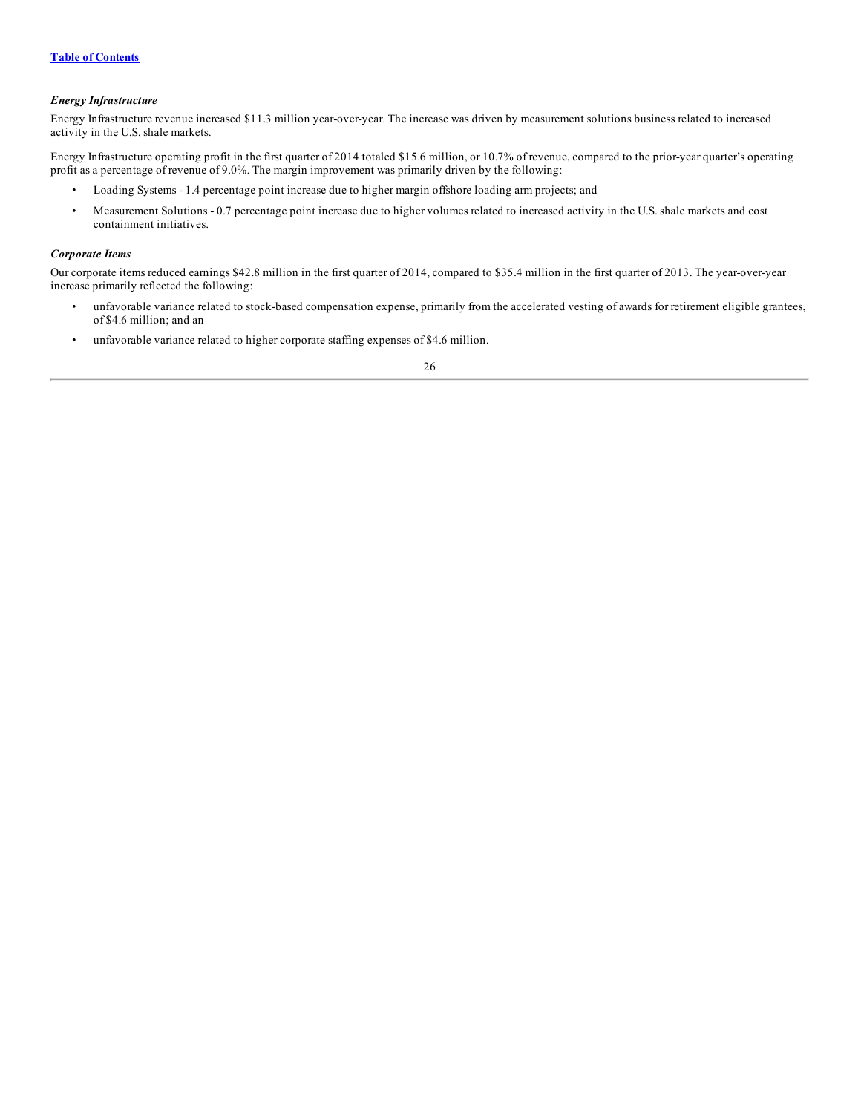#### *Energy Infrastructure*

Energy Infrastructure revenue increased \$11.3 million year-over-year. The increase was driven by measurement solutions business related to increased activity in the U.S. shale markets.

Energy Infrastructure operating profit in the first quarter of 2014 totaled \$15.6 million, or 10.7% of revenue, compared to the prior-year quarter's operating profit as a percentage of revenue of 9.0%. The margin improvement was primarily driven by the following:

- Loading Systems 1.4 percentage point increase due to higher margin offshore loading arm projects; and
- Measurement Solutions 0.7 percentage point increase due to higher volumes related to increased activity in the U.S. shale markets and cost containment initiatives.

### *Corporate Items*

Our corporate items reduced earnings \$42.8 million in the first quarter of 2014, compared to \$35.4 million in the first quarter of 2013. The year-over-year increase primarily reflected the following:

- unfavorable variance related to stock-based compensation expense, primarily from the accelerated vesting of awards for retirement eligible grantees, of \$4.6 million; and an
- unfavorable variance related to higher corporate staffing expenses of \$4.6 million.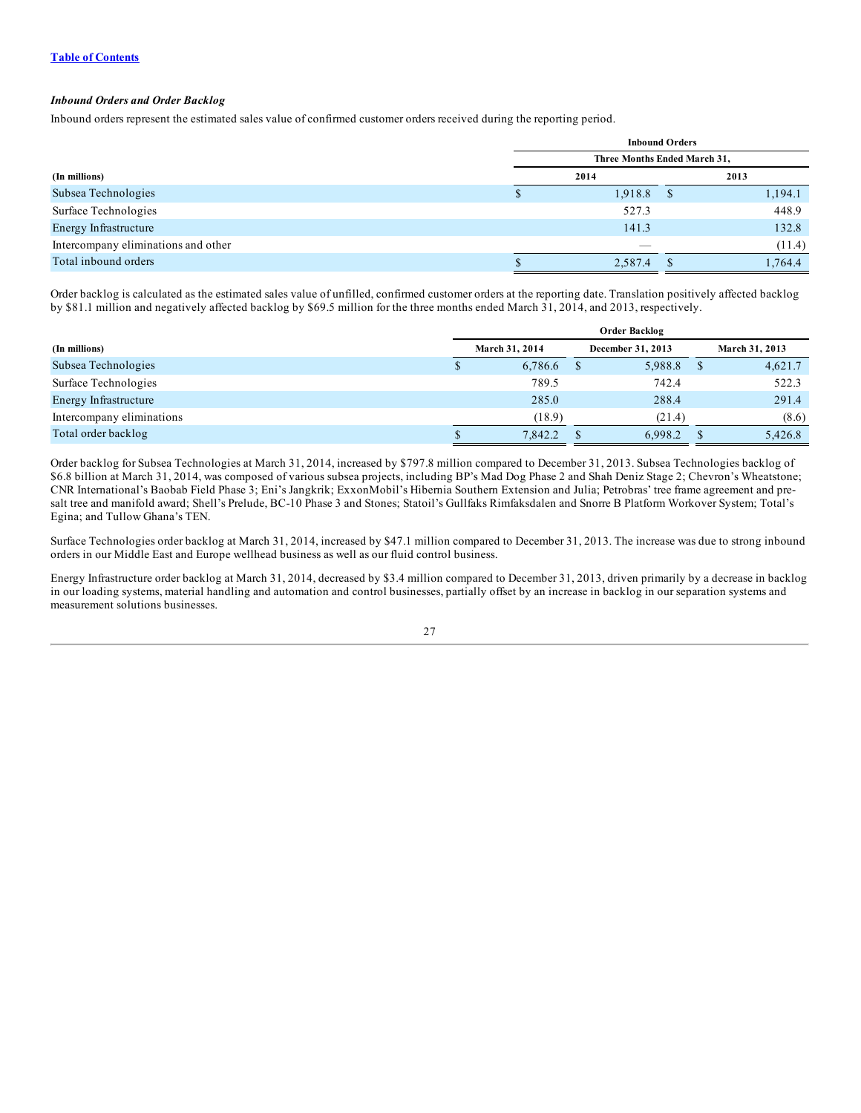# *Inbound Orders and Order Backlog*

Inbound orders represent the estimated sales value of confirmed customer orders received during the reporting period.

|                                     | <b>Inbound Orders</b>        |  |         |  |  |  |  |  |  |  |  |
|-------------------------------------|------------------------------|--|---------|--|--|--|--|--|--|--|--|
|                                     | Three Months Ended March 31, |  |         |  |  |  |  |  |  |  |  |
| (In millions)                       | 2014                         |  | 2013    |  |  |  |  |  |  |  |  |
| Subsea Technologies                 | 1,918.8                      |  | 1,194.1 |  |  |  |  |  |  |  |  |
| Surface Technologies                | 527.3                        |  | 448.9   |  |  |  |  |  |  |  |  |
| Energy Infrastructure               | 141.3                        |  | 132.8   |  |  |  |  |  |  |  |  |
| Intercompany eliminations and other | $\overline{\phantom{a}}$     |  | (11.4)  |  |  |  |  |  |  |  |  |
| Total inbound orders                | 2,587.4                      |  | 1,764.4 |  |  |  |  |  |  |  |  |

Order backlog is calculated as the estimated sales value of unfilled, confirmed customer orders at the reporting date. Translation positively affected backlog by \$81.1 million and negatively affected backlog by \$69.5 million for the three months ended March 31, 2014, and 2013, respectively.

|                           | Order Backlog |                |  |                   |  |                |  |  |  |
|---------------------------|---------------|----------------|--|-------------------|--|----------------|--|--|--|
| (In millions)             |               | March 31, 2014 |  | December 31, 2013 |  | March 31, 2013 |  |  |  |
| Subsea Technologies       | ъ             | 6,786.6        |  | 5,988.8           |  | 4,621.7        |  |  |  |
| Surface Technologies      |               | 789.5          |  | 742.4             |  | 522.3          |  |  |  |
| Energy Infrastructure     |               | 285.0          |  | 288.4             |  | 291.4          |  |  |  |
| Intercompany eliminations |               | (18.9)         |  | (21.4)            |  | (8.6)          |  |  |  |
| Total order backlog       |               | 7.842.2        |  | 6,998.2           |  | 5,426.8        |  |  |  |

Order backlog for Subsea Technologies at March 31, 2014, increased by \$797.8 million compared to December 31, 2013. Subsea Technologies backlog of \$6.8 billion at March 31, 2014, was composed of various subsea projects, including BP's Mad Dog Phase 2 and Shah Deniz Stage 2; Chevron's Wheatstone; CNR International's Baobab Field Phase 3; Eni's Jangkrik; ExxonMobil's Hibernia Southern Extension and Julia; Petrobras' tree frame agreement and presalt tree and manifold award; Shell's Prelude, BC-10 Phase 3 and Stones; Statoil's Gullfaks Rimfaksdalen and Snorre B Platform Workover System; Total's Egina; and Tullow Ghana's TEN.

Surface Technologies order backlog at March 31, 2014, increased by \$47.1 million compared to December 31, 2013. The increase was due to strong inbound orders in our Middle East and Europe wellhead business as well as our fluid control business.

Energy Infrastructure order backlog at March 31, 2014, decreased by \$3.4 million compared to December 31, 2013, driven primarily by a decrease in backlog in our loading systems, material handling and automation and control businesses, partially offset by an increase in backlog in our separation systems and measurement solutions businesses.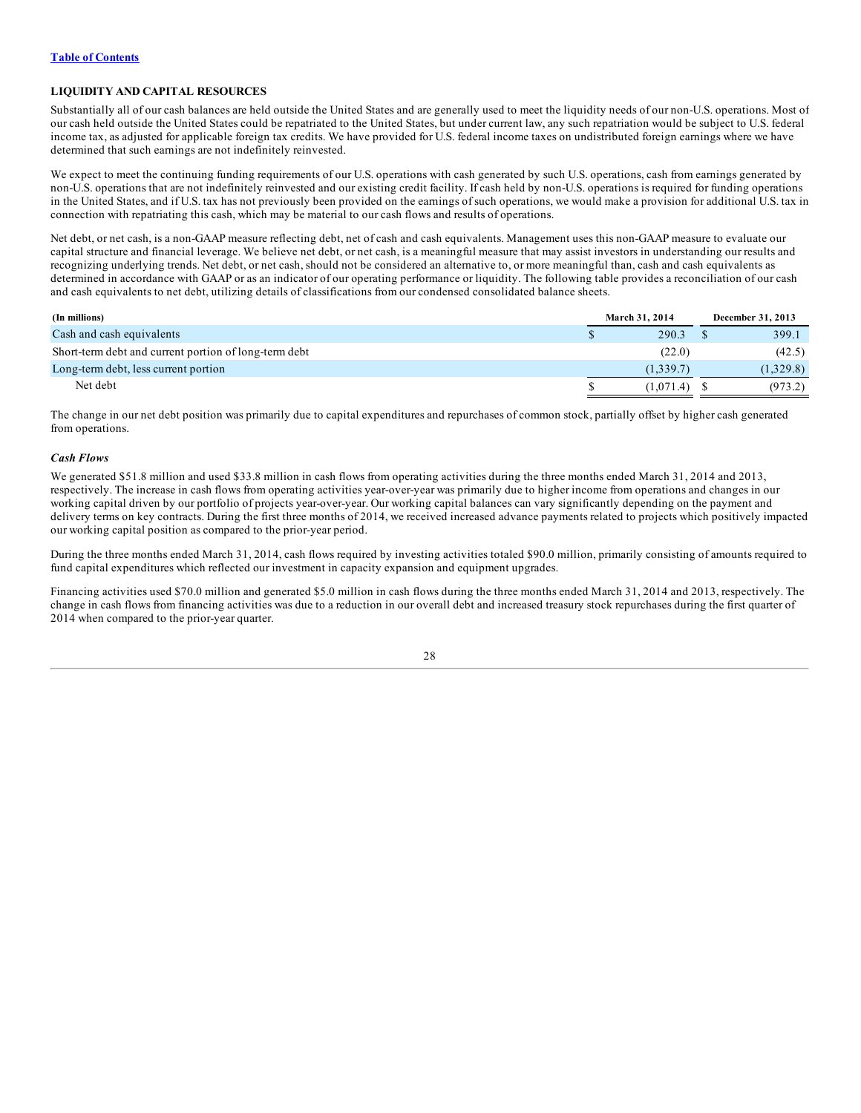#### **LIQUIDITY AND CAPITAL RESOURCES**

Substantially all of our cash balances are held outside the United States and are generally used to meet the liquidity needs of our non-U.S. operations. Most of our cash held outside the United States could be repatriated to the United States, but under current law, any such repatriation would be subject to U.S. federal income tax, as adjusted for applicable foreign tax credits. We have provided for U.S. federal income taxes on undistributed foreign earnings where we have determined that such earnings are not indefinitely reinvested.

We expect to meet the continuing funding requirements of our U.S. operations with cash generated by such U.S. operations, cash from earnings generated by non-U.S. operations that are not indefinitely reinvested and our existing credit facility. If cash held by non-U.S. operations is required for funding operations in the United States, and if U.S. tax has not previously been provided on the earnings of such operations, we would make a provision for additional U.S. tax in connection with repatriating this cash, which may be material to our cash flows and results of operations.

Net debt, or net cash, is a non-GAAP measure reflecting debt, net of cash and cash equivalents. Management uses this non-GAAP measure to evaluate our capital structure and financial leverage. We believe net debt, or net cash, is a meaningful measure that may assist investors in understanding our results and recognizing underlying trends. Net debt, or net cash, should not be considered an alternative to, or more meaningful than, cash and cash equivalents as determined in accordance with GAAP or as an indicator of our operating performance or liquidity. The following table provides a reconciliation of our cash and cash equivalents to net debt, utilizing details of classifications from our condensed consolidated balance sheets.

| (In millions)                                         | <b>March 31, 2014</b> | December 31, 2013 |
|-------------------------------------------------------|-----------------------|-------------------|
| Cash and cash equivalents                             | 290.3                 | 399.1             |
| Short-term debt and current portion of long-term debt | (22.0)                | (42.5)            |
| Long-term debt, less current portion                  | (1.339.7)             | (1,329.8)         |
| Net debt                                              | (1.071.4)             | (973.2)           |

The change in our net debt position was primarily due to capital expenditures and repurchases of common stock, partially offset by higher cash generated from operations.

#### *Cash Flows*

We generated \$51.8 million and used \$33.8 million in cash flows from operating activities during the three months ended March 31, 2014 and 2013, respectively. The increase in cash flows from operating activities year-over-year was primarily due to higher income from operations and changes in our working capital driven by our portfolio of projects year-over-year. Our working capital balances can vary significantly depending on the payment and delivery terms on key contracts. During the first three months of 2014, we received increased advance payments related to projects which positively impacted our working capital position as compared to the prior-year period.

During the three months ended March 31, 2014, cash flows required by investing activities totaled \$90.0 million, primarily consisting of amounts required to fund capital expenditures which reflected our investment in capacity expansion and equipment upgrades.

Financing activities used \$70.0 million and generated \$5.0 million in cash flows during the three months ended March 31, 2014 and 2013, respectively. The change in cash flows from financing activities was due to a reduction in our overall debt and increased treasury stock repurchases during the first quarter of 2014 when compared to the prior-year quarter.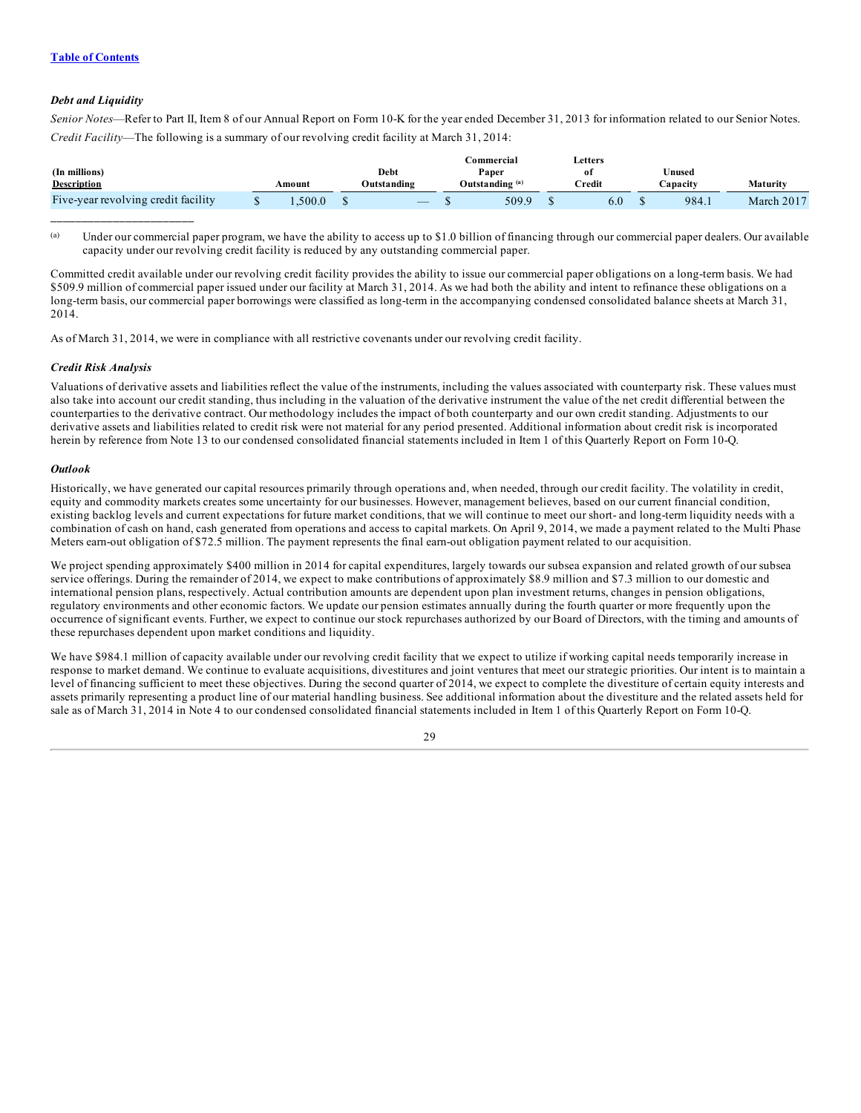#### *Debt and Liquidity*

**\_\_\_\_\_\_\_\_\_\_\_\_\_\_\_\_\_\_\_\_\_\_\_**

*Senior Notes*—Refer to Part II, Item 8 of our Annual Report on Form 10-K for the year ended December 31, 2013 for information related to our Senior Notes. *Credit Facility*—The following is a summary of our revolving credit facility at March 31, 2014:

|                                     |         |             | `ommercial      | Letters |                 |            |
|-------------------------------------|---------|-------------|-----------------|---------|-----------------|------------|
| (In millions)                       |         | Debt        | Paper           | 01      | ∪nused          |            |
| <b>Description</b>                  | A mount | Outstanding | Outstanding (a) | `redit  | <b>Capacity</b> | Maturity   |
| Five-year revolving credit facility | .500.0  | المستدرا    | 509.9           | 6.0     | 984.1           | March 2017 |

(a) Under our commercial paper program, we have the ability to access up to \$1.0 billion of financing through our commercial paper dealers. Our available capacity under our revolving credit facility is reduced by any outstanding commercial paper.

Committed credit available under our revolving credit facility provides the ability to issue our commercial paper obligations on a long-term basis. We had \$509.9 million of commercial paper issued under our facility at March 31, 2014. As we had both the ability and intent to refinance these obligations on a long-term basis, our commercial paper borrowings were classified as long-term in the accompanying condensed consolidated balance sheets at March 31, 2014.

As of March 31, 2014, we were in compliance with all restrictive covenants under our revolving credit facility.

#### *Credit Risk Analysis*

Valuations of derivative assets and liabilities reflect the value of the instruments, including the values associated with counterparty risk. These values must also take into account our credit standing, thus including in the valuation of the derivative instrument the value of the net credit differential between the counterparties to the derivative contract. Our methodology includes the impact of both counterparty and our own credit standing. Adjustments to our derivative assets and liabilities related to credit risk were not material for any period presented. Additional information about credit risk is incorporated herein by reference from Note 13 to our condensed consolidated financial statements included in Item 1 of this Quarterly Report on Form 10-Q.

#### *Outlook*

Historically, we have generated our capital resources primarily through operations and, when needed, through our credit facility. The volatility in credit, equity and commodity markets creates some uncertainty for our businesses. However, management believes, based on our current financial condition, existing backlog levels and current expectations for future market conditions, that we will continue to meet our short- and long-term liquidity needs with a combination of cash on hand, cash generated from operations and access to capital markets. On April 9, 2014, we made a payment related to the Multi Phase Meters earn-out obligation of \$72.5 million. The payment represents the final earn-out obligation payment related to our acquisition.

We project spending approximately \$400 million in 2014 for capital expenditures, largely towards our subsea expansion and related growth of our subsea service offerings. During the remainder of 2014, we expect to make contributions of approximately \$8.9 million and \$7.3 million to our domestic and international pension plans, respectively. Actual contribution amounts are dependent upon plan investment returns, changes in pension obligations, regulatory environments and other economic factors. We update our pension estimates annually during the fourth quarter or more frequently upon the occurrence of significant events. Further, we expect to continue our stock repurchases authorized by our Board of Directors, with the timing and amounts of these repurchases dependent upon market conditions and liquidity.

We have \$984.1 million of capacity available under our revolving credit facility that we expect to utilize if working capital needs temporarily increase in response to market demand. We continue to evaluate acquisitions, divestitures and joint ventures that meet our strategic priorities. Our intent is to maintain a level of financing sufficient to meet these objectives. During the second quarter of 2014, we expect to complete the divestiture of certain equity interests and assets primarily representing a product line of our material handling business. See additional information about the divestiture and the related assets held for sale as of March 31, 2014 in Note 4 to our condensed consolidated financial statements included in Item 1 of this Quarterly Report on Form 10-Q.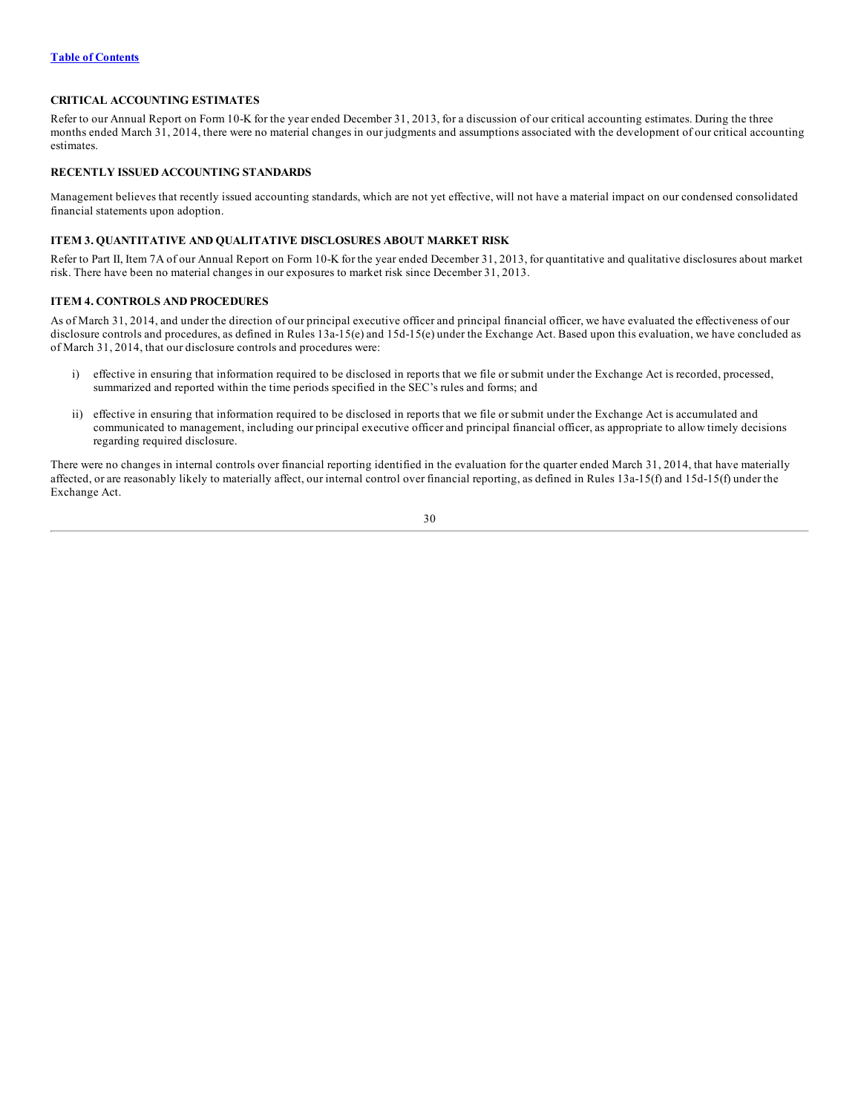# <span id="page-29-0"></span>**CRITICAL ACCOUNTING ESTIMATES**

Refer to our Annual Report on Form 10-K for the year ended December 31, 2013, for a discussion of our critical accounting estimates. During the three months ended March 31, 2014, there were no material changes in our judgments and assumptions associated with the development of our critical accounting estimates.

# **RECENTLY ISSUED ACCOUNTING STANDARDS**

Management believes that recently issued accounting standards, which are not yet effective, will not have a material impact on our condensed consolidated financial statements upon adoption.

#### **ITEM 3. QUANTITATIVE AND QUALITATIVE DISCLOSURES ABOUT MARKET RISK**

Refer to Part II, Item 7A of our Annual Report on Form 10-K for the year ended December 31, 2013, for quantitative and qualitative disclosures about market risk. There have been no material changes in our exposures to market risk since December 31, 2013.

#### **ITEM 4. CONTROLS AND PROCEDURES**

As of March 31, 2014, and under the direction of our principal executive officer and principal financial officer, we have evaluated the effectiveness of our disclosure controls and procedures, as defined in Rules 13a-15(e) and 15d-15(e) under the Exchange Act. Based upon this evaluation, we have concluded as of March 31, 2014, that our disclosure controls and procedures were:

- i) effective in ensuring that information required to be disclosed in reports that we file or submit under the Exchange Act is recorded, processed, summarized and reported within the time periods specified in the SEC's rules and forms; and
- ii) effective in ensuring that information required to be disclosed in reports that we file or submit under the Exchange Act is accumulated and communicated to management, including our principal executive officer and principal financial officer, as appropriate to allow timely decisions regarding required disclosure.

There were no changes in internal controls over financial reporting identified in the evaluation for the quarter ended March 31, 2014, that have materially affected, or are reasonably likely to materially affect, our internal control over financial reporting, as defined in Rules 13a-15(f) and 15d-15(f) under the Exchange Act.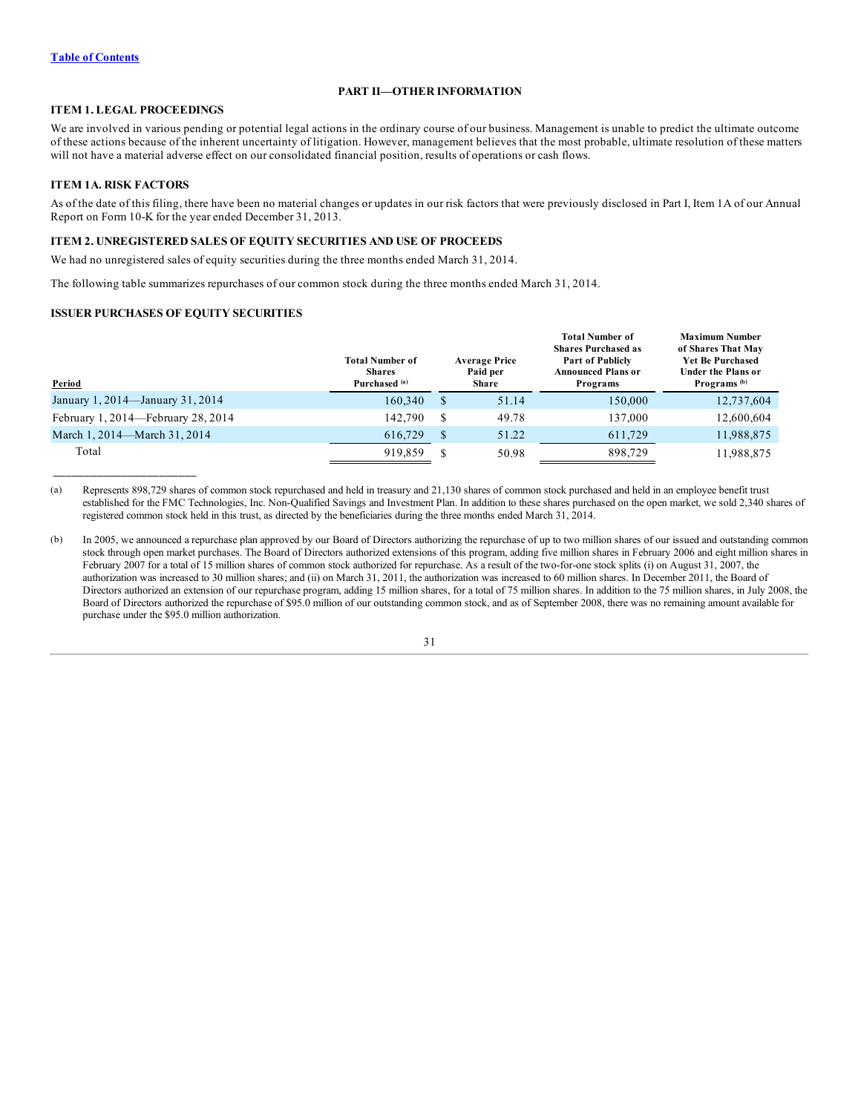#### **PART II—OTHER INFORMATION**

# <span id="page-30-0"></span>**ITEM 1. LEGAL PROCEEDINGS**

We are involved in various pending or potential legal actions in the ordinary course of our business. Management is unable to predict the ultimate outcome of these actions because of the inherent uncertainty of litigation. However, management believes that the most probable, ultimate resolution of these matters will not have a material adverse effect on our consolidated financial position, results of operations or cash flows.

#### **ITEM 1A. RISK FACTORS**

**\_\_\_\_\_\_\_\_\_\_\_\_\_\_\_\_\_\_\_\_\_\_\_**

As of the date of this filing, there have been no material changes or updates in our risk factors that were previously disclosed in Part I, Item 1A of our Annual Report on Form 10-K for the year ended December 31, 2013.

#### **ITEM 2. UNREGISTERED SALES OF EQUITY SECURITIES AND USE OF PROCEEDS**

We had no unregistered sales of equity securities during the three months ended March 31, 2014.

The following table summarizes repurchases of our common stock during the three months ended March 31, 2014.

#### **ISSUER PURCHASES OF EQUITY SECURITIES**

| Period                             | <b>Total Number of</b><br><b>Shares</b><br>Purchased <sup>(a)</sup> |               | <b>Average Price</b><br>Paid per<br>Share | <b>Total Number of</b><br><b>Shares Purchased as</b><br><b>Part of Publicly</b><br><b>Announced Plans or</b><br>Programs | <b>Maximum Number</b><br>of Shares That May<br><b>Yet Be Purchased</b><br>Under the Plans or<br>Programs <sup>(b)</sup> |  |  |
|------------------------------------|---------------------------------------------------------------------|---------------|-------------------------------------------|--------------------------------------------------------------------------------------------------------------------------|-------------------------------------------------------------------------------------------------------------------------|--|--|
| January 1, 2014—January 31, 2014   | 160,340                                                             | <sup>\$</sup> | 51.14                                     | 150,000                                                                                                                  | 12,737,604                                                                                                              |  |  |
| February 1, 2014—February 28, 2014 | 142.790                                                             | S             | 49.78                                     | 137,000                                                                                                                  | 12,600,604                                                                                                              |  |  |
| March 1, 2014—March 31, 2014       | 616,729                                                             | S             | 51.22                                     | 611.729                                                                                                                  | 11,988,875                                                                                                              |  |  |
| Total                              | 919.859                                                             | S             | 50.98                                     | 898,729                                                                                                                  | 11,988,875                                                                                                              |  |  |

(a) Represents 898,729 shares of common stock repurchased and held in treasury and 21,130 shares of common stock purchased and held in an employee benefit trust established for the FMC Technologies, Inc. Non-Qualified Savings and Investment Plan. In addition to these shares purchased on the open market, we sold 2,340 shares of registered common stock held in this trust, as directed by the beneficiaries during the three months ended March 31, 2014.

(b) In 2005, we announced a repurchase plan approved by our Board of Directors authorizing the repurchase of up to two million shares of our issued and outstanding common stock through open market purchases. The Board of Directors authorized extensions of this program, adding five million shares in February 2006 and eight million shares in February 2007 for a total of 15 million shares of common stock authorized for repurchase. As a result of the two-for-one stock splits (i) on August 31, 2007, the authorization was increased to 30 million shares; and (ii) on March 31, 2011, the authorization was increased to 60 million shares. In December 2011, the Board of Directors authorized an extension of our repurchase program, adding 15 million shares, for a total of 75 million shares. In addition to the 75 million shares, in July 2008, the Board of Directors authorized the repurchase of \$95.0 million of our outstanding common stock, and as of September 2008, there was no remaining amount available for purchase under the \$95.0 million authorization.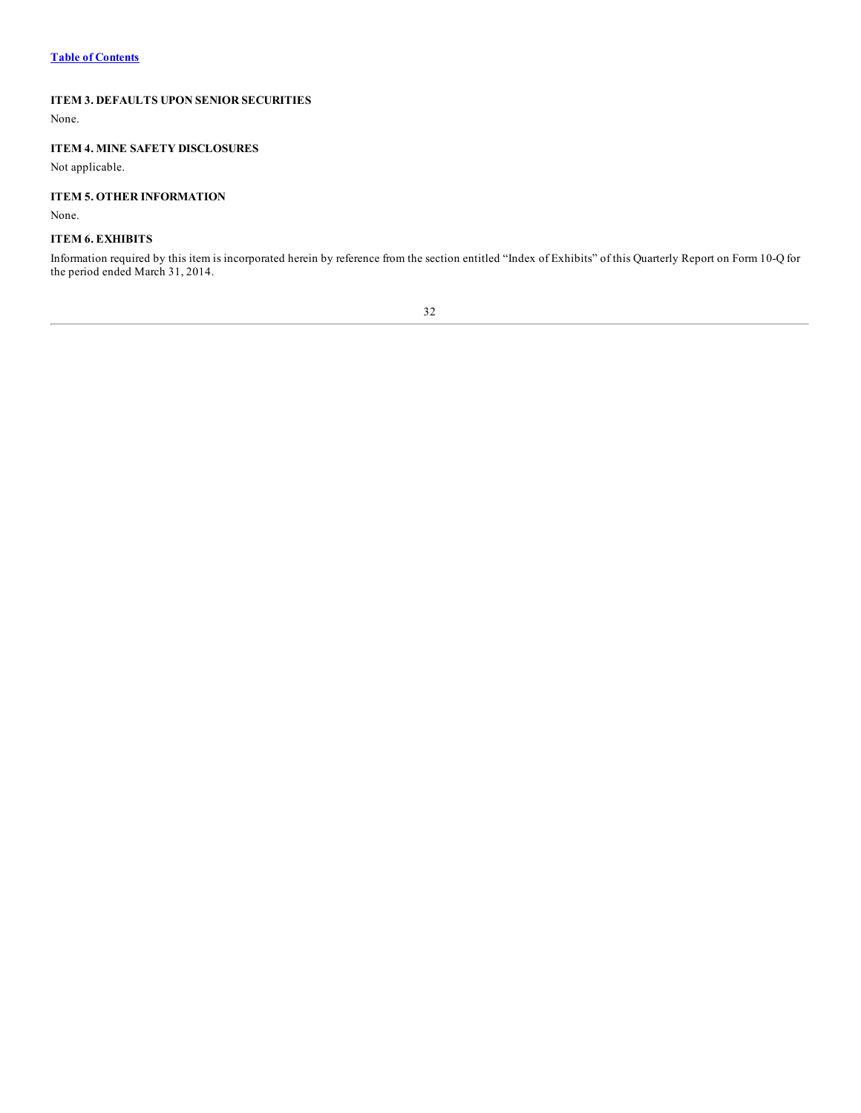# <span id="page-31-0"></span>**ITEM 3. DEFAULTS UPON SENIOR SECURITIES**

None.

# **ITEM 4. MINE SAFETY DISCLOSURES**

Not applicable.

# **ITEM 5. OTHER INFORMATION**

None.

# **ITEM 6. EXHIBITS**

Information required by this item is incorporated herein by reference from the section entitled "Index of Exhibits" of this Quarterly Report on Form 10-Q for the period ended March 31, 2014.

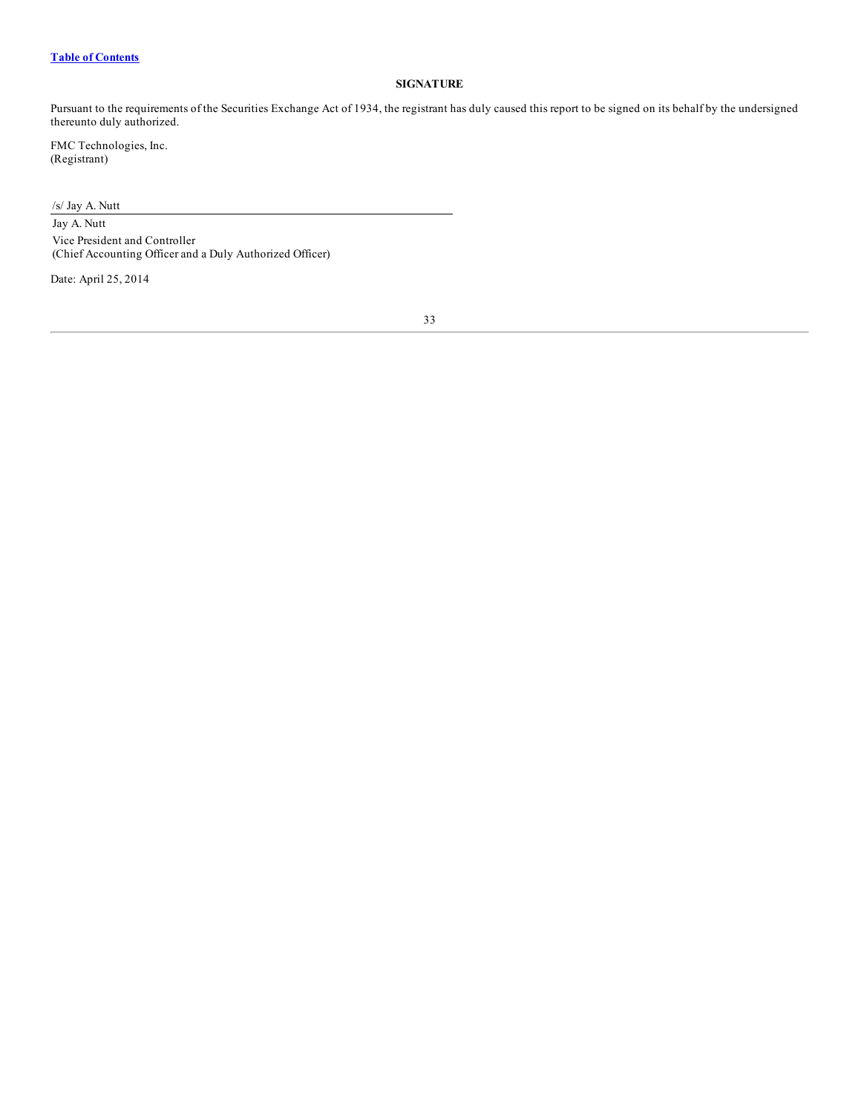# **SIGNATURE**

Pursuant to the requirements of the Securities Exchange Act of 1934, the registrant has duly caused this report to be signed on its behalf by the undersigned thereunto duly authorized.

FMC Technologies, Inc. (Registrant)

/s/ Jay A. Nutt

Jay A. Nutt Vice President and Controller (Chief Accounting Officer and a Duly Authorized Officer)

Date: April 25, 2014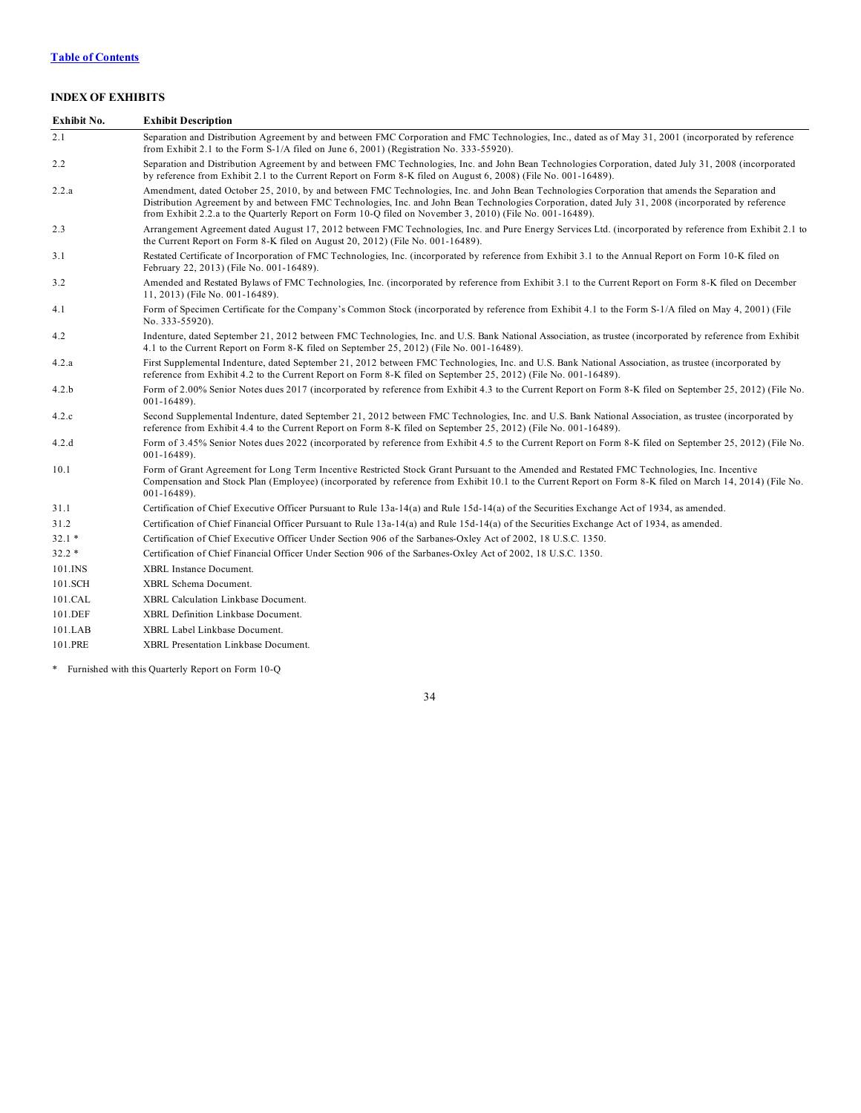# **INDEX OF EXHIBITS**

| Exhibit No. | <b>Exhibit Description</b>                                                                                                                                                                                                                                                                                                                                                                                        |
|-------------|-------------------------------------------------------------------------------------------------------------------------------------------------------------------------------------------------------------------------------------------------------------------------------------------------------------------------------------------------------------------------------------------------------------------|
| 2.1         | Separation and Distribution Agreement by and between FMC Corporation and FMC Technologies, Inc., dated as of May 31, 2001 (incorporated by reference<br>from Exhibit 2.1 to the Form $S-1/A$ filed on June 6, 2001) (Registration No. 333-55920).                                                                                                                                                                 |
| 2.2         | Separation and Distribution Agreement by and between FMC Technologies, Inc. and John Bean Technologies Corporation, dated July 31, 2008 (incorporated<br>by reference from Exhibit 2.1 to the Current Report on Form 8-K filed on August 6, 2008) (File No. 001-16489).                                                                                                                                           |
| 2.2.a       | Amendment, dated October 25, 2010, by and between FMC Technologies, Inc. and John Bean Technologies Corporation that amends the Separation and<br>Distribution Agreement by and between FMC Technologies, Inc. and John Bean Technologies Corporation, dated July 31, 2008 (incorporated by reference<br>from Exhibit 2.2.a to the Quarterly Report on Form 10-Q filed on November 3, 2010) (File No. 001-16489). |
| 2.3         | Arrangement Agreement dated August 17, 2012 between FMC Technologies, Inc. and Pure Energy Services Ltd. (incorporated by reference from Exhibit 2.1 to<br>the Current Report on Form 8-K filed on August 20, 2012) (File No. 001-16489).                                                                                                                                                                         |
| 3.1         | Restated Certificate of Incorporation of FMC Technologies, Inc. (incorporated by reference from Exhibit 3.1 to the Annual Report on Form 10-K filed on<br>February 22, 2013) (File No. 001-16489).                                                                                                                                                                                                                |
| 3.2         | Amended and Restated Bylaws of FMC Technologies, Inc. (incorporated by reference from Exhibit 3.1 to the Current Report on Form 8-K filed on December<br>11, 2013) (File No. 001-16489).                                                                                                                                                                                                                          |
| 4.1         | Form of Specimen Certificate for the Company's Common Stock (incorporated by reference from Exhibit 4.1 to the Form S-1/A filed on May 4, 2001) (File<br>No. 333-55920).                                                                                                                                                                                                                                          |
| 4.2         | Indenture, dated September 21, 2012 between FMC Technologies, Inc. and U.S. Bank National Association, as trustee (incorporated by reference from Exhibit<br>4.1 to the Current Report on Form 8-K filed on September 25, 2012) (File No. 001-16489).                                                                                                                                                             |
| 4.2.a       | First Supplemental Indenture, dated September 21, 2012 between FMC Technologies, Inc. and U.S. Bank National Association, as trustee (incorporated by<br>reference from Exhibit 4.2 to the Current Report on Form 8-K filed on September 25, 2012) (File No. 001-16489).                                                                                                                                          |
| 4.2.b       | Form of 2.00% Senior Notes dues 2017 (incorporated by reference from Exhibit 4.3 to the Current Report on Form 8-K filed on September 25, 2012) (File No.<br>$001 - 16489$ .                                                                                                                                                                                                                                      |
| 4.2.c       | Second Supplemental Indenture, dated September 21, 2012 between FMC Technologies, Inc. and U.S. Bank National Association, as trustee (incorporated by<br>reference from Exhibit 4.4 to the Current Report on Form 8-K filed on September 25, 2012) (File No. 001-16489).                                                                                                                                         |
| 4.2.d       | Form of 3.45% Senior Notes dues 2022 (incorporated by reference from Exhibit 4.5 to the Current Report on Form 8-K filed on September 25, 2012) (File No.<br>$001 - 16489$ .                                                                                                                                                                                                                                      |
| 10.1        | Form of Grant Agreement for Long Term Incentive Restricted Stock Grant Pursuant to the Amended and Restated FMC Technologies, Inc. Incentive<br>Compensation and Stock Plan (Employee) (incorporated by reference from Exhibit 10.1 to the Current Report on Form 8-K filed on March 14, 2014) (File No.<br>$001-16489$ ).                                                                                        |
| 31.1        | Certification of Chief Executive Officer Pursuant to Rule 13a-14(a) and Rule 15d-14(a) of the Securities Exchange Act of 1934, as amended.                                                                                                                                                                                                                                                                        |
| 31.2        | Certification of Chief Financial Officer Pursuant to Rule 13a-14(a) and Rule 15d-14(a) of the Securities Exchange Act of 1934, as amended.                                                                                                                                                                                                                                                                        |
| $32.1*$     | Certification of Chief Executive Officer Under Section 906 of the Sarbanes-Oxley Act of 2002, 18 U.S.C. 1350.                                                                                                                                                                                                                                                                                                     |
| $32.2*$     | Certification of Chief Financial Officer Under Section 906 of the Sarbanes-Oxley Act of 2002, 18 U.S.C. 1350.                                                                                                                                                                                                                                                                                                     |
| 101.INS     | XBRL Instance Document.                                                                                                                                                                                                                                                                                                                                                                                           |
| 101.SCH     | XBRL Schema Document.                                                                                                                                                                                                                                                                                                                                                                                             |
| 101.CAL     | XBRL Calculation Linkbase Document.                                                                                                                                                                                                                                                                                                                                                                               |
| 101.DEF     | XBRL Definition Linkbase Document.                                                                                                                                                                                                                                                                                                                                                                                |
| 101.LAB     | XBRL Label Linkbase Document.                                                                                                                                                                                                                                                                                                                                                                                     |
| 101.PRE     | XBRL Presentation Linkbase Document.                                                                                                                                                                                                                                                                                                                                                                              |
|             | * Furnished with this Quarterly Report on Form 10-Q                                                                                                                                                                                                                                                                                                                                                               |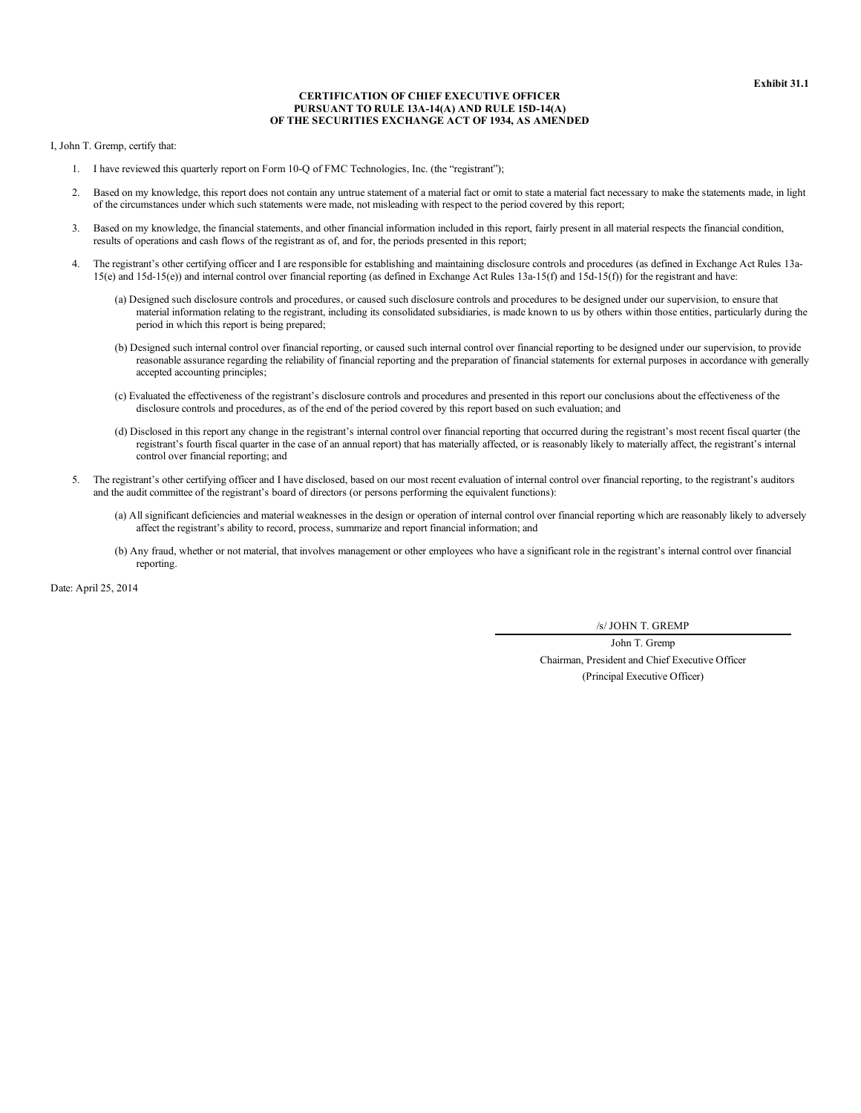#### **CERTIFICATION OF CHIEF EXECUTIVE OFFICER PURSUANT TO RULE 13A-14(A) AND RULE 15D-14(A) OF THE SECURITIES EXCHANGE ACT OF 1934, AS AMENDED**

I, John T. Gremp, certify that:

- 1. I have reviewed this quarterly report on Form 10-Q of FMC Technologies, Inc. (the "registrant");
- 2. Based on my knowledge, this report does not contain any untrue statement of a material fact or omit to state a material fact necessary to make the statements made, in light of the circumstances under which such statements were made, not misleading with respect to the period covered by this report;
- 3. Based on my knowledge, the financial statements, and other financial information included in this report, fairly present in all material respects the financial condition, results of operations and cash flows of the registrant as of, and for, the periods presented in this report;
- 4. The registrant's other certifying officer and I are responsible for establishing and maintaining disclosure controls and procedures (as defined in Exchange Act Rules 13a-15(e) and 15d-15(e)) and internal control over financial reporting (as defined in Exchange Act Rules 13a-15(f) and 15d-15(f)) for the registrant and have:
	- (a) Designed such disclosure controls and procedures, or caused such disclosure controls and procedures to be designed under our supervision, to ensure that material information relating to the registrant, including its consolidated subsidiaries, is made known to us by others within those entities, particularly during the period in which this report is being prepared;
	- (b) Designed such internal control over financial reporting, or caused such internal control over financial reporting to be designed under our supervision, to provide reasonable assurance regarding the reliability of financial reporting and the preparation of financial statements for external purposes in accordance with generally accepted accounting principles;
	- (c) Evaluated the effectiveness of the registrant's disclosure controls and procedures and presented in this report our conclusions about the effectiveness of the disclosure controls and procedures, as of the end of the period covered by this report based on such evaluation; and
	- (d) Disclosed in this report any change in the registrant's internal control over financial reporting that occurred during the registrant's most recent fiscal quarter (the registrant's fourth fiscal quarter in the case of an annual report) that has materially affected, or is reasonably likely to materially affect, the registrant's internal control over financial reporting; and
- 5. The registrant's other certifying officer and I have disclosed, based on our most recent evaluation of internal control over financial reporting, to the registrant's auditors and the audit committee of the registrant's board of directors (or persons performing the equivalent functions):
	- (a) All significant deficiencies and material weaknesses in the design or operation of internal control over financial reporting which are reasonably likely to adversely affect the registrant's ability to record, process, summarize and report financial information; and
	- (b) Any fraud, whether or not material, that involves management or other employees who have a significant role in the registrant's internal control over financial reporting.

Date: April 25, 2014

/s/ JOHN T. GREMP

John T. Gremp Chairman, President and Chief Executive Officer (Principal Executive Officer)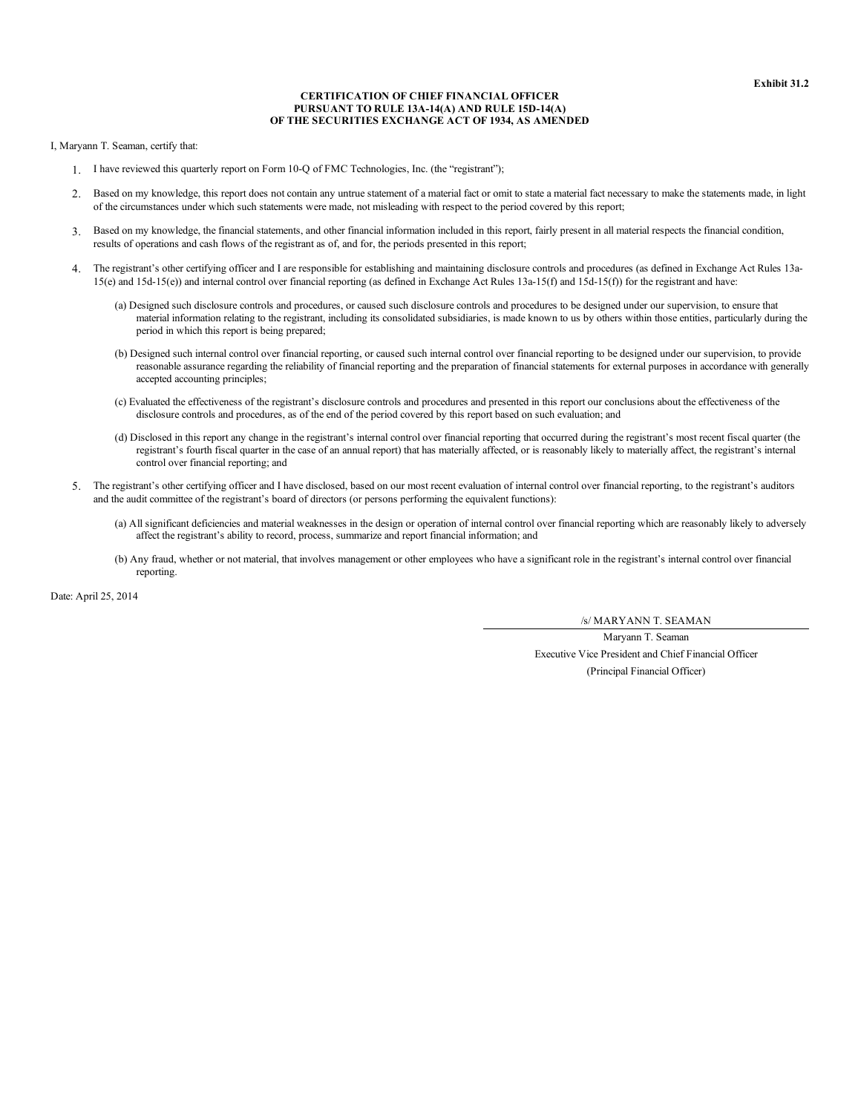#### **CERTIFICATION OF CHIEF FINANCIAL OFFICER PURSUANT TO RULE 13A-14(A) AND RULE 15D-14(A) OF THE SECURITIES EXCHANGE ACT OF 1934, AS AMENDED**

I, Maryann T. Seaman, certify that:

- 1. I have reviewed this quarterly report on Form 10-Q of FMC Technologies, Inc. (the "registrant");
- 2. Based on my knowledge, this report does not contain any untrue statement of a material fact or omit to state a material fact necessary to make the statements made, in light of the circumstances under which such statements were made, not misleading with respect to the period covered by this report;
- 3. Based on my knowledge, the financial statements, and other financial information included in this report, fairly present in all material respects the financial condition, results of operations and cash flows of the registrant as of, and for, the periods presented in this report;
- 4. The registrant's other certifying officer and I are responsible for establishing and maintaining disclosure controls and procedures (as defined in Exchange Act Rules 13a-15(e) and 15d-15(e)) and internal control over financial reporting (as defined in Exchange Act Rules 13a-15(f) and 15d-15(f)) for the registrant and have:
	- (a) Designed such disclosure controls and procedures, or caused such disclosure controls and procedures to be designed under our supervision, to ensure that material information relating to the registrant, including its consolidated subsidiaries, is made known to us by others within those entities, particularly during the period in which this report is being prepared;
	- (b) Designed such internal control over financial reporting, or caused such internal control over financial reporting to be designed under our supervision, to provide reasonable assurance regarding the reliability of financial reporting and the preparation of financial statements for external purposes in accordance with generally accepted accounting principles;
	- (c) Evaluated the effectiveness of the registrant's disclosure controls and procedures and presented in this report our conclusions about the effectiveness of the disclosure controls and procedures, as of the end of the period covered by this report based on such evaluation; and
	- (d) Disclosed in this report any change in the registrant's internal control over financial reporting that occurred during the registrant's most recent fiscal quarter (the registrant's fourth fiscal quarter in the case of an annual report) that has materially affected, or is reasonably likely to materially affect, the registrant's internal control over financial reporting; and
- 5. The registrant's other certifying officer and I have disclosed, based on our most recent evaluation of internal control over financial reporting, to the registrant's auditors and the audit committee of the registrant's board of directors (or persons performing the equivalent functions):
	- (a) All significant deficiencies and material weaknesses in the design or operation of internal control over financial reporting which are reasonably likely to adversely affect the registrant's ability to record, process, summarize and report financial information; and
	- (b) Any fraud, whether or not material, that involves management or other employees who have a significant role in the registrant's internal control over financial reporting.

Date: April 25, 2014

/s/ MARYANN T. SEAMAN

Maryann T. Seaman Executive Vice President and Chief Financial Officer (Principal Financial Officer)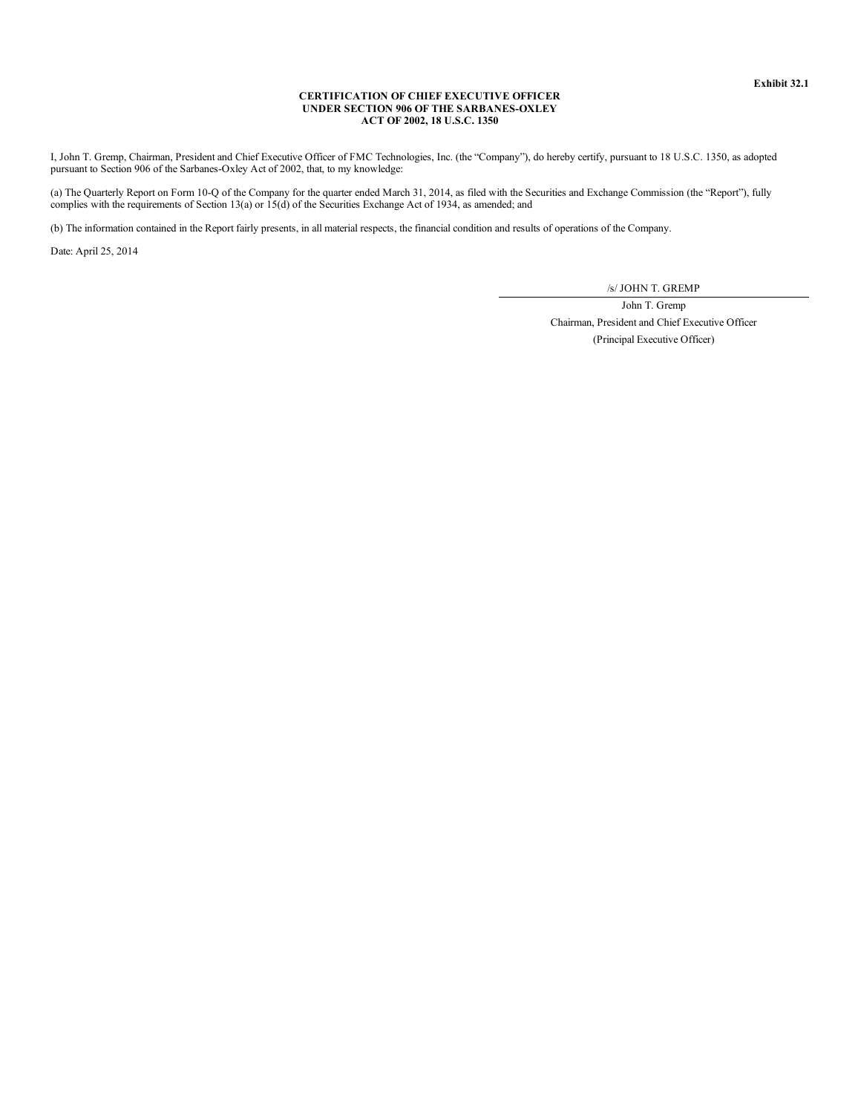#### **CERTIFICATION OF CHIEF EXECUTIVE OFFICER UNDER SECTION 906 OF THE SARBANES-OXLEY ACT OF 2002, 18 U.S.C. 1350**

I, John T. Gremp, Chairman, President and Chief Executive Officer of FMC Technologies, Inc. (the "Company"), do hereby certify, pursuant to 18 U.S.C. 1350, as adopted pursuant to Section 906 of the Sarbanes-Oxley Act of 2002, that, to my knowledge:

(a) The Quarterly Report on Form 10-Q of the Company for the quarter ended March 31, 2014, as filed with the Securities and Exchange Commission (the "Report"), fully complies with the requirements of Section 13(a) or 15(d) of the Securities Exchange Act of 1934, as amended; and

(b) The information contained in the Report fairly presents, in all material respects, the financial condition and results of operations of the Company.

Date: April 25, 2014

/s/ JOHN T. GREMP

John T. Gremp Chairman, President and Chief Executive Officer (Principal Executive Officer)